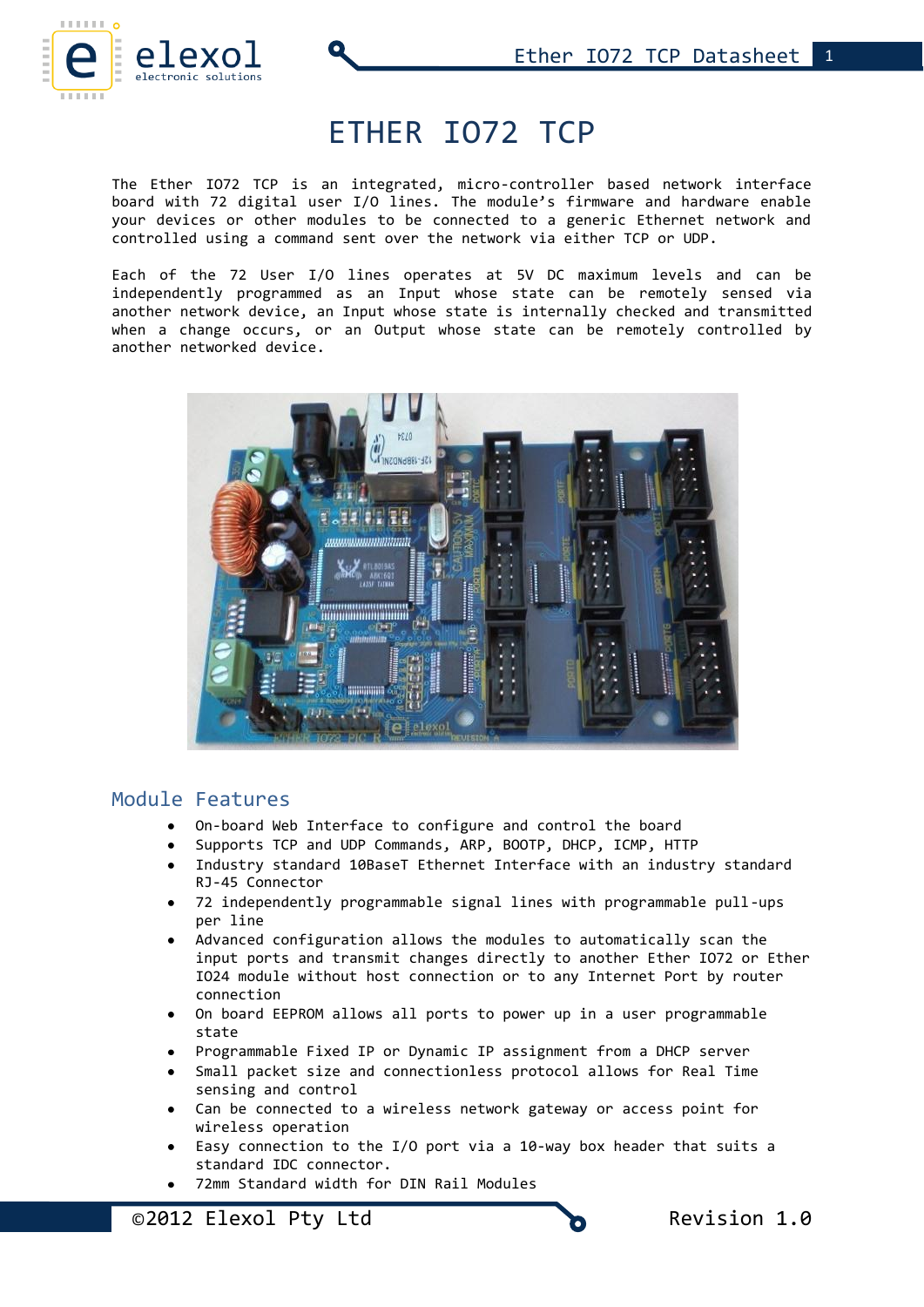

# ETHER IO72 TCP

The Ether IO72 TCP is an integrated, micro-controller based network interface board with 72 digital user I/O lines. The module's firmware and hardware enable your devices or other modules to be connected to a generic Ethernet network and controlled using a command sent over the network via either TCP or UDP.

Each of the 72 User I/O lines operates at 5V DC maximum levels and can be independently programmed as an Input whose state can be remotely sensed via another network device, an Input whose state is internally checked and transmitted when a change occurs, or an Output whose state can be remotely controlled by another networked device.



# Module Features

- On-board Web Interface to configure and control the board
- Supports TCP and UDP Commands, ARP, BOOTP, DHCP, ICMP, HTTP
- Industry standard 10BaseT Ethernet Interface with an industry standard RJ-45 Connector
- 72 independently programmable signal lines with programmable pull-ups per line
- Advanced configuration allows the modules to automatically scan the input ports and transmit changes directly to another Ether IO72 or Ether IO24 module without host connection or to any Internet Port by router connection
- On board EEPROM allows all ports to power up in a user programmable state
- Programmable Fixed IP or Dynamic IP assignment from a DHCP server
- Small packet size and connectionless protocol allows for Real Time sensing and control
- Can be connected to a wireless network gateway or access point for wireless operation
- Easy connection to the I/O port via a 10-way box header that suits a standard IDC connector.
- 72mm Standard width for DIN Rail Modules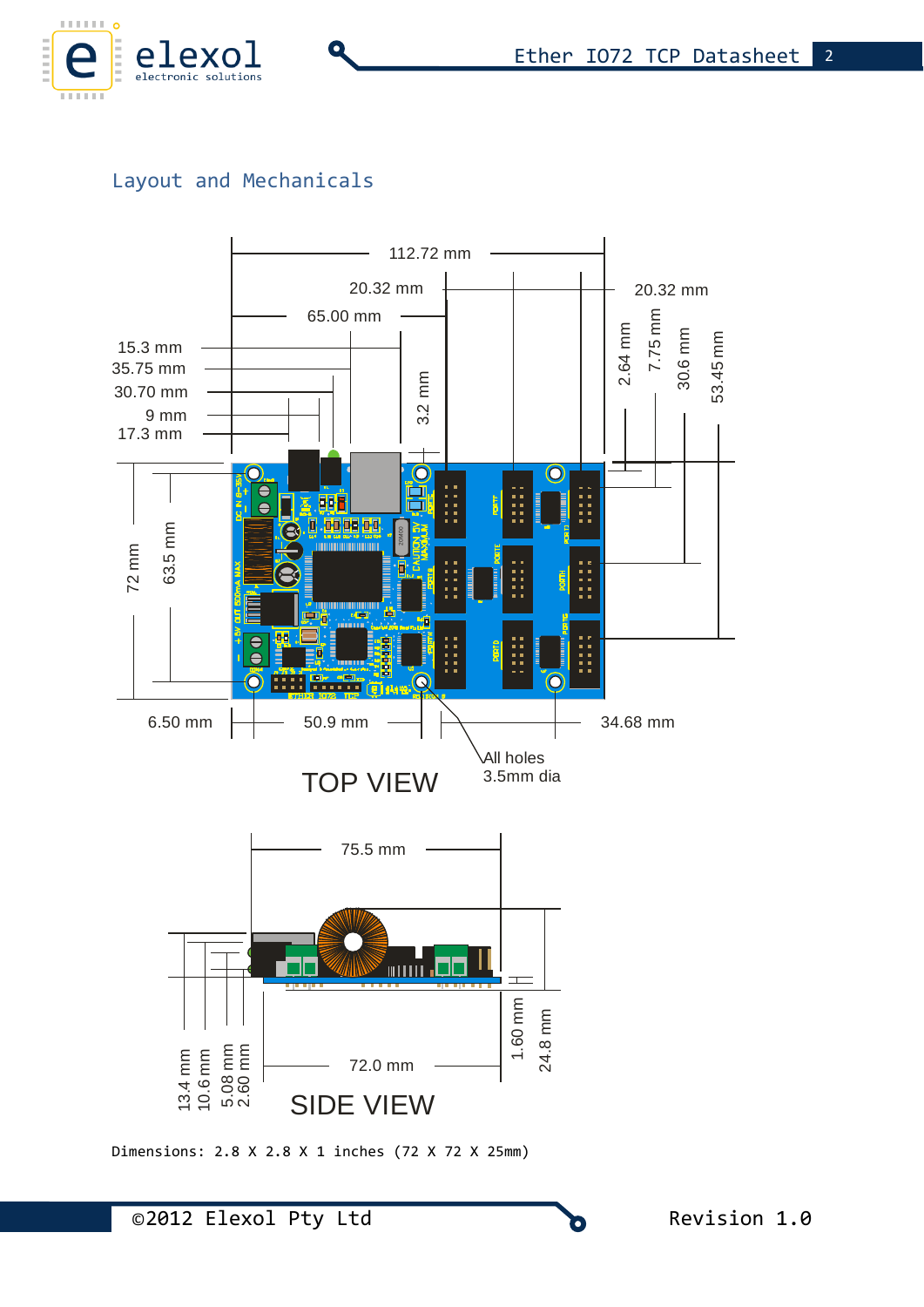

# Layout and Mechanicals

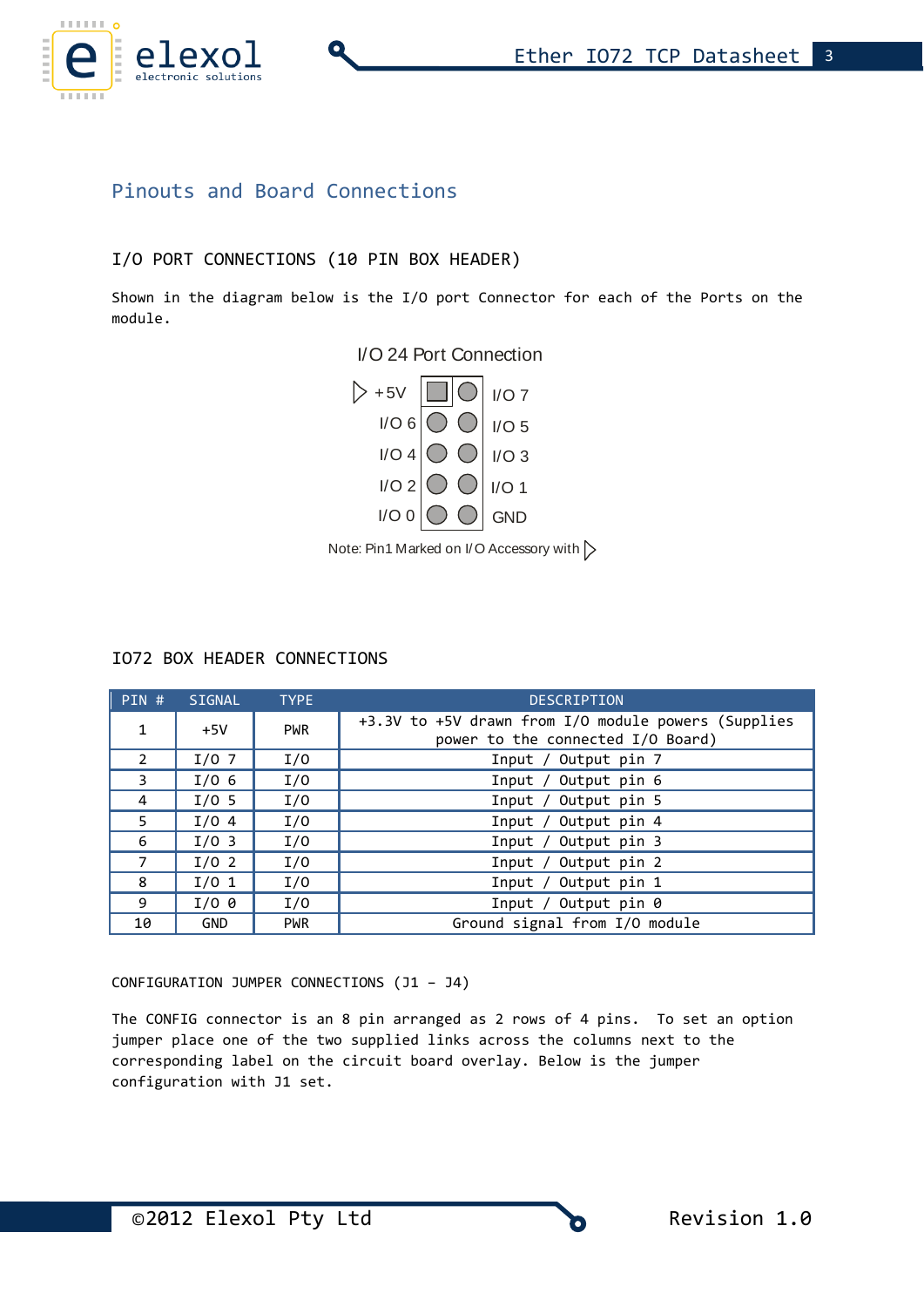

# Pinouts and Board Connections

### I/O PORT CONNECTIONS (10 PIN BOX HEADER)

Shown in the diagram below is the I/O port Connector for each of the Ports on the module.





Note: Pin1 Marked on I/O Accessory with  $\triangleright$ 

### IO72 BOX HEADER CONNECTIONS

| $PIN$ #        | SIGNAL           | <b>TYPE</b> | <b>DESCRIPTION</b>                                                                       |
|----------------|------------------|-------------|------------------------------------------------------------------------------------------|
| $\mathbf{1}$   | $+5V$            | <b>PWR</b>  | +3.3V to +5V drawn from I/O module powers (Supplies<br>power to the connected I/O Board) |
| $\overline{2}$ | I/O <sub>7</sub> | I/0         | Input / Output pin 7                                                                     |
| 3              | I/O <sub>6</sub> | I/0         | Input / Output pin 6                                                                     |
| 4              | $I/0$ 5          | I/0         | Output pin 5<br>Input $/$                                                                |
| 5              | $I/0$ 4          | I/0         | Output pin 4<br>Input $/$                                                                |
| 6              | I/O <sub>3</sub> | I/0         | Output pin 3<br>Input $/$                                                                |
| 7              | I/O <sub>2</sub> | I/0         | Input / Output pin 2                                                                     |
| 8              | $I/0$ 1          | I/0         | Input / Output pin 1                                                                     |
| 9              | $I/O$ 0          | I/0         | Input / Output pin 0                                                                     |
| 10             | <b>GND</b>       | <b>PWR</b>  | Ground signal from I/O module                                                            |

CONFIGURATION JUMPER CONNECTIONS (J1 – J4)

The CONFIG connector is an 8 pin arranged as 2 rows of 4 pins. To set an option jumper place one of the two supplied links across the columns next to the corresponding label on the circuit board overlay. Below is the jumper configuration with J1 set.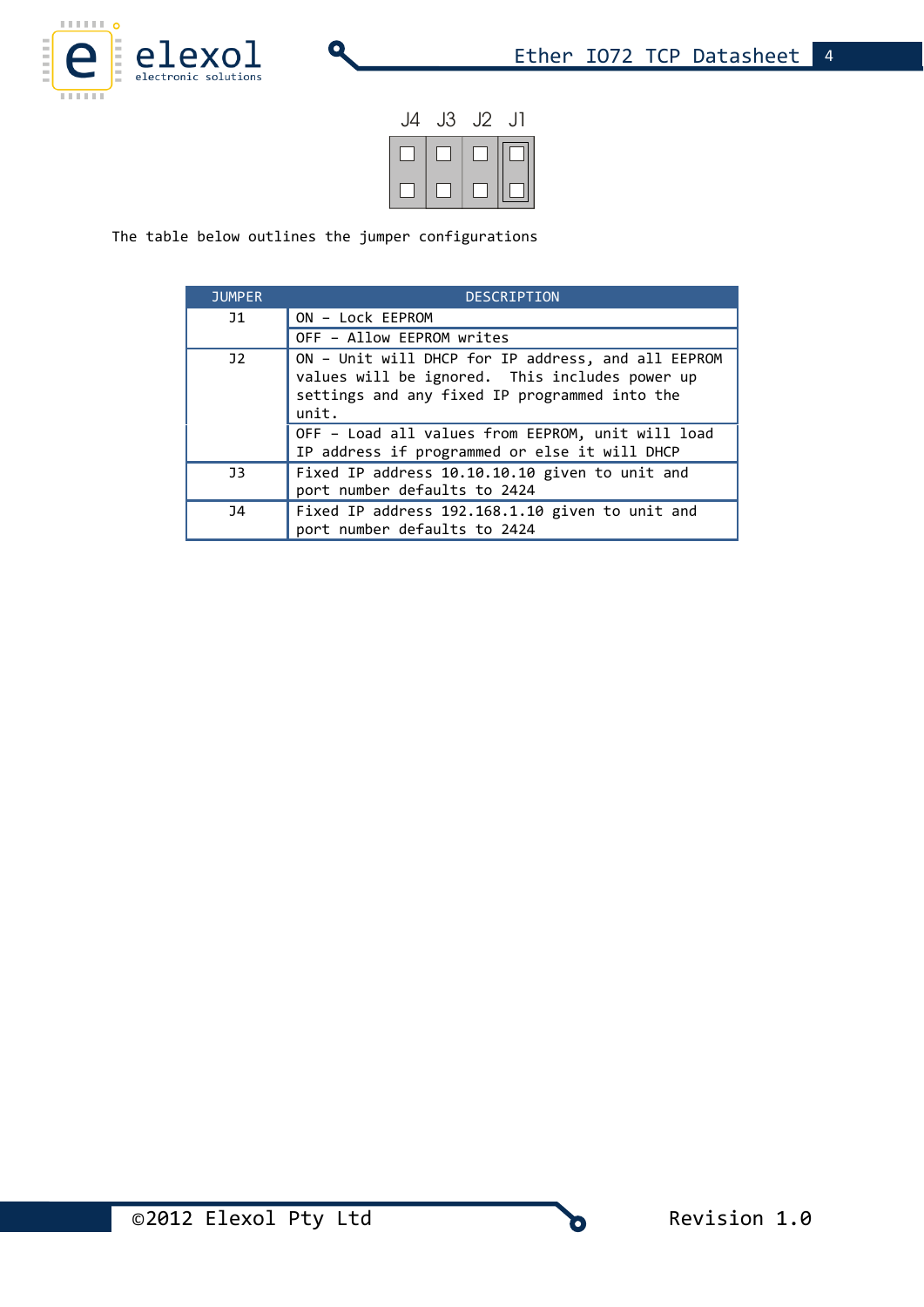

| J4 | J3 | J2 | $\Box$ |
|----|----|----|--------|
|    |    |    |        |
|    |    |    |        |

The table below outlines the jumper configurations

| <b>JUMPER</b>  | <b>DESCRIPTION</b>                                                                                                                                             |
|----------------|----------------------------------------------------------------------------------------------------------------------------------------------------------------|
| J1             | ON - Lock EEPROM                                                                                                                                               |
|                | OFF - Allow EEPROM writes                                                                                                                                      |
| J <sub>2</sub> | ON - Unit will DHCP for IP address, and all EEPROM<br>values will be ignored. This includes power up<br>settings and any fixed IP programmed into the<br>unit. |
|                | OFF - Load all values from EEPROM, unit will load<br>IP address if programmed or else it will DHCP                                                             |
| J <sub>3</sub> | Fixed IP address 10.10.10.10 given to unit and<br>port number defaults to 2424                                                                                 |
| <b>J4</b>      | Fixed IP address 192.168.1.10 given to unit and<br>port number defaults to 2424                                                                                |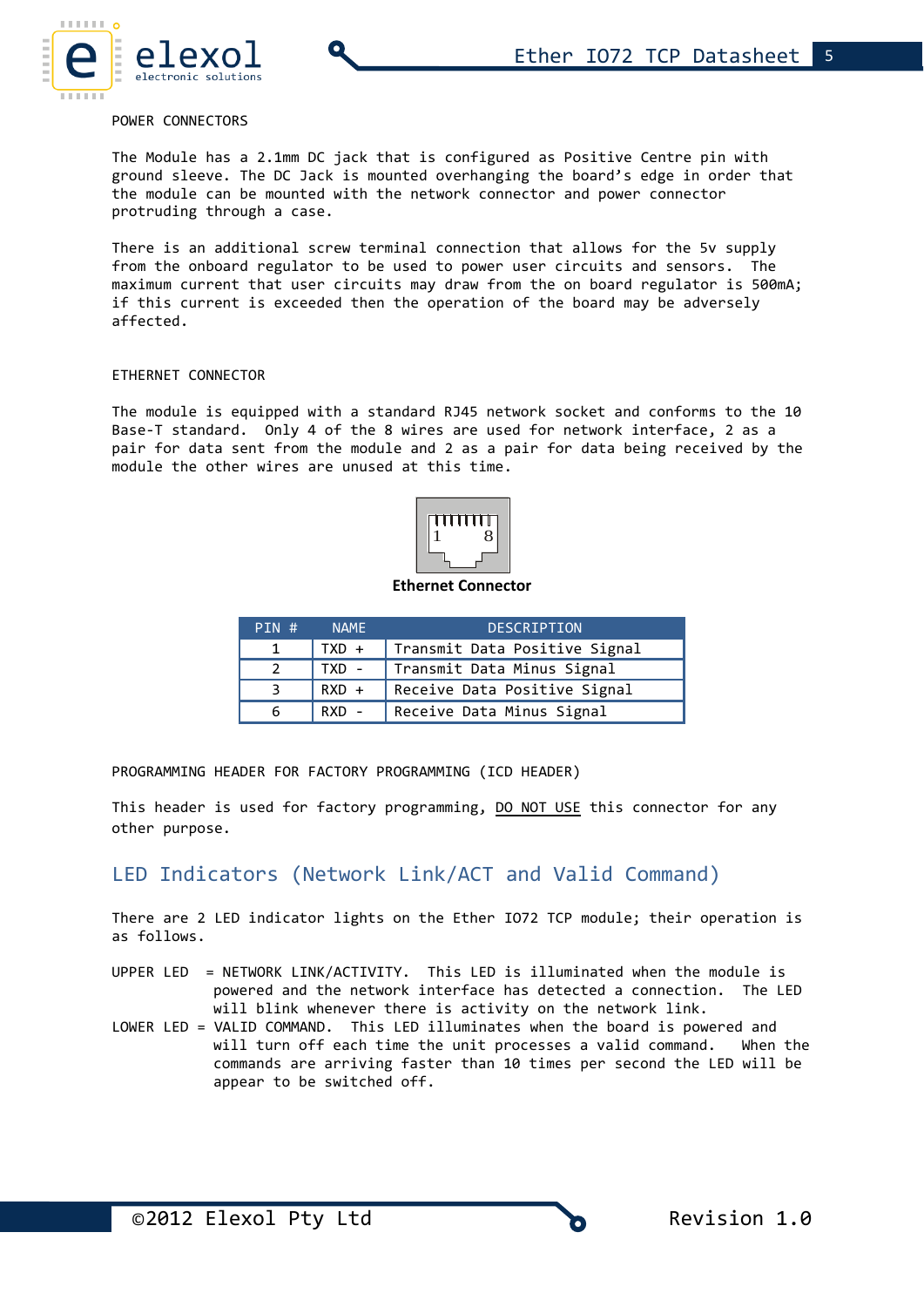#### POWER CONNECTORS

The Module has a 2.1mm DC jack that is configured as Positive Centre pin with ground sleeve. The DC Jack is mounted overhanging the board's edge in order that the module can be mounted with the network connector and power connector protruding through a case.

There is an additional screw terminal connection that allows for the 5v supply from the onboard regulator to be used to power user circuits and sensors. The maximum current that user circuits may draw from the on board regulator is 500mA; if this current is exceeded then the operation of the board may be adversely affected.

#### ETHERNET CONNECTOR

The module is equipped with a standard RJ45 network socket and conforms to the 10 Base-T standard. Only 4 of the 8 wires are used for network interface, 2 as a pair for data sent from the module and 2 as a pair for data being received by the module the other wires are unused at this time.



**Ethernet Connector**

| PIN # | <b>NAME</b> | <b>DESCRIPTION</b>            |
|-------|-------------|-------------------------------|
|       | $TXD +$     | Transmit Data Positive Signal |
|       | TXD -       | Transmit Data Minus Signal    |
|       | $RXD +$     | Receive Data Positive Signal  |
| 6     | $RXD -$     | Receive Data Minus Signal     |

PROGRAMMING HEADER FOR FACTORY PROGRAMMING (ICD HEADER)

This header is used for factory programming, DO NOT USE this connector for any other purpose.

### LED Indicators (Network Link/ACT and Valid Command)

There are 2 LED indicator lights on the Ether IO72 TCP module; their operation is as follows.

- UPPER LED = NETWORK LINK/ACTIVITY. This LED is illuminated when the module is powered and the network interface has detected a connection. The LED will blink whenever there is activity on the network link.
- LOWER LED = VALID COMMAND. This LED illuminates when the board is powered and will turn off each time the unit processes a valid command. When the commands are arriving faster than 10 times per second the LED will be appear to be switched off.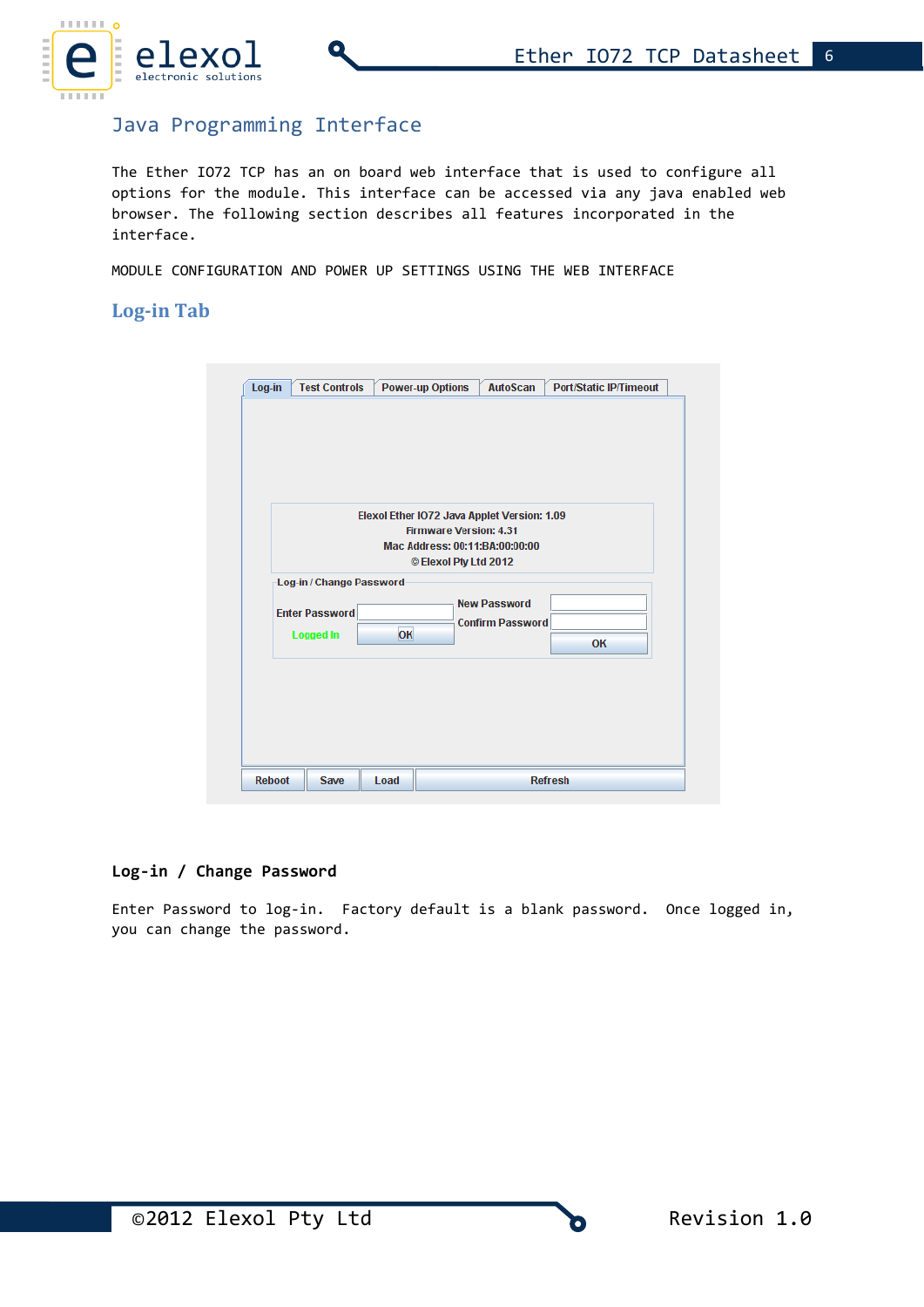

# Java Programming Interface

The Ether IO72 TCP has an on board web interface that is used to configure all options for the module. This interface can be accessed via any java enabled web browser. The following section describes all features incorporated in the interface.

MODULE CONFIGURATION AND POWER UP SETTINGS USING THE WEB INTERFACE

### **Log-in Tab**

|                                           | Elexol Ether IO72 Java Applet Version: 1.09 | <b>Firmware Version: 4.31</b><br>Mac Address: 00:11:BA:00:00:00 |                                                |           |  |
|-------------------------------------------|---------------------------------------------|-----------------------------------------------------------------|------------------------------------------------|-----------|--|
| Log-in / Change Password                  |                                             |                                                                 | © Elexol Pty Ltd 2012                          |           |  |
| <b>Enter Password</b><br><b>Logged In</b> | OK                                          |                                                                 | <b>New Password</b><br><b>Confirm Password</b> | <b>OK</b> |  |

#### **Log-in / Change Password**

Enter Password to log-in. Factory default is a blank password. Once logged in, you can change the password.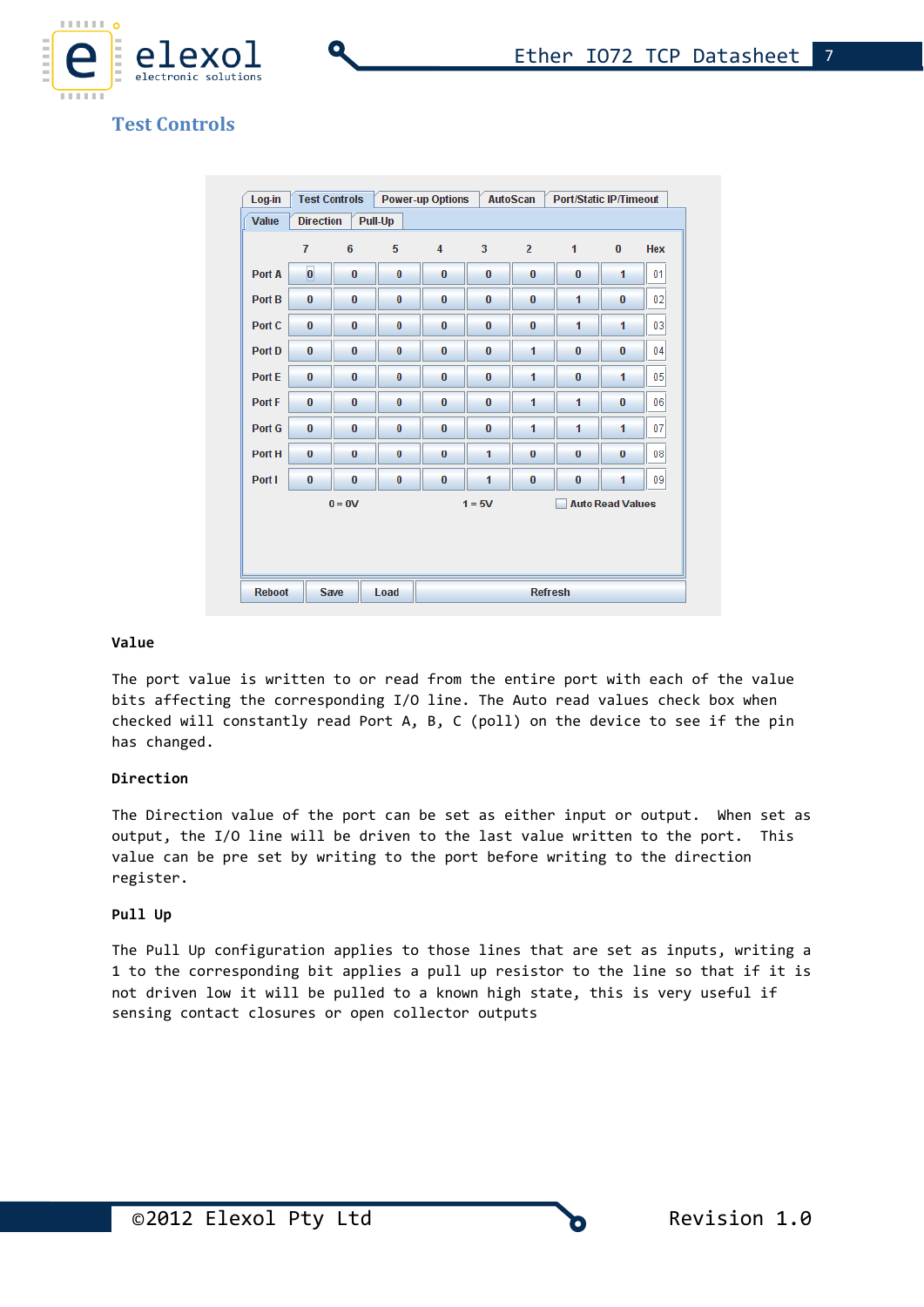

# **Test Controls**

|               | $\overline{7}$ | 6        | 5        | $\overline{4}$ | 3        | $\overline{2}$ | 1                       | $\bf{0}$ | <b>Hex</b> |
|---------------|----------------|----------|----------|----------------|----------|----------------|-------------------------|----------|------------|
| Port A        | $\bf{0}$       | $\bf{0}$ | $\bf{0}$ | $\bf{0}$       | $\bf{0}$ | $\bf{0}$       | $\bf{0}$                | 1        | 01         |
| Port B        | $\bf{0}$       | $\bf{0}$ | $\bf{0}$ | $\bf{0}$       | $\bf{0}$ | $\bf{0}$       | 1                       | $\bf{0}$ | 02         |
| Port C        | $\bf{0}$       | $\bf{0}$ | $\bf{0}$ | $\bf{0}$       | 0        | $\bf{0}$       | 1                       | 1        | 03         |
| Port D        | $\bf{0}$       | $\bf{0}$ | $\bf{0}$ | $\bf{0}$       | $\bf{0}$ | 1              | $\bf{0}$                | $\bf{0}$ | 04         |
| Port E        | $\bf{0}$       | $\bf{0}$ | $\bf{0}$ | $\bf{0}$       | $\bf{0}$ | 1              | $\bf{0}$                | 1        | 05         |
| <b>Port F</b> | $\bf{0}$       | 0        | 0        | $\bf{0}$       | $\bf{0}$ | 1              | 1                       | 0        | 06         |
| Port G        | $\bf{0}$       | $\bf{0}$ | 0        | $\bf{0}$       | 0        | 1              | 1                       | 1        | 07         |
| Port H        | $\bf{0}$       | $\bf{0}$ | $\bf{0}$ | $\bf{0}$       | 1        | $\bf{0}$       | $\bf{0}$                | $\bf{0}$ | 08         |
| Port I        | $\bf{0}$       | $\bf{0}$ | $\bf{0}$ | $\bf{0}$       | 1        | $\bf{0}$       | $\bf{0}$                | 1        | 09         |
|               |                | $0 = 0V$ |          |                | $1 = 5V$ |                | <b>Auto Read Values</b> |          |            |
|               |                |          |          |                |          |                |                         |          |            |
|               |                |          |          |                |          |                |                         |          |            |

#### **Value**

The port value is written to or read from the entire port with each of the value bits affecting the corresponding I/O line. The Auto read values check box when checked will constantly read Port A, B, C (poll) on the device to see if the pin has changed.

#### **Direction**

The Direction value of the port can be set as either input or output. When set as output, the I/O line will be driven to the last value written to the port. This value can be pre set by writing to the port before writing to the direction register.

#### **Pull Up**

The Pull Up configuration applies to those lines that are set as inputs, writing a 1 to the corresponding bit applies a pull up resistor to the line so that if it is not driven low it will be pulled to a known high state, this is very useful if sensing contact closures or open collector outputs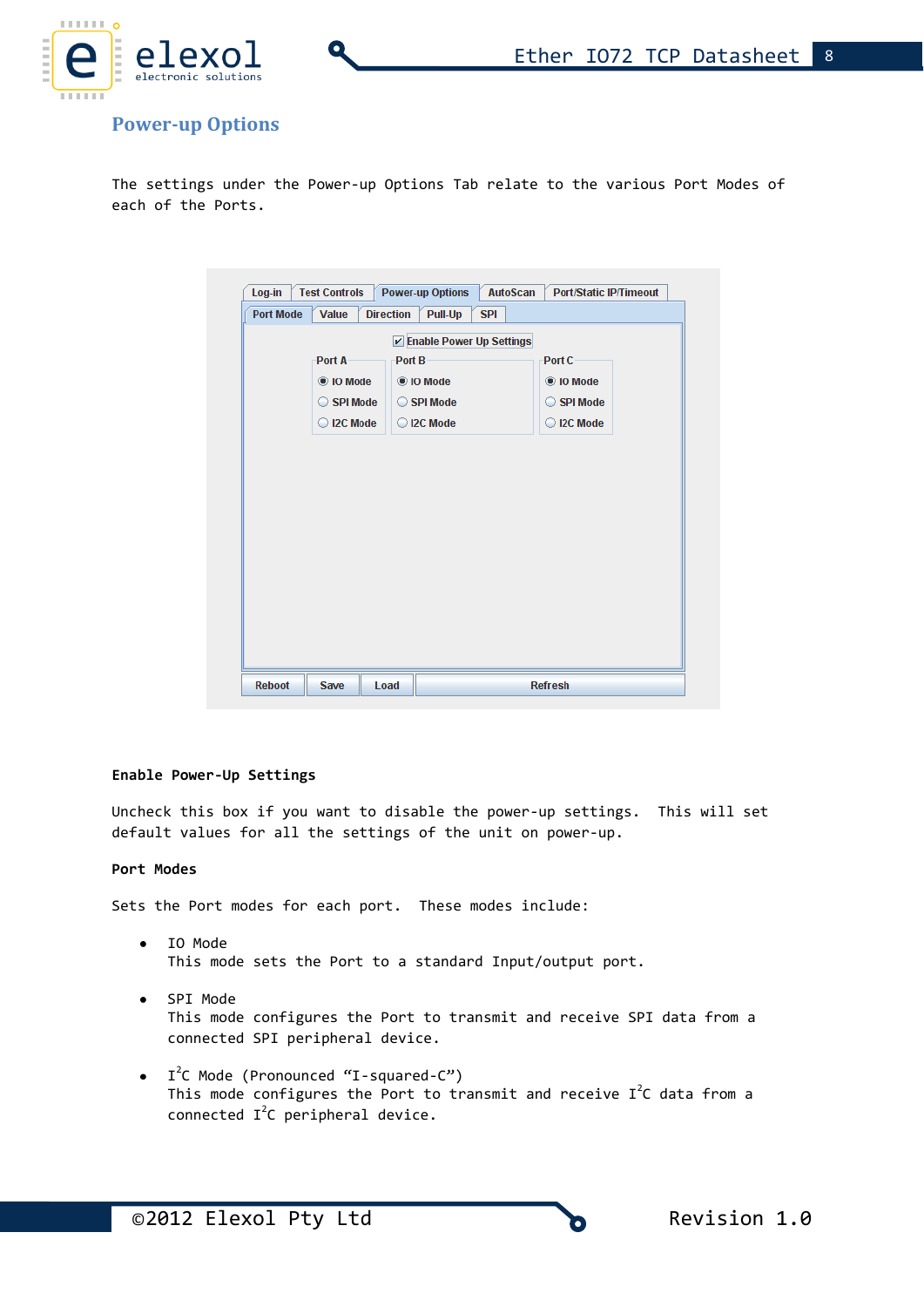

# **Power-up Options**

The settings under the Power-up Options Tab relate to the various Port Modes of each of the Ports.

| <b>Port Mode</b> | <b>Value</b> | <b>Direction</b><br>Pull-Up<br><b>SPI</b> |            |
|------------------|--------------|-------------------------------------------|------------|
|                  |              | <b>☑ Enable Power Up Settings</b>         |            |
|                  | Port A       | Port B                                    | Port C     |
|                  | ig 10 Mode   | © IO Mode                                 | © IO Mode  |
|                  | SPI Mode     | SPI Mode                                  | SPI Mode   |
|                  | C I2C Mode   | C I2C Mode                                | C I2C Mode |
|                  |              |                                           |            |
|                  |              |                                           |            |
|                  |              |                                           |            |
|                  |              |                                           |            |
|                  |              |                                           |            |
|                  |              |                                           |            |
|                  |              |                                           |            |
|                  |              |                                           |            |
|                  |              |                                           |            |
|                  |              |                                           |            |
|                  |              |                                           |            |
|                  |              |                                           |            |

#### **Enable Power-Up Settings**

Uncheck this box if you want to disable the power-up settings. This will set default values for all the settings of the unit on power-up.

#### **Port Modes**

Sets the Port modes for each port. These modes include:

- IO Mode This mode sets the Port to a standard Input/output port.
- SPI Mode This mode configures the Port to transmit and receive SPI data from a connected SPI peripheral device.
- I<sup>2</sup>C Mode (Pronounced "I-squared-C") This mode configures the Port to transmit and receive  $I^2C$  data from a connected  $I^2C$  peripheral device.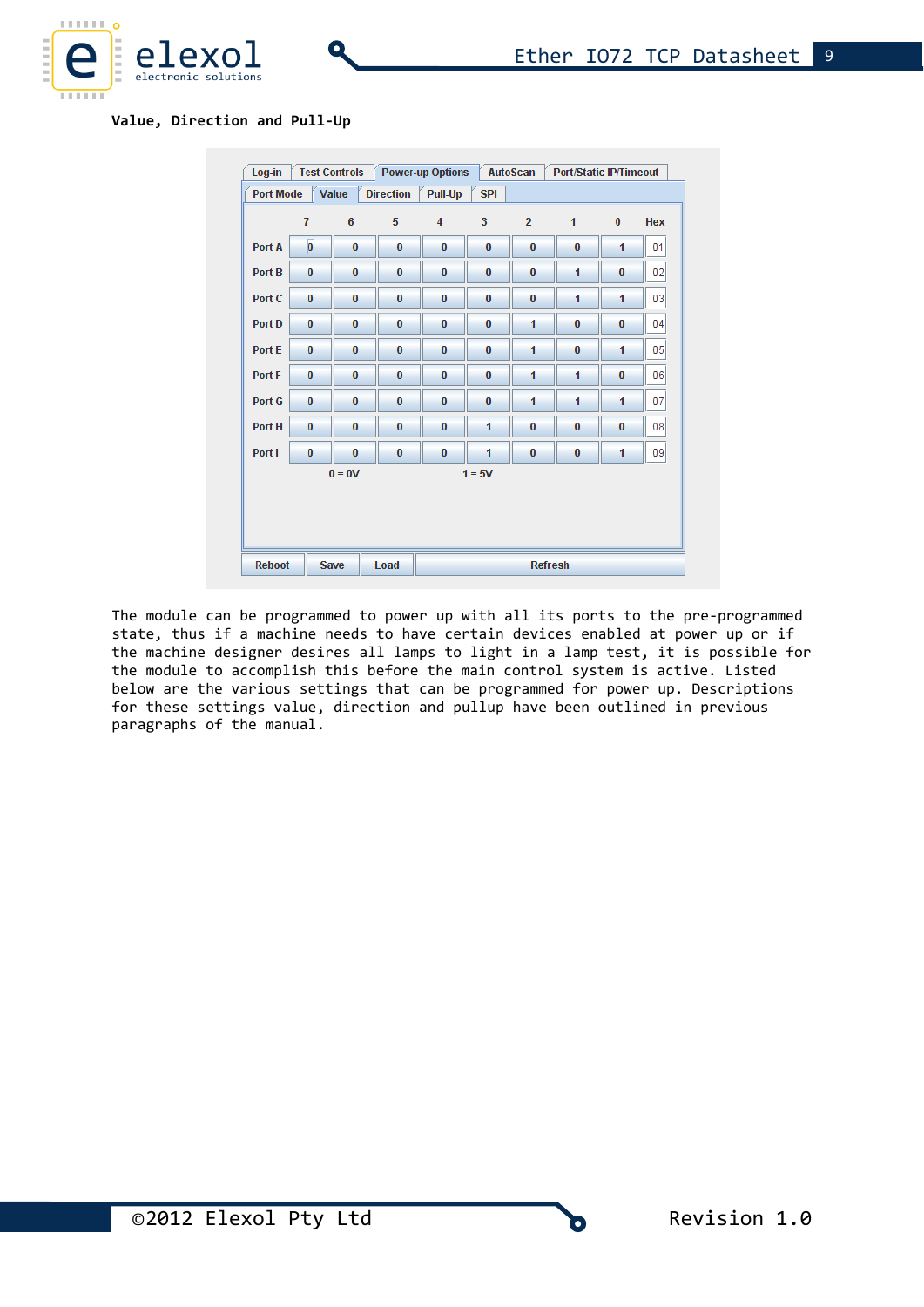

**Value, Direction and Pull-Up**

|                      |                |          |          | Pull-Up  |          |                |          |          |                 |  |  |
|----------------------|----------------|----------|----------|----------|----------|----------------|----------|----------|-----------------|--|--|
|                      | $\overline{7}$ | 6        | 5        | 4        | 3        | $\overline{2}$ | 1        | $\bf{0}$ | <b>Hex</b>      |  |  |
| Port A               | $\pmb{0}$      | $\bf{0}$ | $\bf{0}$ | $\bf{0}$ | 0        | $\bf{0}$       | $\bf{0}$ | 1        | 01              |  |  |
| Port B               | $\bf{0}$       | $\bf{0}$ | $\bf{0}$ | $\bf{0}$ | $\bf{0}$ | $\bf{0}$       | 1        | $\bf{0}$ | 02              |  |  |
| Port C               | $\bf{0}$       | $\bf{0}$ | $\bf{0}$ | $\bf{0}$ | $\bf{0}$ | $\bf{0}$       | 1        | 1        | 03              |  |  |
| Port D               | $\bf{0}$       | $\bf{0}$ | $\bf{0}$ | $\bf{0}$ | 0        | 1              | $\bf{0}$ | $\bf{0}$ | 04              |  |  |
| Port E               | $\bf{0}$       | $\bf{0}$ | $\bf{0}$ | $\bf{0}$ | $\bf{0}$ | 1              | $\bf{0}$ | 1        | 0 <sub>5</sub>  |  |  |
| Port F               | $\bf{0}$       | $\bf{0}$ | $\bf{0}$ | $\bf{0}$ | $\bf{0}$ | 1              | 1        | $\bf{0}$ | 06              |  |  |
| Port G               | $\bf{0}$       | $\bf{0}$ | $\bf{0}$ | $\bf{0}$ | $\bf{0}$ | 1              | 1        | 1        | 07              |  |  |
| Port H               | $\bf{0}$       | $\bf{0}$ | $\bf{0}$ | $\bf{0}$ | 1        | $\bf{0}$       | $\bf{0}$ | $\bf{0}$ | 08 <sup>1</sup> |  |  |
| Port I               | $\bf{0}$       | $\bf{0}$ | $\bf{0}$ | $\bf{0}$ | 1        | $\bf{0}$       | $\bf{0}$ | 1        | 09              |  |  |
| $0 = 0V$<br>$1 = 5V$ |                |          |          |          |          |                |          |          |                 |  |  |

The module can be programmed to power up with all its ports to the pre-programmed state, thus if a machine needs to have certain devices enabled at power up or if the machine designer desires all lamps to light in a lamp test, it is possible for the module to accomplish this before the main control system is active. Listed below are the various settings that can be programmed for power up. Descriptions for these settings value, direction and pullup have been outlined in previous paragraphs of the manual.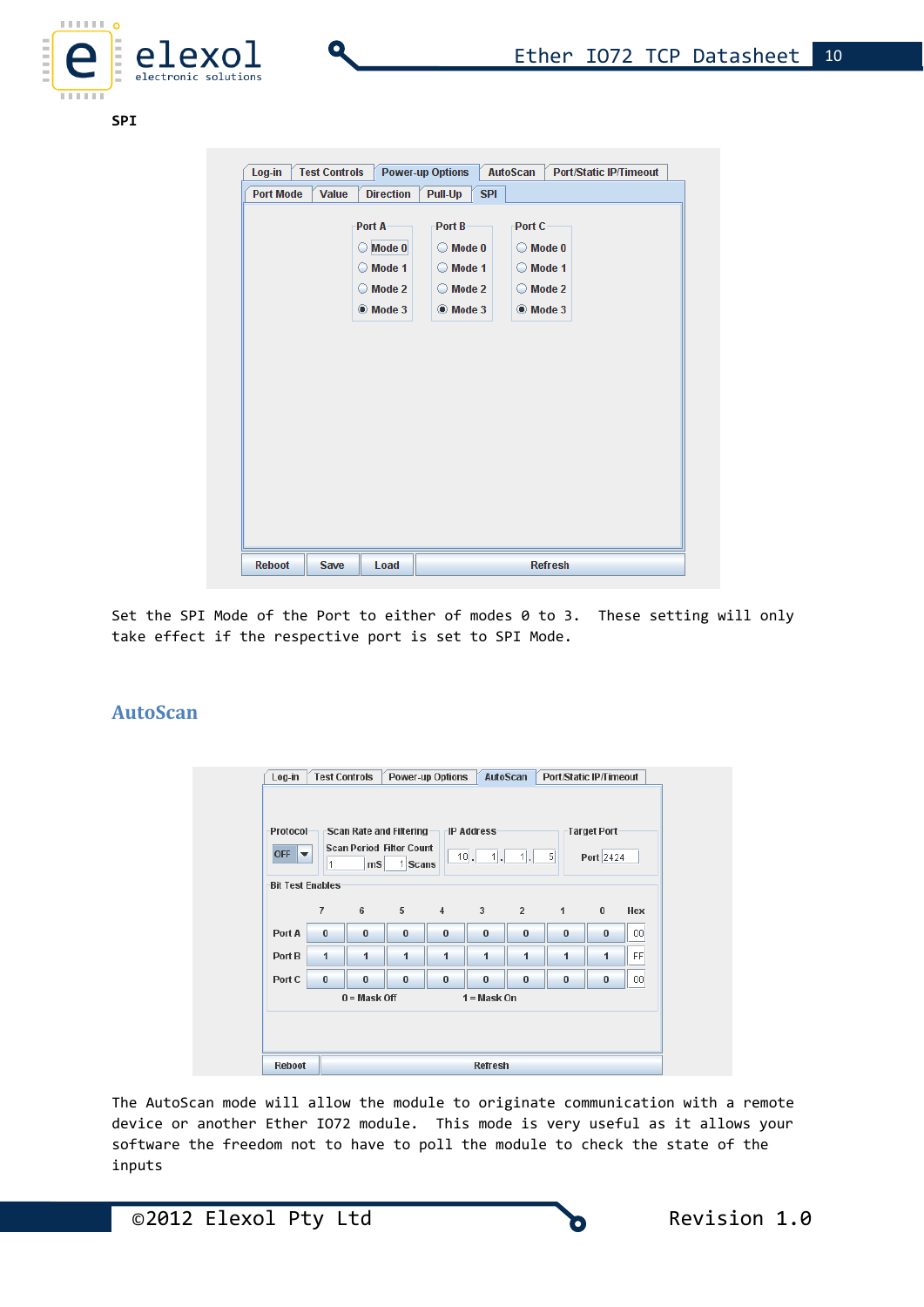

**SPI**

| Log-in           | <b>Test Controls</b> | <b>Power-up Options</b> |                       | <b>AutoScan</b>   | <b>Port/Static IP/Timeout</b> |
|------------------|----------------------|-------------------------|-----------------------|-------------------|-------------------------------|
| <b>Port Mode</b> | <b>Value</b>         | <b>Direction</b>        | <b>SPI</b><br>Pull-Up |                   |                               |
|                  |                      | Port A                  | Port B-               | Port C-           |                               |
|                  |                      |                         |                       |                   |                               |
|                  |                      | $\bigcirc$ Mode 0       | $\bigcirc$ Mode 0     | $\bigcirc$ Mode 0 |                               |
|                  |                      | ◯ Mode 1                | $\bigcirc$ Mode 1     | ◯ Mode 1          |                               |
|                  |                      | ◯ Mode 2                | $\bigcirc$ Mode 2     | ◯ Mode 2          |                               |
|                  |                      | $\bullet$ Mode 3        | $\bullet$ Mode 3      | <b>O</b> Mode 3   |                               |
|                  |                      |                         |                       |                   |                               |
|                  |                      |                         |                       |                   |                               |

Set the SPI Mode of the Port to either of modes 0 to 3. These setting will only take effect if the respective port is set to SPI Mode.

# **AutoScan**

| Protocol<br>OFF $\blacktriangledown$<br><b>Bit Test Enables</b> | 1              | ms             | Scan Rate and Filtering<br><b>Scan Period Filter Count</b><br>1 Scans |                | <b>IP Address</b><br>$1$ .<br>$10$ . | $1$ .       | $\vert$      | Target Port<br>Port 2424 |           |
|-----------------------------------------------------------------|----------------|----------------|-----------------------------------------------------------------------|----------------|--------------------------------------|-------------|--------------|--------------------------|-----------|
|                                                                 | $\overline{7}$ | 6              | 5                                                                     | $\overline{4}$ | $3^{\circ}$                          | $2^{\circ}$ | $\mathbf{1}$ | $\bf{0}$                 | Hex       |
| Port A                                                          | $\bf{0}$       | $\bf{0}$       | $\bf{0}$                                                              | $\bf{0}$       | $\bf{0}$                             | $\bf{0}$    | $\bf{0}$     | $\bf{0}$                 | 00        |
| Port B                                                          | 1              | 1              | 1                                                                     | 1              | 1                                    | 1           | 1            | 1                        | <b>FF</b> |
| Port C                                                          | $\bf{0}$       | $\bf{0}$       | $\bf{0}$                                                              | $\bf{0}$       | $\bf{0}$                             | $\bf{0}$    | $\bf{0}$     | $\bf{0}$                 | 00        |
|                                                                 |                | $0 = Mask$ Off |                                                                       |                | $1 = Mask$ On                        |             |              |                          |           |

The AutoScan mode will allow the module to originate communication with a remote device or another Ether IO72 module. This mode is very useful as it allows your software the freedom not to have to poll the module to check the state of the inputs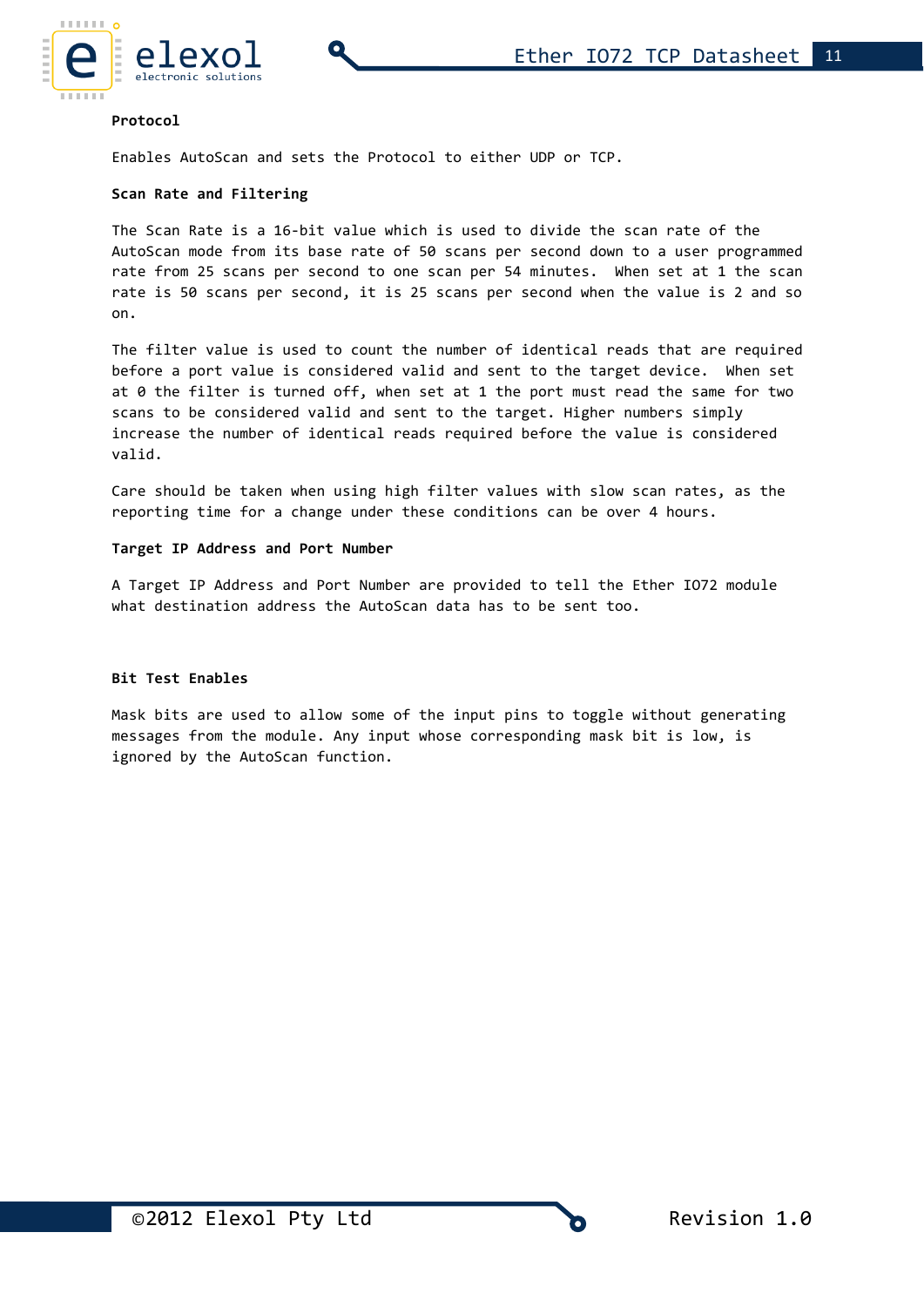

#### **Protocol**

Enables AutoScan and sets the Protocol to either UDP or TCP.

#### **Scan Rate and Filtering**

The Scan Rate is a 16-bit value which is used to divide the scan rate of the AutoScan mode from its base rate of 50 scans per second down to a user programmed rate from 25 scans per second to one scan per 54 minutes. When set at 1 the scan rate is 50 scans per second, it is 25 scans per second when the value is 2 and so on.

The filter value is used to count the number of identical reads that are required before a port value is considered valid and sent to the target device. When set at 0 the filter is turned off, when set at 1 the port must read the same for two scans to be considered valid and sent to the target. Higher numbers simply increase the number of identical reads required before the value is considered valid.

Care should be taken when using high filter values with slow scan rates, as the reporting time for a change under these conditions can be over 4 hours.

#### **Target IP Address and Port Number**

A Target IP Address and Port Number are provided to tell the Ether IO72 module what destination address the AutoScan data has to be sent too.

#### **Bit Test Enables**

Mask bits are used to allow some of the input pins to toggle without generating messages from the module. Any input whose corresponding mask bit is low, is ignored by the AutoScan function.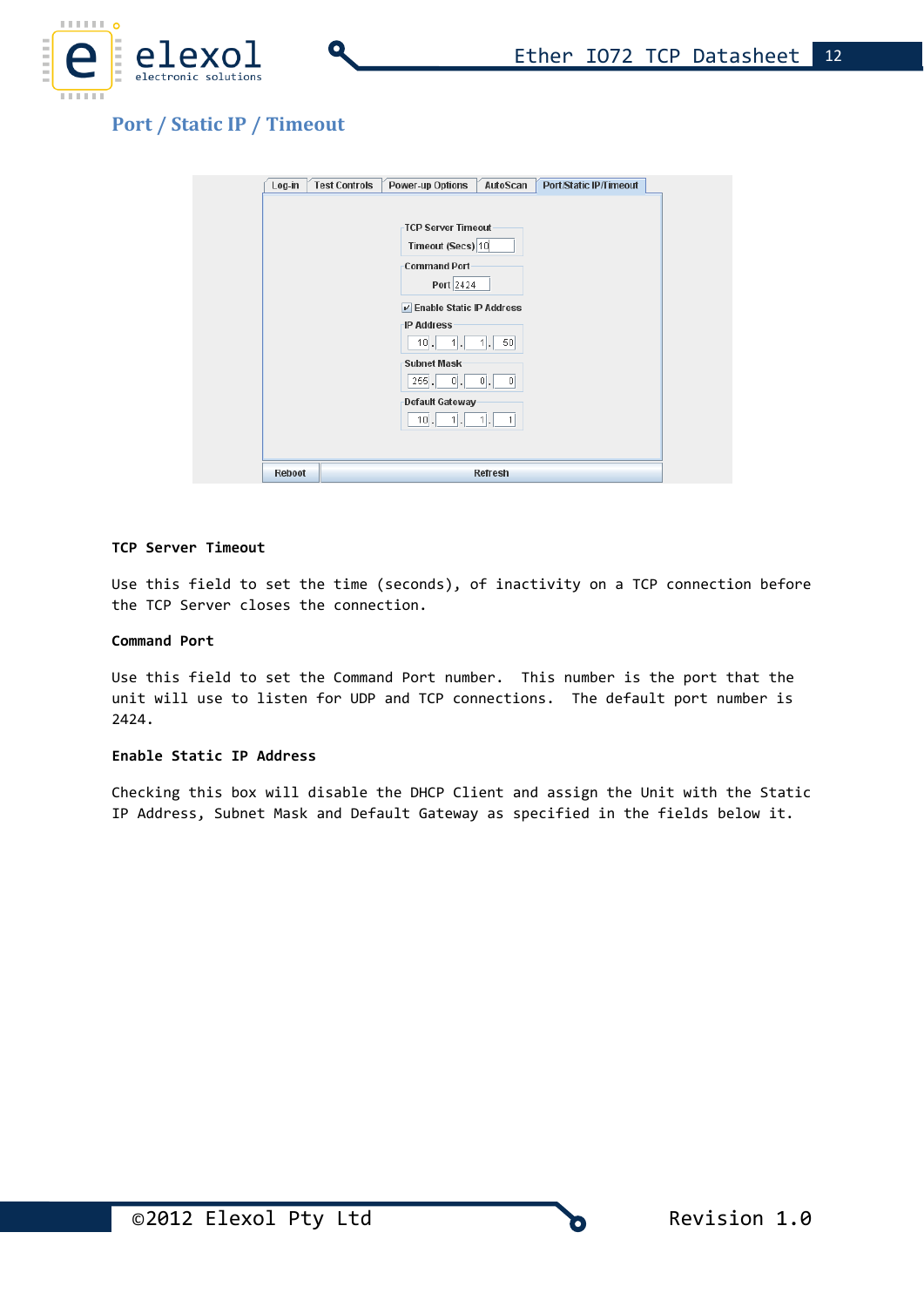



# **Port / Static IP / Timeout**

| Log-in        | <b>Test Controls</b><br><b>Power-up Options</b><br>AutoScan<br><b>Port/Static IP/Timeout</b>          |
|---------------|-------------------------------------------------------------------------------------------------------|
|               | <b>TCP Server Timeout</b><br>Timeout (Secs) 10<br><b>Command Port</b><br>Port 2424                    |
|               | <b>Z</b> Enable Static IP Address<br><b>IP Address</b><br>$10$ .<br>$1$ .<br>50 <sub>1</sub><br>$1$ . |
|               | <b>Subnet Mask</b><br>$255$ .<br> 0 <br>$ 0 $ .<br> 0                                                 |
|               | Default Gateway<br>$10$ .<br>$1$ [<br>1<br>$-1$<br>L.                                                 |
|               |                                                                                                       |
| <b>Reboot</b> | <b>Refresh</b>                                                                                        |

#### **TCP Server Timeout**

Use this field to set the time (seconds), of inactivity on a TCP connection before the TCP Server closes the connection.

#### **Command Port**

Use this field to set the Command Port number. This number is the port that the unit will use to listen for UDP and TCP connections. The default port number is 2424.

#### **Enable Static IP Address**

Checking this box will disable the DHCP Client and assign the Unit with the Static IP Address, Subnet Mask and Default Gateway as specified in the fields below it.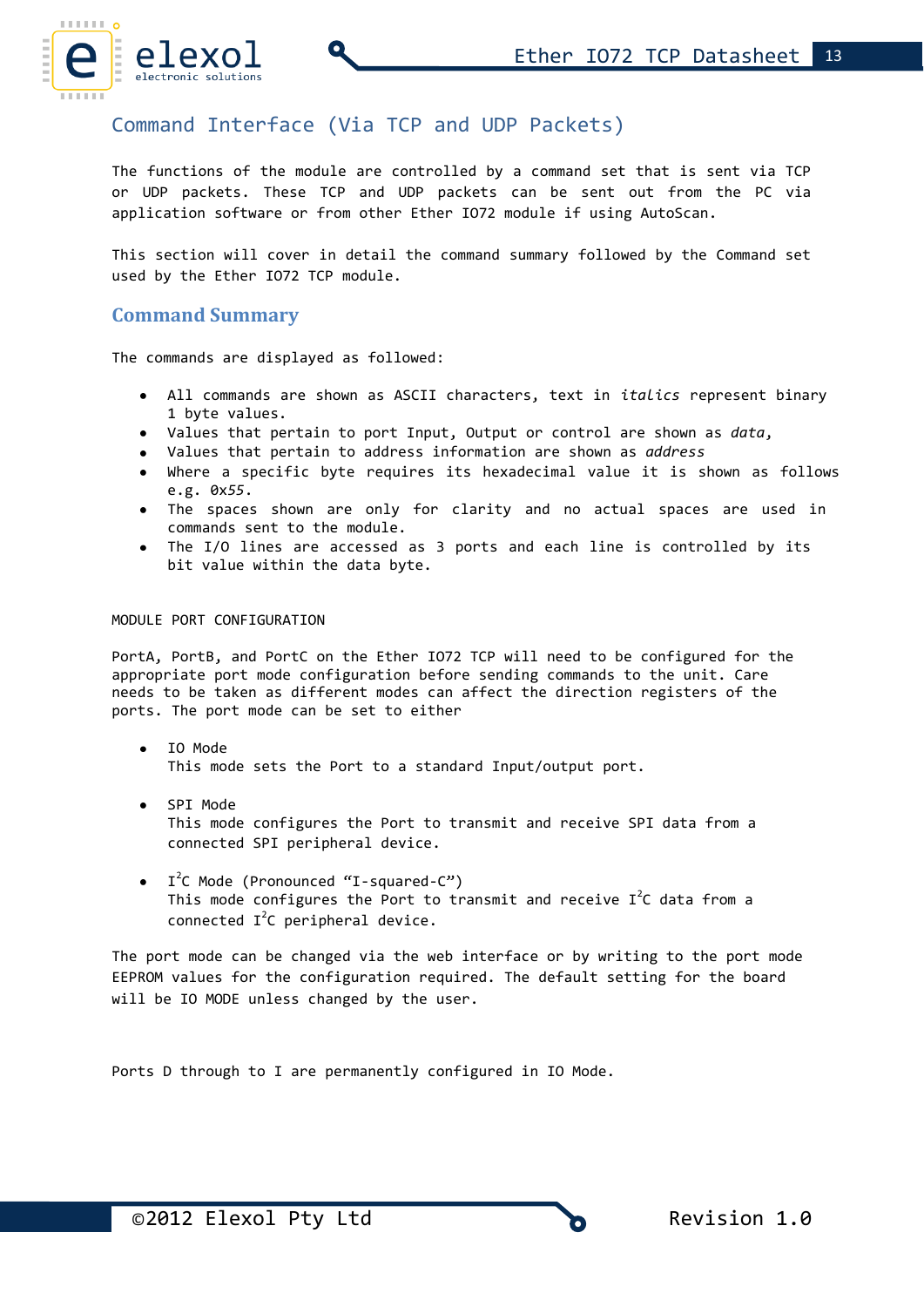

# Command Interface (Via TCP and UDP Packets)

The functions of the module are controlled by a command set that is sent via TCP or UDP packets. These TCP and UDP packets can be sent out from the PC via application software or from other Ether IO72 module if using AutoScan.

This section will cover in detail the command summary followed by the Command set used by the Ether IO72 TCP module.

### **Command Summary**

The commands are displayed as followed:

- All commands are shown as ASCII characters, text in *italics* represent binary 1 byte values.
- Values that pertain to port Input, Output or control are shown as *data*,
- Values that pertain to address information are shown as *address*
- Where a specific byte requires its hexadecimal value it is shown as follows e.g. 0x*55*.
- The spaces shown are only for clarity and no actual spaces are used in commands sent to the module.
- The I/O lines are accessed as 3 ports and each line is controlled by its bit value within the data byte.

#### MODULE PORT CONFIGURATION

PortA, PortB, and PortC on the Ether IO72 TCP will need to be configured for the appropriate port mode configuration before sending commands to the unit. Care needs to be taken as different modes can affect the direction registers of the ports. The port mode can be set to either

- IO Mode This mode sets the Port to a standard Input/output port.
- SPI Mode This mode configures the Port to transmit and receive SPI data from a connected SPI peripheral device.
- I<sup>2</sup>C Mode (Pronounced "I-squared-C") This mode configures the Port to transmit and receive  $I^2C$  data from a connected  $I^2C$  peripheral device.

The port mode can be changed via the web interface or by writing to the port mode EEPROM values for the configuration required. The default setting for the board will be IO MODE unless changed by the user.

Ports D through to I are permanently configured in IO Mode.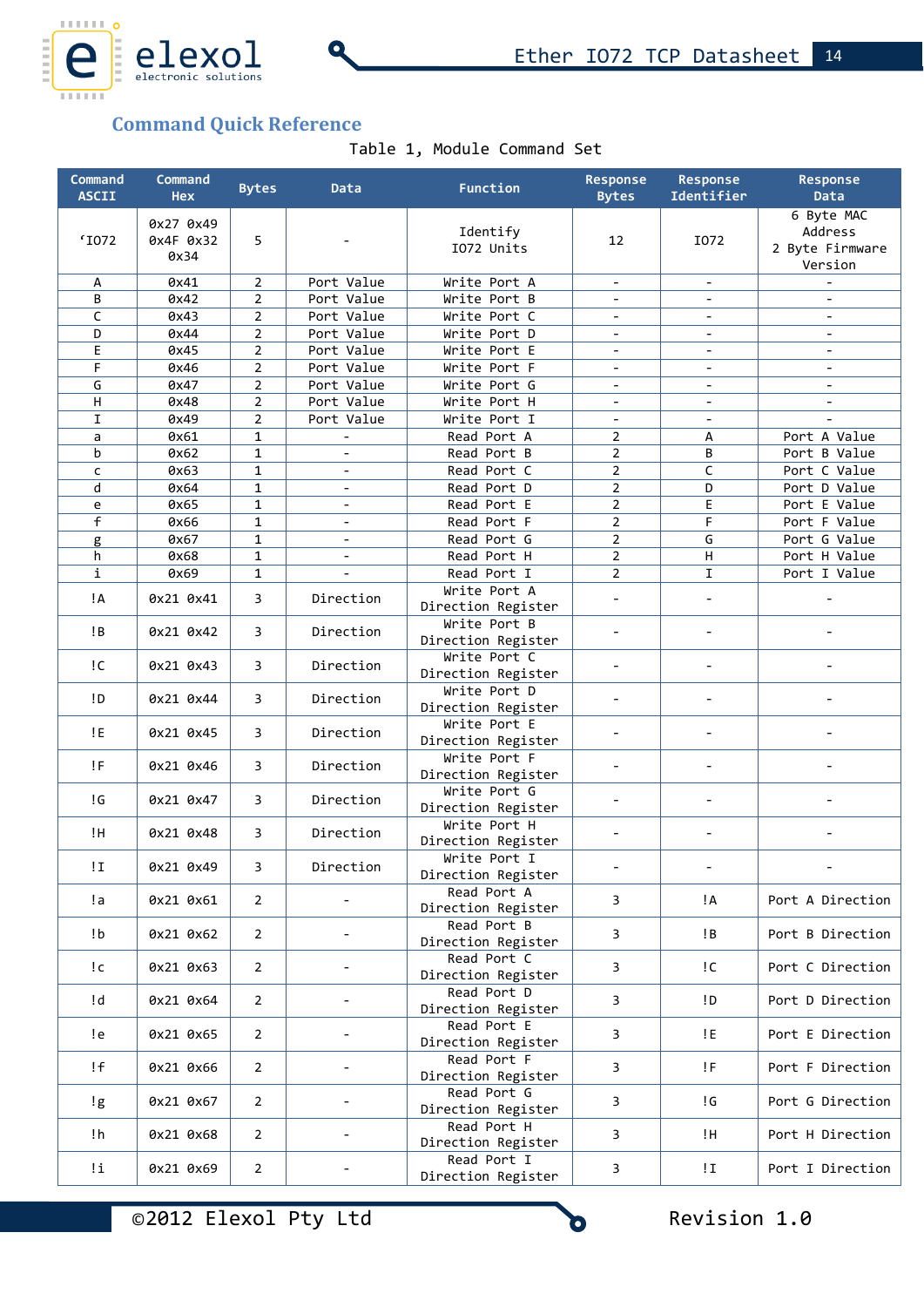

# **Command Quick Reference**

Table 1, Module Command Set

| Command<br><b>ASCII</b> | Command<br><b>Hex</b>          | <b>Bytes</b>   | Data                     | Function                           | Response<br><b>Bytes</b>     | <b>Response</b><br>Identifier | Response<br>Data                                    |
|-------------------------|--------------------------------|----------------|--------------------------|------------------------------------|------------------------------|-------------------------------|-----------------------------------------------------|
| 'I072                   | 0x27 0x49<br>0x4F 0x32<br>0x34 | 5              |                          | Identify<br>IO72 Units             | 12                           | I072                          | 6 Byte MAC<br>Address<br>2 Byte Firmware<br>Version |
| А                       | 0x41                           | $\overline{2}$ | Port Value               | Write Port A                       | $\overline{\phantom{a}}$     | $\blacksquare$                |                                                     |
| B                       | 0x42                           | 2              | Port Value               | Write Port B                       |                              |                               |                                                     |
| $\mathsf C$             | 0x43                           | $\overline{2}$ | Port Value               | Write Port C                       | $\overline{\phantom{a}}$     | $\overline{\phantom{0}}$      | $\overline{\phantom{a}}$                            |
| D                       | 0x44                           | 2              | Port Value               | Write Port D                       |                              |                               |                                                     |
| E                       | 0x45                           | $\overline{2}$ | Port Value               | Write Port E                       |                              |                               |                                                     |
| F                       | 0x46                           | $\overline{2}$ | Port Value               | Write Port F                       | $\overline{\phantom{a}}$     | $\overline{\phantom{0}}$      | $\overline{\phantom{a}}$                            |
| G                       | 0x47                           | 2              | Port Value               | Write Port G                       | $\blacksquare$               |                               | $\overline{\phantom{a}}$                            |
| Н                       | 0x48                           | 2              | Port Value               | Write Port H                       | $\overline{\phantom{a}}$     |                               | $\overline{\phantom{a}}$                            |
| $\mathbf I$             | 0x49                           | $\overline{2}$ | Port Value               | Write Port I                       | $\overline{\phantom{a}}$     |                               |                                                     |
| a                       | 0x61                           | $\mathbf{1}$   |                          | Read Port A                        | $\overline{2}$               | А                             | Port A Value                                        |
| b                       | 0x62                           | $\mathbf{1}$   |                          | Read Port B                        | $\overline{2}$               | B                             | Port B Value                                        |
| $\mathsf{C}$            | 0x63                           | $\mathbf{1}$   | $\blacksquare$           | Read Port C                        | $\overline{2}$               | $\mathsf C$                   | Port C Value                                        |
| d                       | 0x64                           | $\mathbf{1}$   | $\overline{\phantom{a}}$ | Read Port D                        | $\overline{2}$               | D                             | Port D Value                                        |
| e                       | 0x65                           | $\mathbf{1}$   | $\overline{\phantom{a}}$ | Read Port E                        | 2                            | E                             | Port E Value                                        |
| $\overline{f}$          | 0x66                           | $\mathbf{1}$   | $\blacksquare$           | Read Port F                        | $\overline{2}$               | F                             | Port F Value                                        |
| g                       | 0x67                           | $\mathbf{1}$   | $\overline{\phantom{a}}$ | Read Port G                        | $\overline{2}$               | G                             | Port G Value                                        |
| h                       | 0x68                           | $\mathbf{1}$   | $\overline{\phantom{a}}$ | Read Port H                        | $\overline{2}$               | $\mathsf H$                   | Port H Value                                        |
| i                       | 0x69                           | $\mathbf{1}$   | $\overline{a}$           | Read Port I                        | $\overline{2}$               | I                             | Port I Value                                        |
| ļΑ                      | 0x21 0x41                      | 3              | Direction                | Write Port A                       |                              |                               |                                                     |
|                         |                                |                |                          | Direction Register                 |                              |                               |                                                     |
| !B                      | 0x21 0x42                      | 3              | Direction                | Write Port B<br>Direction Register |                              |                               |                                                     |
| !C                      | 0x21 0x43                      | 3              | Direction                | Write Port C<br>Direction Register | $\qquad \qquad \blacksquare$ |                               |                                                     |
| !D                      | 0x21 0x44                      | 3              | Direction                | Write Port D<br>Direction Register |                              |                               |                                                     |
| !E                      | 0x21 0x45                      | 3              | Direction                | Write Port E<br>Direction Register |                              |                               |                                                     |
| !F                      | 0x21 0x46                      | 3              | Direction                | Write Port F<br>Direction Register |                              |                               | $\overline{a}$                                      |
| ! G                     | 0x21 0x47                      | 3              | Direction                | Write Port G<br>Direction Register |                              |                               |                                                     |
| ŢН                      | 0x21 0x48                      | 3              | Direction                | Write Port H<br>Direction Register |                              | $\overline{a}$                |                                                     |
| ΙI                      | 0x21 0x49                      | 3              | Direction                | Write Port I<br>Direction Register | $\overline{\phantom{a}}$     |                               |                                                     |
| !a                      | 0x21 0x61                      | $\overline{2}$ |                          | Read Port A<br>Direction Register  | 3                            | ļА                            | Port A Direction                                    |
| !b                      | 0x21 0x62                      | $\overline{2}$ | $\overline{\phantom{a}}$ | Read Port B<br>Direction Register  | 3                            | ļВ                            | Port B Direction                                    |
| !c                      | 0x21 0x63                      | $\overline{2}$ |                          | Read Port C<br>Direction Register  | 3                            | i C                           | Port C Direction                                    |
| !d                      | 0x21 0x64                      | $\overline{2}$ | $\overline{\phantom{a}}$ | Read Port D<br>Direction Register  | 3                            | !D                            | Port D Direction                                    |
| !e                      | 0x21 0x65                      | $\overline{2}$ |                          | Read Port E<br>Direction Register  | 3                            | !E                            | Port E Direction                                    |
| !f                      | 0x21 0x66                      | $\overline{2}$ |                          | Read Port F<br>Direction Register  | 3                            | !F                            | Port F Direction                                    |
| !g                      | 0x21 0x67                      | $\overline{2}$ | $\overline{\phantom{a}}$ | Read Port G<br>Direction Register  | 3                            | !G                            | Port G Direction                                    |
| !h                      | 0x21 0x68                      | $\overline{2}$ |                          | Read Port H<br>Direction Register  | 3                            | ŢН.                           | Port H Direction                                    |
| Ιi                      | 0x21 0x69                      | $\mathbf{2}$   |                          | Read Port I<br>Direction Register  | 3                            | !I                            | Port I Direction                                    |

©2012 Elexol Pty Ltd Revision 1.0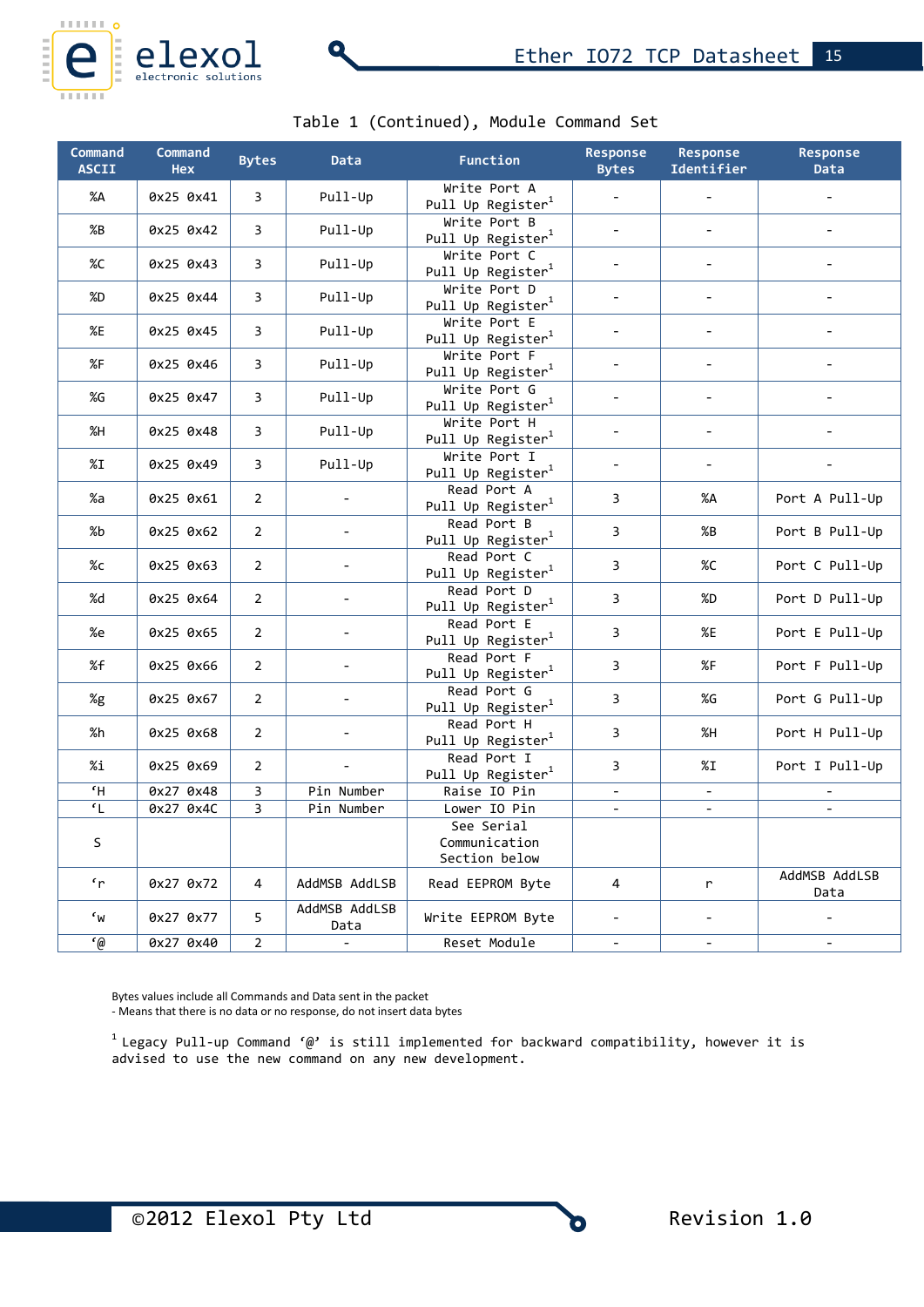

# Table 1 (Continued), Module Command Set

| Command<br><b>ASCII</b>                | Command<br><b>Hex</b> | <b>Bytes</b>   | <b>Data</b>              | Function                                      | Response<br><b>Bytes</b> | Response<br>Identifier   | Response<br><b>Data</b>      |
|----------------------------------------|-----------------------|----------------|--------------------------|-----------------------------------------------|--------------------------|--------------------------|------------------------------|
| %A                                     | 0x25 0x41             | $\overline{3}$ | Pull-Up                  | Write Port A<br>Pull Up Register <sup>1</sup> |                          |                          |                              |
| %B                                     | 0x25 0x42             | 3              | Pull-Up                  | Write Port B<br>Pull Up Register <sup>1</sup> |                          |                          |                              |
| %C                                     | 0x25 0x43             | $\overline{3}$ | Pull-Up                  | Write Port C<br>Pull Up Register <sup>1</sup> | $\overline{\phantom{0}}$ | $\overline{a}$           |                              |
| %D                                     | 0x25 0x44             | $\overline{3}$ | Pull-Up                  | Write Port D<br>Pull Up Register <sup>1</sup> | $\overline{a}$           |                          |                              |
| %E                                     | 0x25 0x45             | 3              | Pull-Up                  | Write Port E<br>Pull Up Register <sup>1</sup> | $\overline{a}$           | $\overline{a}$           |                              |
| %F                                     | 0x25 0x46             | 3              | Pull-Up                  | Write Port F<br>Pull Up Register <sup>1</sup> | $\overline{a}$           | $\overline{\phantom{0}}$ | $\qquad \qquad \blacksquare$ |
| %G                                     | 0x25 0x47             | 3              | Pull-Up                  | Write Port G<br>Pull Up Register <sup>1</sup> | $\overline{\phantom{m}}$ | $\qquad \qquad -$        |                              |
| %H                                     | 0x25 0x48             | $\overline{3}$ | Pull-Up                  | Write Port H<br>Pull Up Register <sup>1</sup> | $\overline{\phantom{a}}$ | $\overline{a}$           | $\overline{\phantom{a}}$     |
| %I                                     | 0x25 0x49             | 3              | Pull-Up                  | Write Port I<br>Pull Up Register <sup>1</sup> | $\overline{\phantom{m}}$ | $\overline{\phantom{a}}$ |                              |
| %a                                     | 0x25 0x61             | $\overline{2}$ |                          | Pull Up Register <sup>1</sup>                 | Read Port A<br>3         |                          | Port A Pull-Up               |
| %b                                     | 0x25 0x62             | $\overline{2}$ | $\frac{1}{2}$            | Read Port B<br>Pull Up Register <sup>1</sup>  | 3                        | %B                       | Port B Pull-Up               |
| %c                                     | 0x25 0x63             | $\overline{2}$ |                          | Read Port C<br>Pull Up Register <sup>1</sup>  | 3                        | %C                       | Port C Pull-Up               |
| %d                                     | 0x25 0x64             | $\overline{2}$ |                          | Read Port D<br>Pull Up Register <sup>1</sup>  | 3                        | %D                       | Port D Pull-Up               |
| %e                                     | 0x25 0x65             | $\overline{2}$ | $\overline{\phantom{a}}$ | Read Port E<br>Pull Up Register <sup>1</sup>  | 3                        | %E                       | Port E Pull-Up               |
| %f                                     | 0x25 0x66             | $\overline{2}$ | $\overline{a}$           | Read Port F<br>Pull Up Register <sup>1</sup>  | $\overline{3}$           | %F                       | Port F Pull-Up               |
| %g                                     | 0x25 0x67             | $\overline{2}$ | $\blacksquare$           | Read Port G<br>Pull Up Register <sup>1</sup>  | 3                        | %G                       | Port G Pull-Up               |
| %h                                     | 0x25 0x68             | $\overline{2}$ | $\overline{\phantom{m}}$ | Read Port H<br>Pull Up Register <sup>1</sup>  | 3                        | %H                       | Port H Pull-Up               |
| %i                                     | 0x25 0x69             | $\overline{2}$ | $\blacksquare$           | Read Port I<br>Pull Up Register <sup>1</sup>  | 3                        | %I                       | Port I Pull-Up               |
| $\overline{H}$                         | 0x27 0x48             | 3              | Pin Number               | Raise IO Pin                                  | $\overline{a}$           |                          |                              |
| $\overline{\mathfrak{c}_L}$            | 0x27 0x4C             | 3              | Pin Number               | Lower IO Pin                                  | $\overline{\phantom{0}}$ | $\blacksquare$           |                              |
| S                                      |                       |                |                          | See Serial<br>Communication<br>Section below  |                          |                          |                              |
| $\mathbf{r}$                           | 0x27 0x72             | 4              | AddMSB AddLSB            | Read EEPROM Byte                              | 4                        | r                        | AddMSB AddLSB<br>Data        |
| $\epsilon_{\mathsf{W}}$                | 0x27 0x77             | 5              | AddMSB AddLSB<br>Data    | Write EEPROM Byte                             | $\overline{\phantom{0}}$ | $\blacksquare$           |                              |
| $\overline{\mathcal{C}(\mathfrak{g})}$ | 0x27 0x40             | $\overline{2}$ |                          | Reset Module                                  | $\blacksquare$           | $\sim$                   |                              |

Bytes values include all Commands and Data sent in the packet

- Means that there is no data or no response, do not insert data bytes

 $^{\text{\tiny{1}}}$  Legacy Pull-up Command '@' is still implemented for backward compatibility, however it is advised to use the new command on any new development.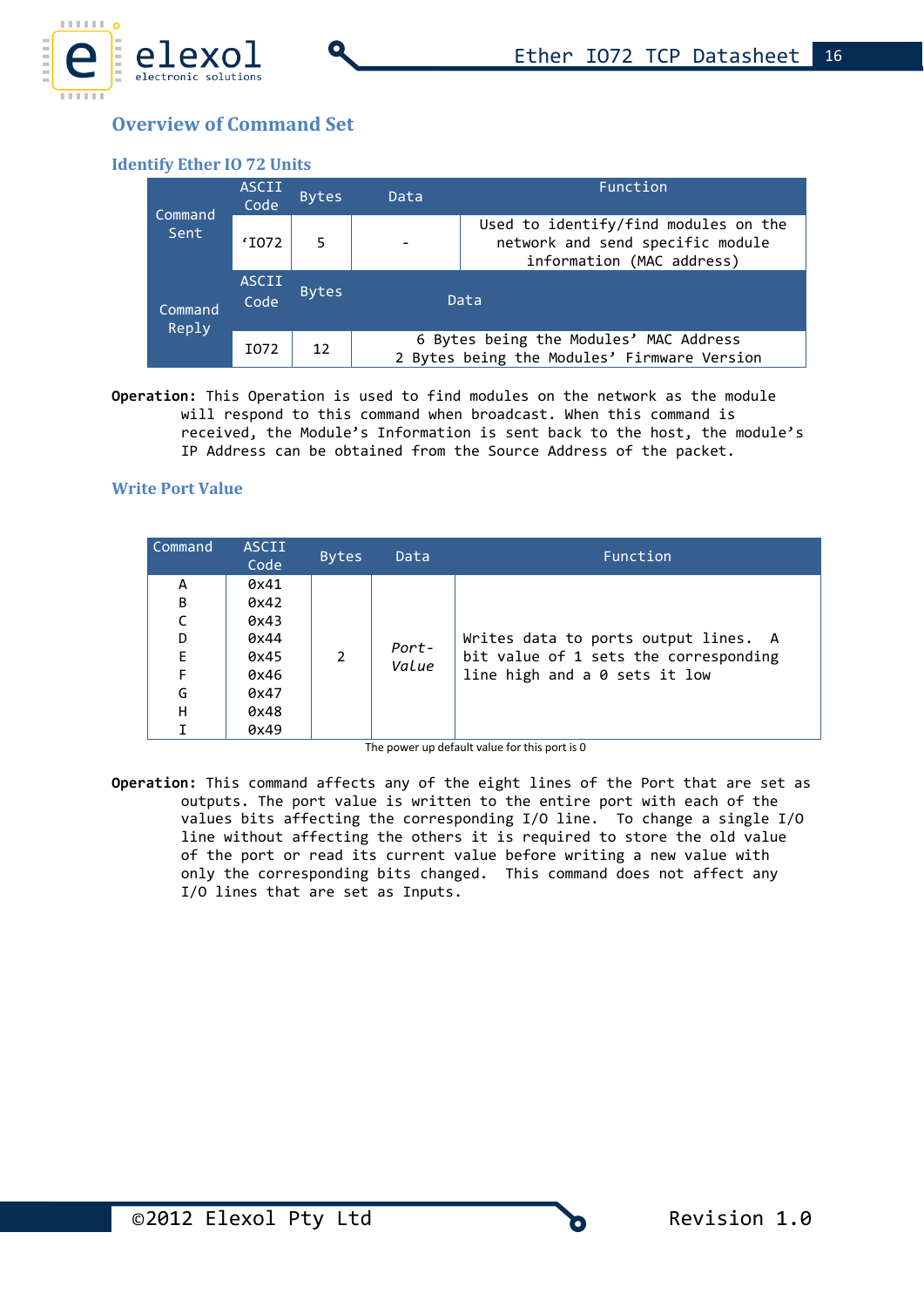

# **Overview of Command Set**

### **Identify Ether IO 72 Units**

| <b>ASCII</b><br><b>Bytes</b><br>Data<br>Code<br>Command<br>Sent<br>'I072<br>5 |                                                                                                       |              |  | Function                                                                              |
|-------------------------------------------------------------------------------|-------------------------------------------------------------------------------------------------------|--------------|--|---------------------------------------------------------------------------------------|
|                                                                               | Used to identify/find modules on the<br>network and send specific module<br>information (MAC address) |              |  |                                                                                       |
| Command<br>Reply                                                              | <b>ASCII</b><br>Code                                                                                  | <b>Bytes</b> |  | Data                                                                                  |
|                                                                               | I072                                                                                                  | 12           |  | 6 Bytes being the Modules' MAC Address<br>2 Bytes being the Modules' Firmware Version |

**Operation:** This Operation is used to find modules on the network as the module will respond to this command when broadcast. When this command is received, the Module's Information is sent back to the host, the module's IP Address can be obtained from the Source Address of the packet.

### **Write Port Value**

| Command | <b>ASCII</b><br>Code | <b>Bytes</b> | Data  | Function                              |
|---------|----------------------|--------------|-------|---------------------------------------|
| A       | 0x41                 |              |       |                                       |
| B       | 0x42                 |              |       |                                       |
| C       | 0x43                 |              |       |                                       |
| D       | 0x44                 |              | Port- | Writes data to ports output lines. A  |
| E       | 0x45                 |              |       | bit value of 1 sets the corresponding |
| F       | 0x46                 |              | Value | line high and a 0 sets it low         |
| G       | 0x47                 |              |       |                                       |
| н       | 0x48                 |              |       |                                       |
|         | 0x49                 |              |       |                                       |

The power up default value for this port is 0

**Operation:** This command affects any of the eight lines of the Port that are set as outputs. The port value is written to the entire port with each of the values bits affecting the corresponding I/O line. To change a single I/O line without affecting the others it is required to store the old value of the port or read its current value before writing a new value with only the corresponding bits changed. This command does not affect any I/O lines that are set as Inputs.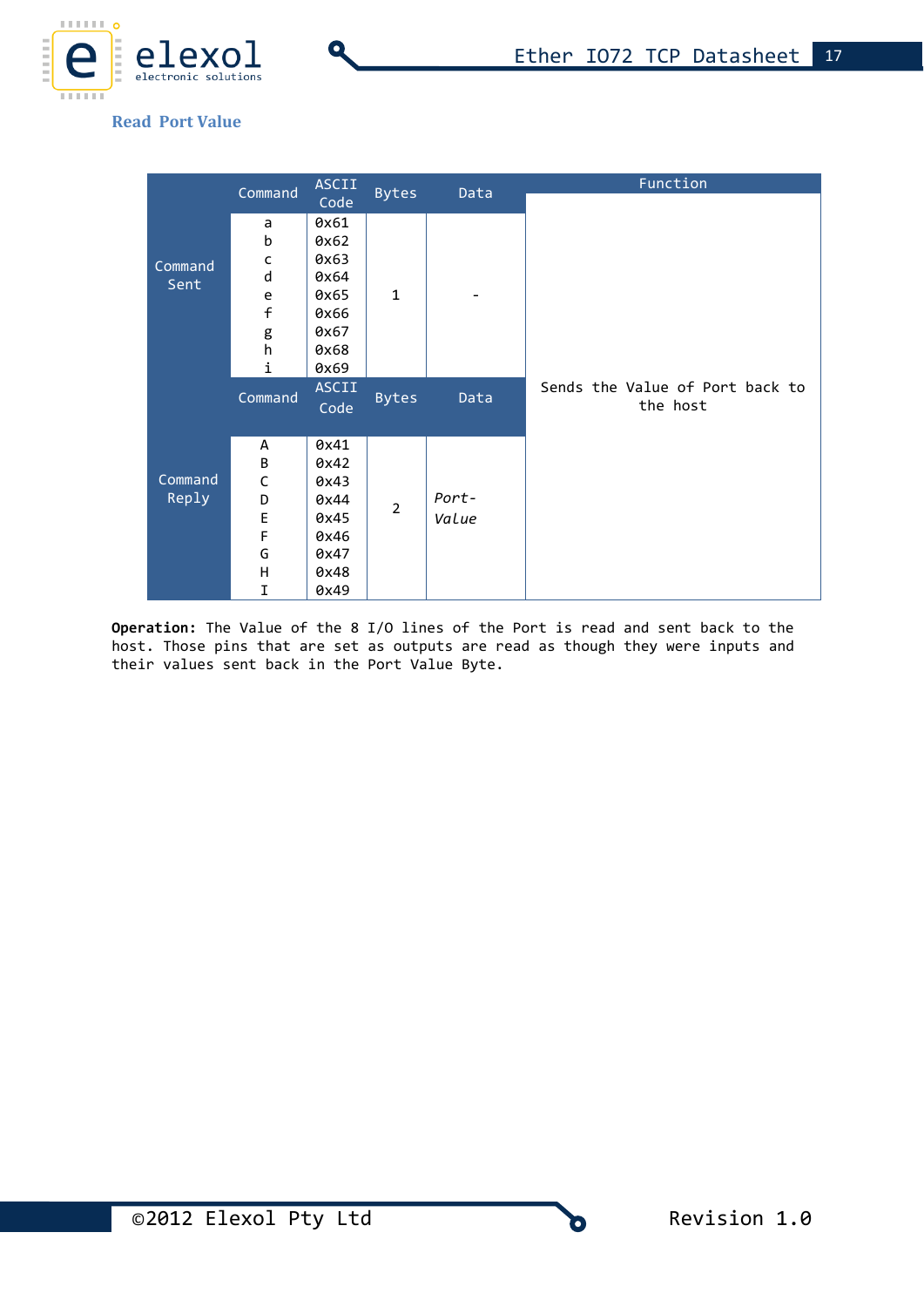

### **Read Port Value**

|         | Command        | <b>ASCII</b> |                | Data  | Function                        |
|---------|----------------|--------------|----------------|-------|---------------------------------|
|         |                | Code         | <b>Bytes</b>   |       |                                 |
|         | a              | 0x61         |                |       |                                 |
|         | b              | 0x62         |                |       |                                 |
| Command | $\mathsf{C}$   | 0x63         |                |       |                                 |
| Sent    | d              | 0x64         |                |       |                                 |
|         | e              | 0x65         | $\mathbf{1}$   |       |                                 |
|         | $\overline{f}$ | 0x66         |                |       |                                 |
|         | g<br>h         | 0x67         |                |       |                                 |
|         |                | 0x68         |                |       |                                 |
|         | i              | 0x69         |                |       |                                 |
|         | Command        | <b>ASCII</b> | <b>Bytes</b>   | Data  | Sends the Value of Port back to |
|         |                | Code         |                |       | the host                        |
|         |                |              |                |       |                                 |
|         | A              | 0x41         |                |       |                                 |
|         | B              | 0x42         |                |       |                                 |
| Command | $\mathsf C$    | 0x43         |                |       |                                 |
| Reply   | D              | 0x44         | $\overline{2}$ | Port- |                                 |
|         | E              | 0x45         |                | Value |                                 |
|         | F              | 0x46         |                |       |                                 |
|         | G              | 0x47         |                |       |                                 |
|         | H              | 0x48         |                |       |                                 |
|         | I              | 0x49         |                |       |                                 |

**Operation:** The Value of the 8 I/O lines of the Port is read and sent back to the host. Those pins that are set as outputs are read as though they were inputs and their values sent back in the Port Value Byte.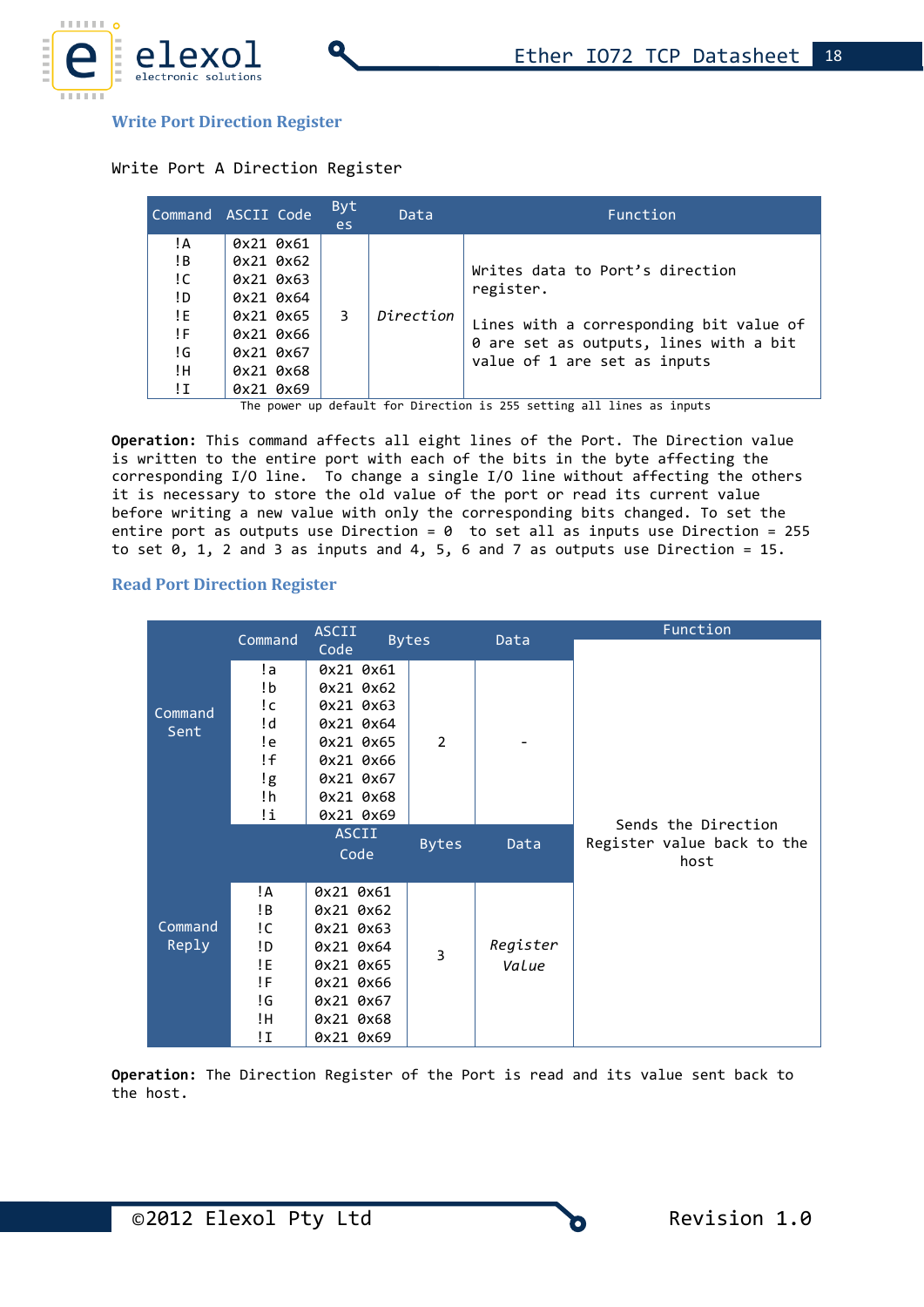

#### **Write Port Direction Register**

#### Write Port A Direction Register

|                                                                                                                                                                                                                                                                                                                     | Command ASCII Code | Byt<br>es. | Data | Function                                |
|---------------------------------------------------------------------------------------------------------------------------------------------------------------------------------------------------------------------------------------------------------------------------------------------------------------------|--------------------|------------|------|-----------------------------------------|
| !A<br>0x21 0x61<br>!B<br>0x21 0x62<br>Writes data to Port's direction<br>!C<br>0x21 0x63<br>register.<br>!D<br>0x21 0x64<br>!E<br>Direction<br>0x21 0x65<br>3<br>!F<br>0x21 0x66<br>0 are set as outputs, lines with a bit<br>!G<br>0x21 0x67<br>value of 1 are set as inputs<br>!Η<br>0x21 0x68<br>!Ι<br>0x21 0x69 |                    |            |      | Lines with a corresponding bit value of |

The power up default for Direction is 255 setting all lines as inputs

**Operation:** This command affects all eight lines of the Port. The Direction value is written to the entire port with each of the bits in the byte affecting the corresponding I/O line. To change a single I/O line without affecting the others it is necessary to store the old value of the port or read its current value before writing a new value with only the corresponding bits changed. To set the entire port as outputs use Direction =  $0$  to set all as inputs use Direction = 255 to set  $0$ ,  $1$ ,  $2$  and  $3$  as inputs and  $4$ ,  $5$ ,  $6$  and  $7$  as outputs use Direction = 15.

### **Read Port Direction Register**

|         | Command | <b>ASCII</b> |              |          | Function                   |
|---------|---------|--------------|--------------|----------|----------------------------|
|         |         | Code         | <b>Bytes</b> | Data     |                            |
|         | !a      | 0x21 0x61    |              |          |                            |
|         | !b      | 0x21 0x62    |              |          |                            |
| Command | !c      | 0x21 0x63    |              |          |                            |
| Sent    | !d      | 0x21 0x64    |              |          |                            |
|         | !e      | 0x21 0x65    | 2            |          |                            |
|         | !f      | 0x21 0x66    |              |          |                            |
|         | !g      | 0x21 0x67    |              |          |                            |
|         | !h      | 0x21 0x68    |              |          |                            |
|         | !i      | 0x21 0x69    |              |          | Sends the Direction        |
|         |         | <b>ASCII</b> | <b>Bytes</b> | Data     | Register value back to the |
|         |         | Code         |              |          | host                       |
|         |         |              |              |          |                            |
|         | !A      | 0x21 0x61    |              |          |                            |
|         | !B      | 0x21 0x62    |              |          |                            |
| Command | !C      | 0x21 0x63    |              |          |                            |
| Reply   | !D      | 0x21 0x64    | 3            | Register |                            |
|         | !E      | 0x21 0x65    |              | Value    |                            |
|         | !F      | 0x21 0x66    |              |          |                            |
|         | !G      | 0x21 0x67    |              |          |                            |
|         | !H      | 0x21 0x68    |              |          |                            |
|         | !Ι      | 0x21 0x69    |              |          |                            |

**Operation:** The Direction Register of the Port is read and its value sent back to the host.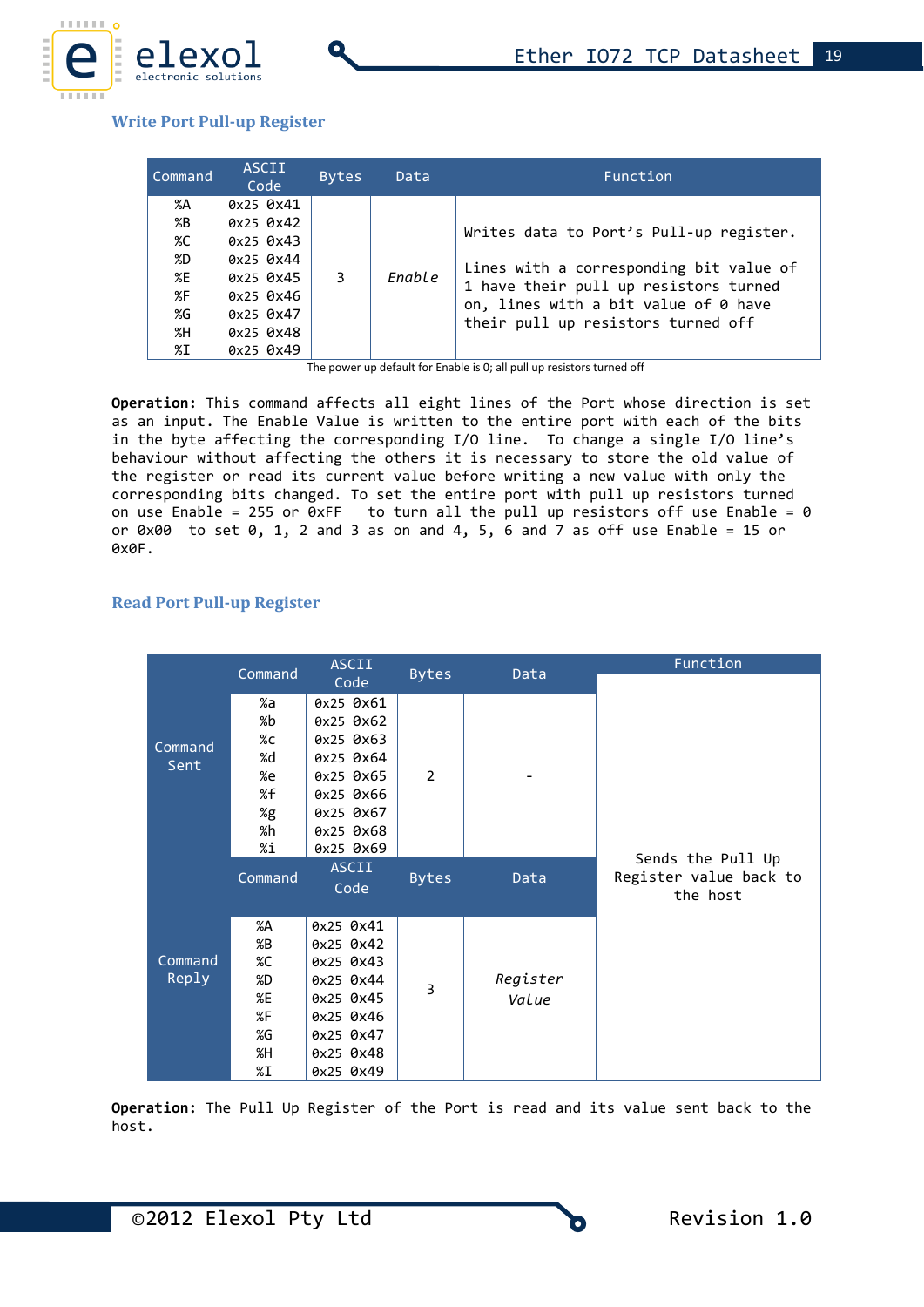

### **Write Port Pull-up Register**

| Command                                | <b>ASCII</b><br>Code                                                                                    | <b>Bytes</b> | Data   | Function                                                                                                                                                                                                  |
|----------------------------------------|---------------------------------------------------------------------------------------------------------|--------------|--------|-----------------------------------------------------------------------------------------------------------------------------------------------------------------------------------------------------------|
| %A<br>%B<br>%C<br>%D<br>%E<br>%F<br>%G | 0x25 0x41<br>$0x25$ $0x42$<br>$0x25$ $0x43$<br>$0x25$ $0x44$<br>0x25 0x45<br>$0x25$ $0x46$<br>0x25 0x47 | 3            | Enable | Writes data to Port's Pull-up register.<br>Lines with a corresponding bit value of<br>1 have their pull up resistors turned<br>on, lines with a bit value of 0 have<br>their pull up resistors turned off |
| %H<br>%I                               | 0x25 0x48<br>0x25 0x49                                                                                  |              |        |                                                                                                                                                                                                           |

The power up default for Enable is 0; all pull up resistors turned off

**Operation:** This command affects all eight lines of the Port whose direction is set as an input. The Enable Value is written to the entire port with each of the bits in the byte affecting the corresponding I/O line. To change a single I/O line's behaviour without affecting the others it is necessary to store the old value of the register or read its current value before writing a new value with only the corresponding bits changed. To set the entire port with pull up resistors turned on use Enable = 255 or  $\overline{0}$ xFF to turn all the pull up resistors off use Enable = 0 or  $0 \times 00$  to set  $0$ , 1, 2 and 3 as on and 4, 5, 6 and 7 as off use Enable = 15 or 0x0F.

### **Read Port Pull-up Register**

|         | Command | <b>ASCII</b> | <b>Bytes</b>   | Data     | Function               |
|---------|---------|--------------|----------------|----------|------------------------|
|         |         | Code         |                |          |                        |
|         | %a      | 0x25 0x61    |                |          |                        |
|         | %b      | 0x25 0x62    |                |          |                        |
| Command | %c      | 0x25 0x63    |                |          |                        |
| Sent    | %d      | 0x25 0x64    |                |          |                        |
|         | %e      | 0x25 0x65    | $\overline{2}$ |          |                        |
|         | %f      | 0x25 0x66    |                |          |                        |
|         | %g      | 0x25 0x67    |                |          |                        |
|         | %h      | 0x25 0x68    |                |          |                        |
|         | %i      | 0x25 0x69    |                |          | Sends the Pull Up      |
|         | Command | <b>ASCII</b> | <b>Bytes</b>   | Data     | Register value back to |
|         |         | Code         |                |          | the host               |
|         |         |              |                |          |                        |
|         | %A      | 0x25 0x41    |                |          |                        |
|         | %B      | 0x25 0x42    |                |          |                        |
| Command | %C      | 0x25 0x43    |                |          |                        |
| Reply   | %D      | 0x25 0x44    | 3              | Register |                        |
|         | %E      | 0x25 0x45    |                | Value    |                        |
|         | %F      | 0x25 0x46    |                |          |                        |
|         | %G      | 0x25 0x47    |                |          |                        |
|         | %H      | 0x25 0x48    |                |          |                        |
|         | %I      | 0x25 0x49    |                |          |                        |

**Operation:** The Pull Up Register of the Port is read and its value sent back to the host.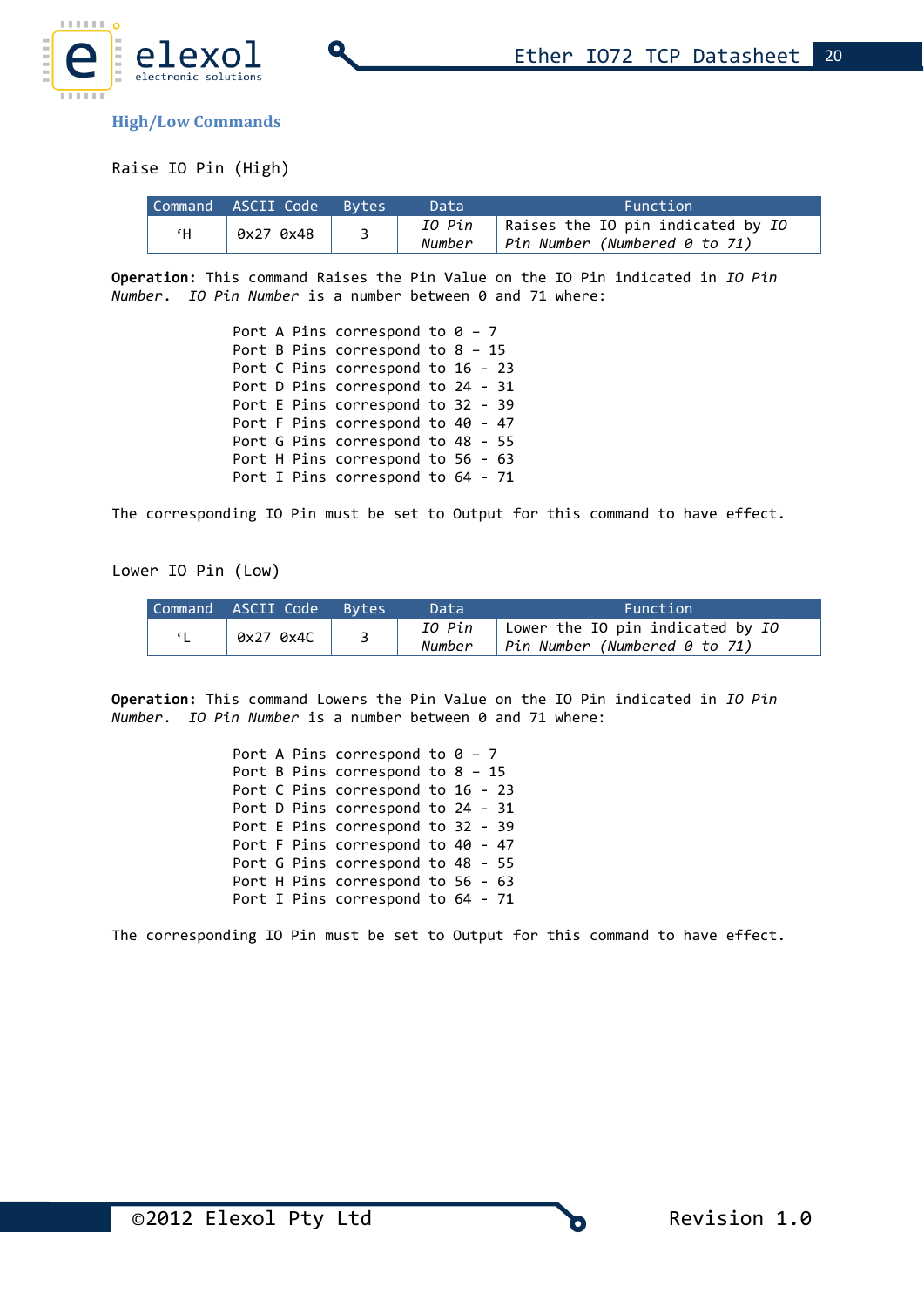

**High/Low Commands**

Raise IO Pin (High)

|    | Command ASCII Code Bytes | Data             | Function                                                                   |
|----|--------------------------|------------------|----------------------------------------------------------------------------|
| ٢H | 0x27 0x48                | IO Pin<br>Number | Raises the IO pin indicated by IO<br>$\vert$ Pin Number (Numbered 0 to 71) |

**Operation:** This command Raises the Pin Value on the IO Pin indicated in *IO Pin Number*. *IO Pin Number* is a number between 0 and 71 where:

|  | Port A Pins correspond to $0 - 7$  |  |  |
|--|------------------------------------|--|--|
|  | Port B Pins correspond to $8 - 15$ |  |  |
|  | Port C Pins correspond to 16 - 23  |  |  |
|  | Port D Pins correspond to 24 - 31  |  |  |
|  | Port E Pins correspond to 32 - 39  |  |  |
|  | Port F Pins correspond to 40 - 47  |  |  |
|  | Port G Pins correspond to 48 - 55  |  |  |
|  | Port H Pins correspond to 56 - 63  |  |  |
|  | Port I Pins correspond to 64 - 71  |  |  |

The corresponding IO Pin must be set to Output for this command to have effect.

Lower IO Pin (Low)

| Command ASCII Code Bytes | Data   | Function                                                                           |
|--------------------------|--------|------------------------------------------------------------------------------------|
| 6x270x4C                 | Number | IO Pin   Lower the IO pin indicated by IO<br>$\vert$ Pin Number (Numbered 0 to 71) |

**Operation:** This command Lowers the Pin Value on the IO Pin indicated in *IO Pin Number*. *IO Pin Number* is a number between 0 and 71 where:

> Port A Pins correspond to  $0 - 7$ Port B Pins correspond to 8 – 15 Port C Pins correspond to 16 - 23 Port D Pins correspond to 24 - 31 Port E Pins correspond to 32 - 39 Port F Pins correspond to 40 - 47 Port G Pins correspond to 48 - 55 Port H Pins correspond to 56 - 63 Port I Pins correspond to 64 - 71

The corresponding IO Pin must be set to Output for this command to have effect.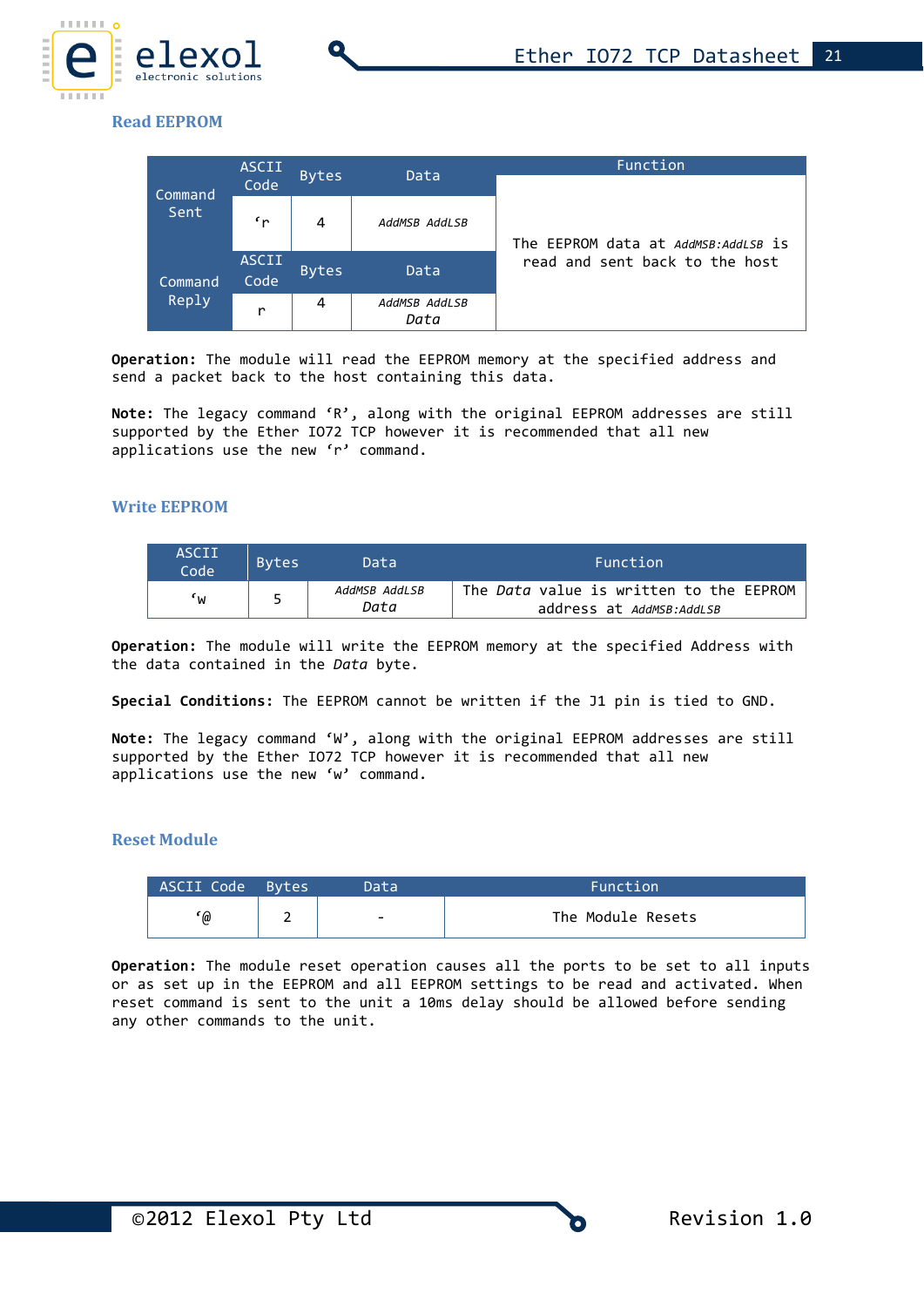

### **Read EEPROM**

|                 | <b>ASCII</b>  |              | Data                  | Function                             |  |  |
|-----------------|---------------|--------------|-----------------------|--------------------------------------|--|--|
| Command<br>Sent | <b>Code</b>   | <b>Bytes</b> |                       |                                      |  |  |
|                 | $\mathbf{r}$  | 4            | AddMSB AddLSB         | The EEPROM data at AddMSB: AddLSB is |  |  |
| Command         | ASCII<br>Code | <b>Bytes</b> | Data                  | read and sent back to the host       |  |  |
| Reply           | r             | 4            | AddMSB AddLSB<br>Data |                                      |  |  |

**Operation:** The module will read the EEPROM memory at the specified address and send a packet back to the host containing this data.

**Note:** The legacy command 'R', along with the original EEPROM addresses are still supported by the Ether IO72 TCP however it is recommended that all new applications use the new 'r' command.

#### **Write EEPROM**

| ASCII<br>Code | <b>Bytes</b> | Data                  | Function                                                                   |
|---------------|--------------|-----------------------|----------------------------------------------------------------------------|
| ٠w            |              | AddMSB AddLSB<br>Data | The <i>Data</i> value is written to the EEPROM<br>address at AddMSB:AddLSB |

**Operation:** The module will write the EEPROM memory at the specified Address with the data contained in the *Data* byte.

**Special Conditions:** The EEPROM cannot be written if the J1 pin is tied to GND.

**Note:** The legacy command 'W', along with the original EEPROM addresses are still supported by the Ether IO72 TCP however it is recommended that all new applications use the new 'w' command.

#### **Reset Module**

| ASCII Code Bytes | Data'                    | Function'         |
|------------------|--------------------------|-------------------|
| '@               | $\overline{\phantom{0}}$ | The Module Resets |

**Operation:** The module reset operation causes all the ports to be set to all inputs or as set up in the EEPROM and all EEPROM settings to be read and activated. When reset command is sent to the unit a 10ms delay should be allowed before sending any other commands to the unit.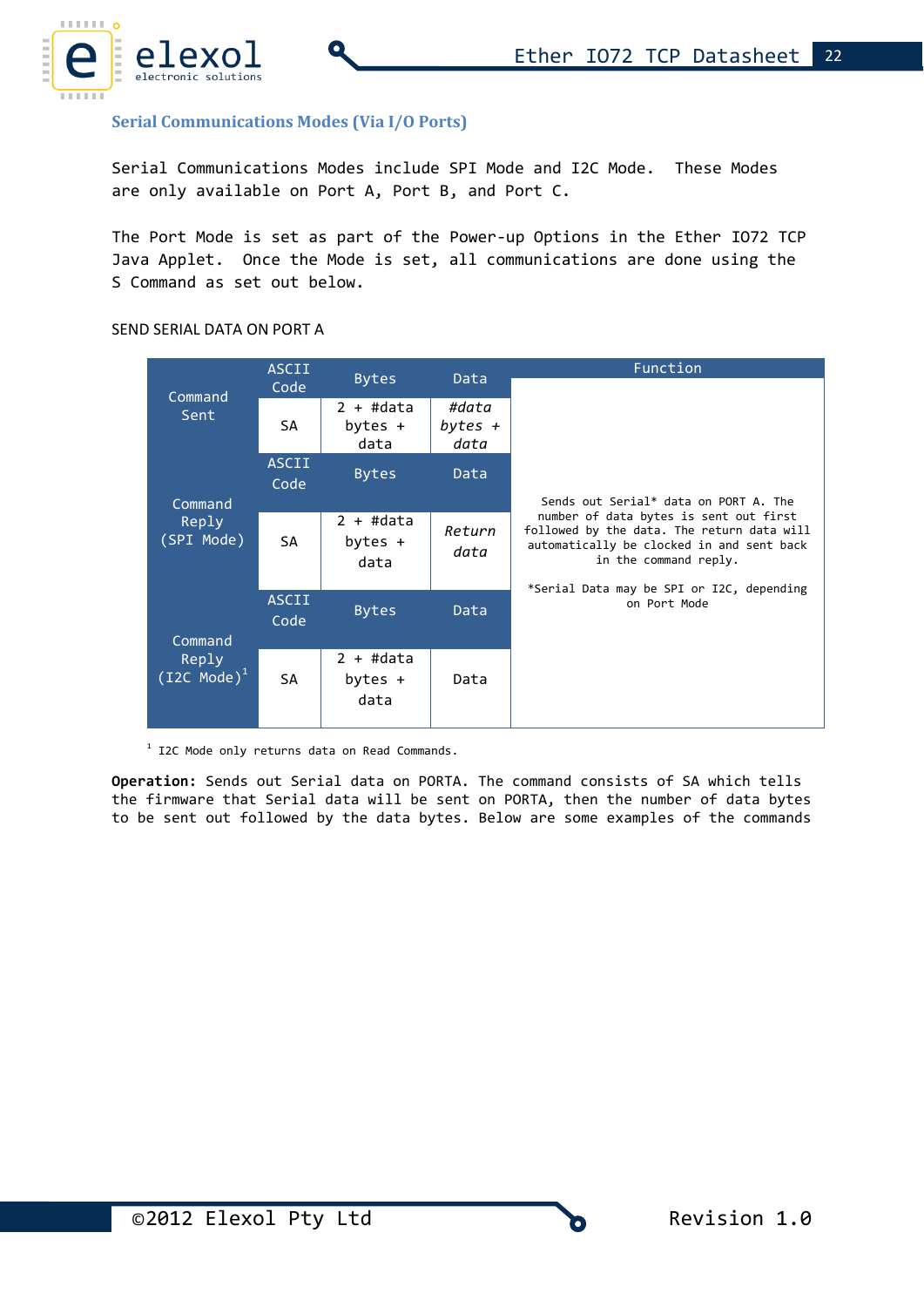

### **Serial Communications Modes (Via I/O Ports)**

Serial Communications Modes include SPI Mode and I2C Mode. These Modes are only available on Port A, Port B, and Port C.

The Port Mode is set as part of the Power-up Options in the Ether IO72 TCP Java Applet. Once the Mode is set, all communications are done using the S Command as set out below.

#### SEND SERIAL DATA ON PORT A

|                                | <b>ASCII</b>  |                                  | Data                       | Function                                                                                                                                                                                                |
|--------------------------------|---------------|----------------------------------|----------------------------|---------------------------------------------------------------------------------------------------------------------------------------------------------------------------------------------------------|
| Command                        | Code          | <b>Bytes</b>                     |                            |                                                                                                                                                                                                         |
| Sent                           | SA            | $2 + #data$<br>bytes +<br>data   | #data<br>bytes $+$<br>data |                                                                                                                                                                                                         |
|                                | ASCII<br>Code | <b>Bytes</b>                     | Data                       | Sends out Serial* data on PORT A. The                                                                                                                                                                   |
| Command<br>Reply<br>(SPI Mode) | SА            | $2 + #data$<br>bytes $+$<br>data | Return<br>data             | number of data bytes is sent out first<br>followed by the data. The return data will<br>automatically be clocked in and sent back<br>in the command reply.<br>*Serial Data may be SPI or I2C, depending |
| Command                        | ASCII<br>Code | <b>Bytes</b>                     | Data                       | on Port Mode                                                                                                                                                                                            |
| Reply<br>$(I2C Mode)^T$        | SА            | $2 + #data$<br>bytes +<br>data   | Data                       |                                                                                                                                                                                                         |

 $1$  I2C Mode only returns data on Read Commands.

**Operation:** Sends out Serial data on PORTA. The command consists of SA which tells the firmware that Serial data will be sent on PORTA, then the number of data bytes to be sent out followed by the data bytes. Below are some examples of the commands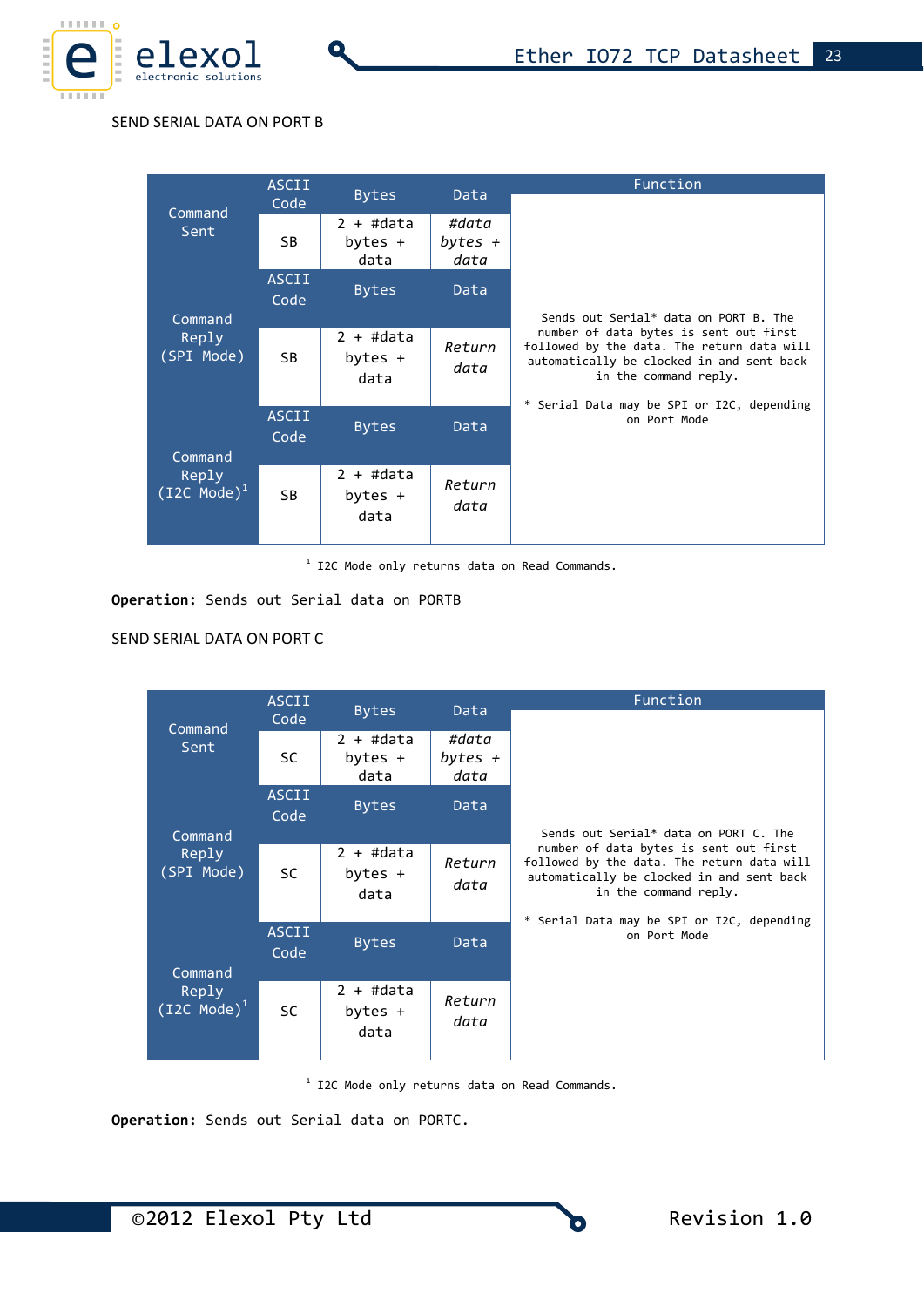

#### SEND SERIAL DATA ON PORT B

Q

|                                                                              | <b>ASCII</b>         |                                  |                | Function                                                                                                                                                   |
|------------------------------------------------------------------------------|----------------------|----------------------------------|----------------|------------------------------------------------------------------------------------------------------------------------------------------------------------|
| Command                                                                      | Code                 | <b>Bytes</b>                     | Data           |                                                                                                                                                            |
| $2 + #data$<br>#data<br>Sent<br>SB<br>bytes $+$<br>bytes $+$<br>data<br>data |                      |                                  |                |                                                                                                                                                            |
|                                                                              | <b>ASCII</b><br>Code | <b>Bytes</b>                     | Data           | Sends out Serial* data on PORT B. The                                                                                                                      |
| Command<br>Reply<br>(SPI Mode)                                               | SB.                  | $2 + #data$<br>bytes $+$<br>data | Return<br>data | number of data bytes is sent out first<br>followed by the data. The return data will<br>automatically be clocked in and sent back<br>in the command reply. |
| Command                                                                      | <b>ASCII</b><br>Code | <b>Bytes</b>                     | Data           | * Serial Data may be SPI or I2C, depending<br>on Port Mode                                                                                                 |
| Reply<br>$(12C Model)^1$                                                     | <b>SB</b>            | $2 + #data$<br>bytes $+$<br>data | Return<br>data |                                                                                                                                                            |

<sup>1</sup> I2C Mode only returns data on Read Commands.

#### **Operation:** Sends out Serial data on PORTB

### SEND SERIAL DATA ON PORT C

|                                                       | <b>ASCII</b>         | <b>Bytes</b>                     | Data                       | Function                                                                                                                                                                                                 |
|-------------------------------------------------------|----------------------|----------------------------------|----------------------------|----------------------------------------------------------------------------------------------------------------------------------------------------------------------------------------------------------|
| Command                                               | Code                 |                                  |                            |                                                                                                                                                                                                          |
| Sent                                                  | <b>SC</b>            | 2 + #data<br>bytes +<br>data     | #data<br>bytes $+$<br>data |                                                                                                                                                                                                          |
| Command                                               | <b>ASCII</b><br>Code | <b>Bytes</b>                     | Data                       | Sends out Serial* data on PORT C. The                                                                                                                                                                    |
| Reply<br>(SPI Mode)                                   | <b>SC</b>            | $2 + #data$<br>bytes $+$<br>data | Return<br>data             | number of data bytes is sent out first<br>followed by the data. The return data will<br>automatically be clocked in and sent back<br>in the command reply.<br>* Serial Data may be SPI or I2C, depending |
| Command<br>Reply<br>$\overline{\text{(I2C Model)}^1}$ | <b>ASCII</b><br>Code | <b>Bytes</b>                     | Data                       | on Port Mode                                                                                                                                                                                             |
|                                                       | <b>SC</b>            | $2 + #data$<br>bytes $+$<br>data | Return<br>data             |                                                                                                                                                                                                          |

<sup>1</sup> I2C Mode only returns data on Read Commands.

**Operation:** Sends out Serial data on PORTC.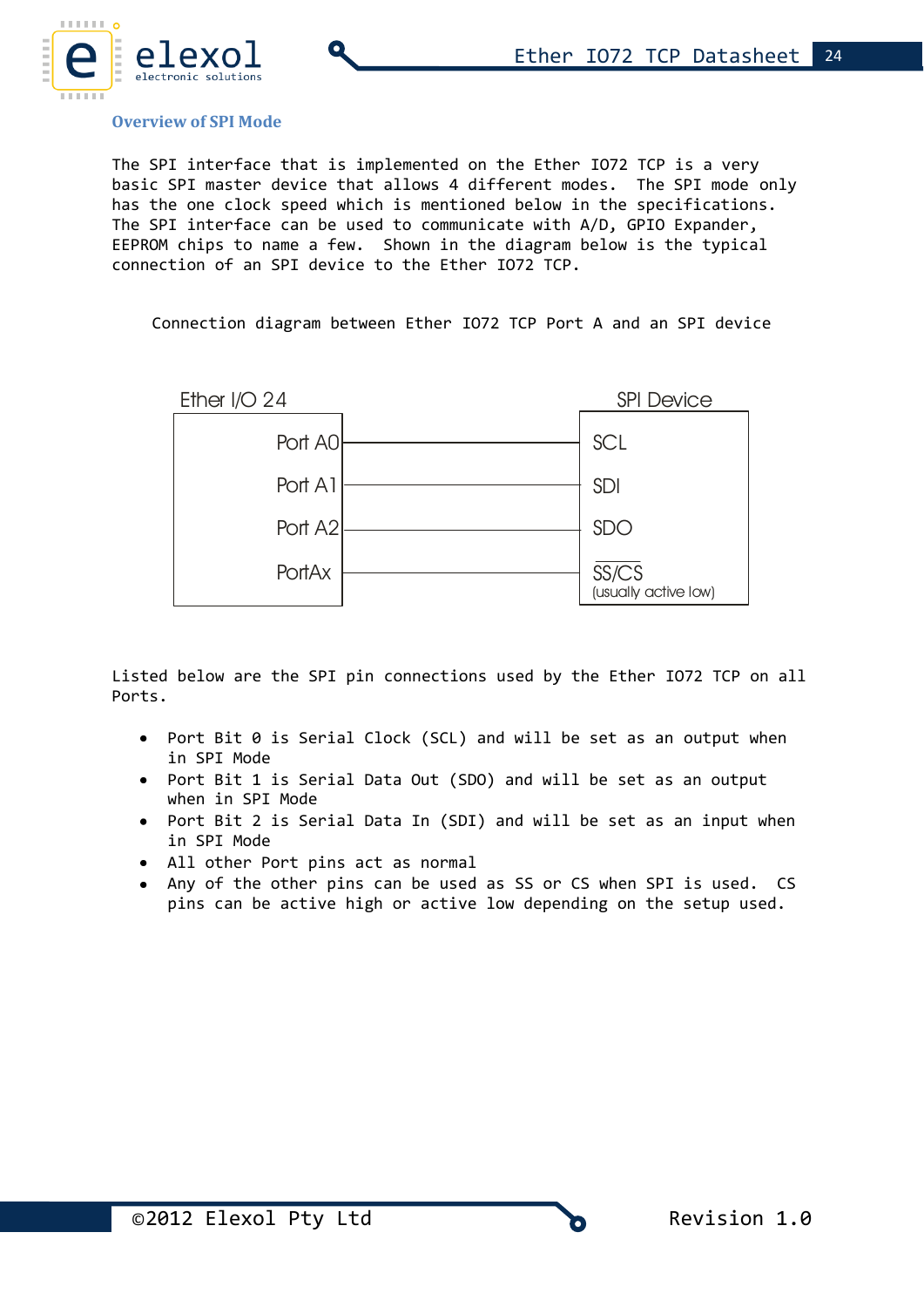

#### **Overview of SPI Mode**

The SPI interface that is implemented on the Ether IO72 TCP is a very basic SPI master device that allows 4 different modes. The SPI mode only has the one clock speed which is mentioned below in the specifications. The SPI interface can be used to communicate with A/D, GPIO Expander, EEPROM chips to name a few. Shown in the diagram below is the typical connection of an SPI device to the Ether IO72 TCP.

Connection diagram between Ether IO72 TCP Port A and an SPI device



Listed below are the SPI pin connections used by the Ether IO72 TCP on all Ports.

- Port Bit 0 is Serial Clock (SCL) and will be set as an output when in SPI Mode
- Port Bit 1 is Serial Data Out (SDO) and will be set as an output when in SPI Mode
- Port Bit 2 is Serial Data In (SDI) and will be set as an input when in SPI Mode
- All other Port pins act as normal
- Any of the other pins can be used as SS or CS when SPI is used. CS pins can be active high or active low depending on the setup used.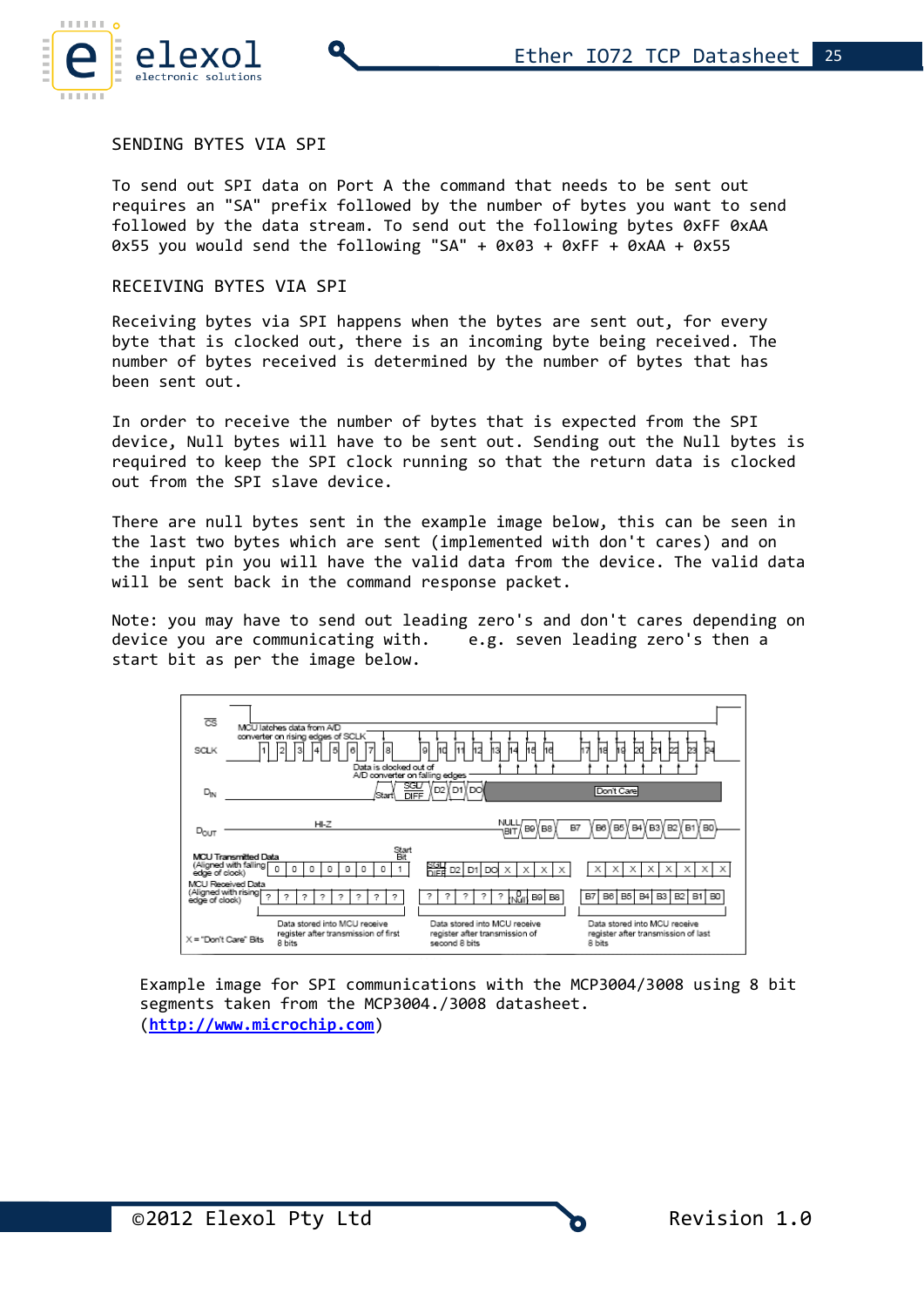

### SENDING BYTES VIA SPI

To send out SPI data on Port A the command that needs to be sent out requires an "SA" prefix followed by the number of bytes you want to send followed by the data stream. To send out the following bytes 0xFF 0xAA  $0x55$  you would send the following "SA" +  $0x03 + 0xFF + 0xAA + 0x55$ 

#### RECEIVING BYTES VIA SPI

Receiving bytes via SPI happens when the bytes are sent out, for every byte that is clocked out, there is an incoming byte being received. The number of bytes received is determined by the number of bytes that has been sent out.

In order to receive the number of bytes that is expected from the SPI device, Null bytes will have to be sent out. Sending out the Null bytes is required to keep the SPI clock running so that the return data is clocked out from the SPI slave device.

There are null bytes sent in the example image below, this can be seen in the last two bytes which are sent (implemented with don't cares) and on the input pin you will have the valid data from the device. The valid data will be sent back in the command response packet.

Note: you may have to send out leading zero's and don't cares depending on device you are communicating with. e.g. seven leading zero's then a start bit as per the image below.



Example image for SPI communications with the MCP3004/3008 using 8 bit segments taken from the MCP3004./3008 datasheet. (**[http://www.microchip.com](http://www.microchip.com/)**)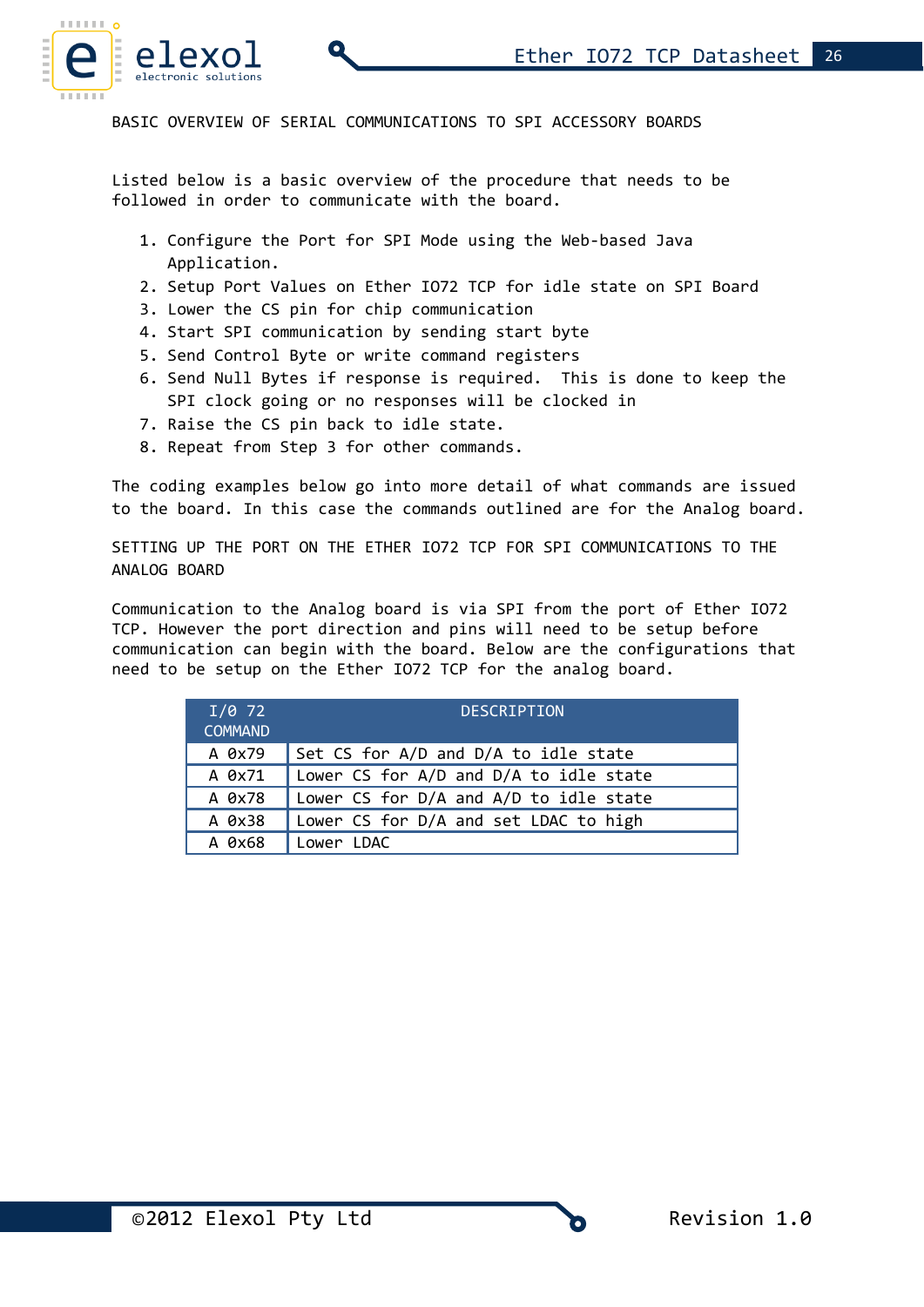

BASIC OVERVIEW OF SERIAL COMMUNICATIONS TO SPI ACCESSORY BOARDS

Listed below is a basic overview of the procedure that needs to be followed in order to communicate with the board.

- 1. Configure the Port for SPI Mode using the Web-based Java Application.
- 2. Setup Port Values on Ether IO72 TCP for idle state on SPI Board
- 3. Lower the CS pin for chip communication
- 4. Start SPI communication by sending start byte
- 5. Send Control Byte or write command registers
- 6. Send Null Bytes if response is required. This is done to keep the SPI clock going or no responses will be clocked in
- 7. Raise the CS pin back to idle state.
- 8. Repeat from Step 3 for other commands.

The coding examples below go into more detail of what commands are issued to the board. In this case the commands outlined are for the Analog board.

SETTING UP THE PORT ON THE ETHER IO72 TCP FOR SPI COMMUNICATIONS TO THE ANALOG BOARD

Communication to the Analog board is via SPI from the port of Ether IO72 TCP. However the port direction and pins will need to be setup before communication can begin with the board. Below are the configurations that need to be setup on the Ether IO72 TCP for the analog board.

| $I/0$ 72<br><b>COMMAND</b> | <b>DESCRIPTION</b>                     |
|----------------------------|----------------------------------------|
| A 0x79                     | Set CS for A/D and D/A to idle state   |
| A 0x71                     | Lower CS for A/D and D/A to idle state |
| A 0x78                     | Lower CS for D/A and A/D to idle state |
| A 0x38                     | Lower CS for D/A and set LDAC to high  |
| A 0x68                     | Lower LDAC                             |

©2012 Elexol Pty Ltd Revision 1.0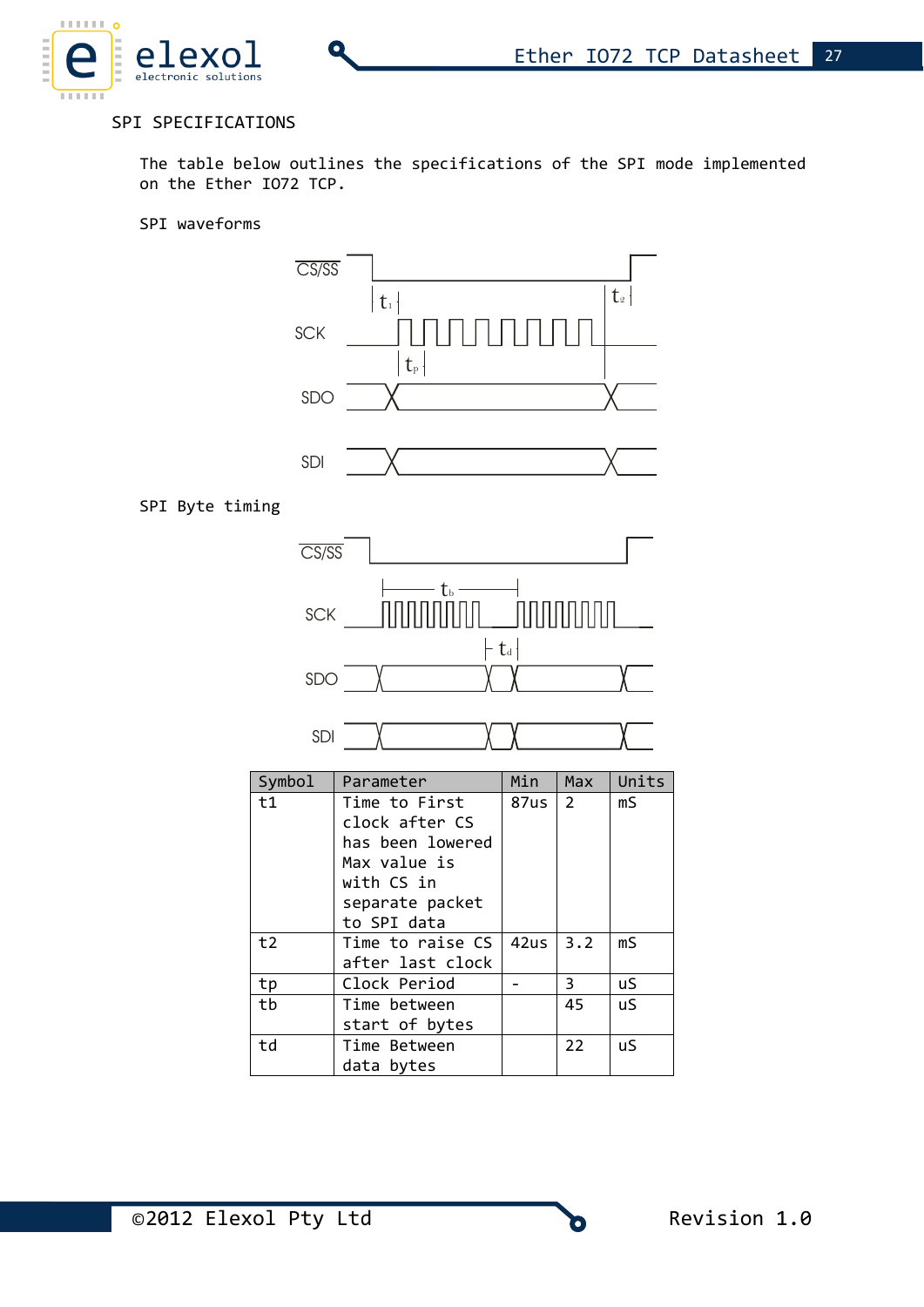### SPI SPECIFICATIONS

The table below outlines the specifications of the SPI mode implemented on the Ether IO72 TCP.

#### SPI waveforms

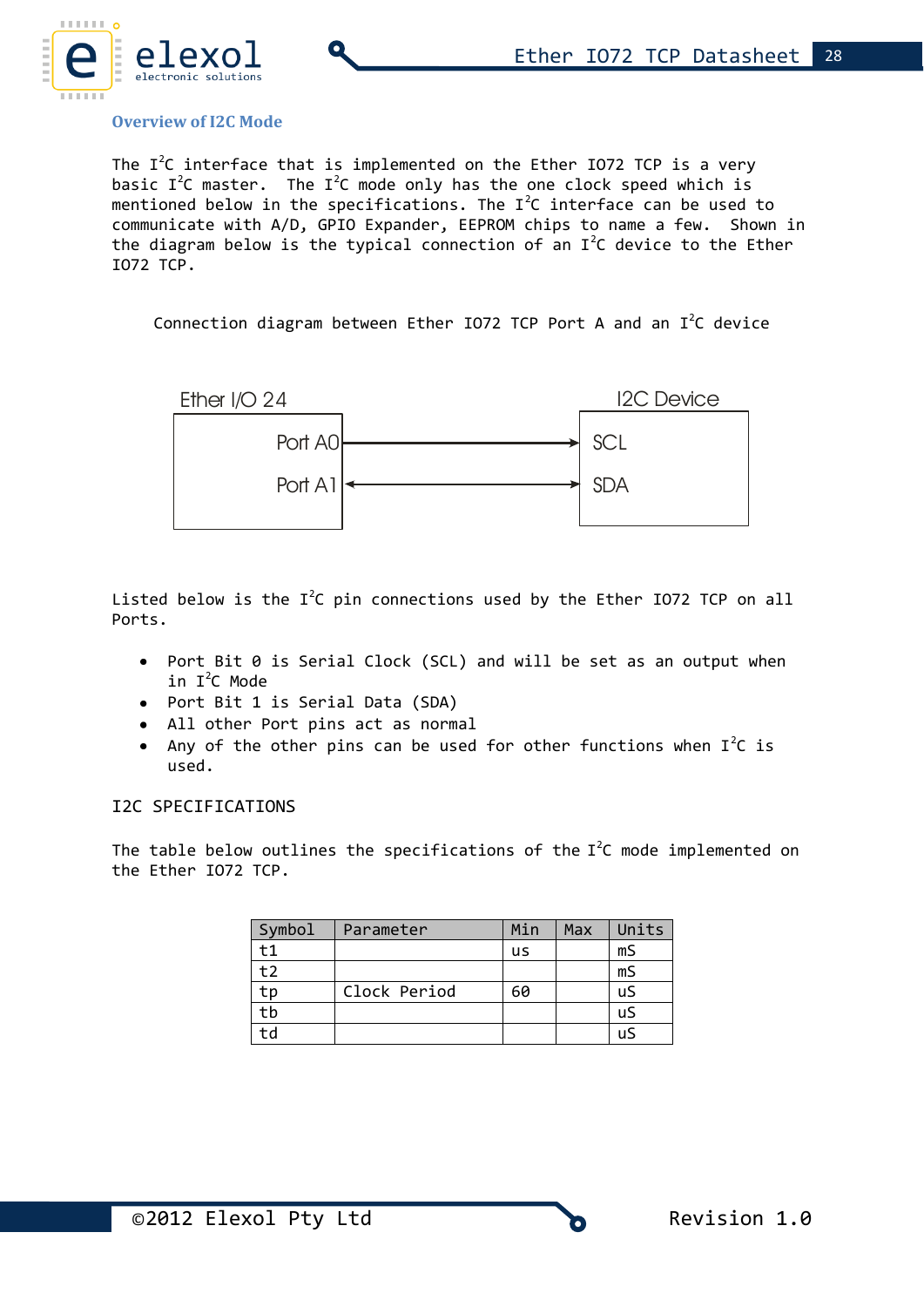

#### **Overview of I2C Mode**

The  $I^2C$  interface that is implemented on the Ether IO72 TCP is a very basic  $I^2C$  master. The  $I^2C$  mode only has the one clock speed which is mentioned below in the specifications. The  $I^2C$  interface can be used to communicate with A/D, GPIO Expander, EEPROM chips to name a few. Shown in the diagram below is the typical connection of an  $I^2C$  device to the Ether IO72 TCP.

Connection diagram between Ether IO72 TCP Port A and an  $I^2C$  device



Listed below is the  $I^2C$  pin connections used by the Ether IO72 TCP on all Ports.

- Port Bit 0 is Serial Clock (SCL) and will be set as an output when in  $I^2C$  Mode
- Port Bit 1 is Serial Data (SDA)
- All other Port pins act as normal
- Any of the other pins can be used for other functions when  $I^2C$  is used.

#### I2C SPECIFICATIONS

The table below outlines the specifications of the  $I^2C$  mode implemented on the Ether IO72 TCP.

| Symbol | Parameter    | Min | Max | Units |
|--------|--------------|-----|-----|-------|
| $+1$   |              | us  |     | mS    |
| t2     |              |     |     | mS    |
| tn     | Clock Period | 60  |     | uS    |
| tb     |              |     |     | uS    |
| td     |              |     |     | uS    |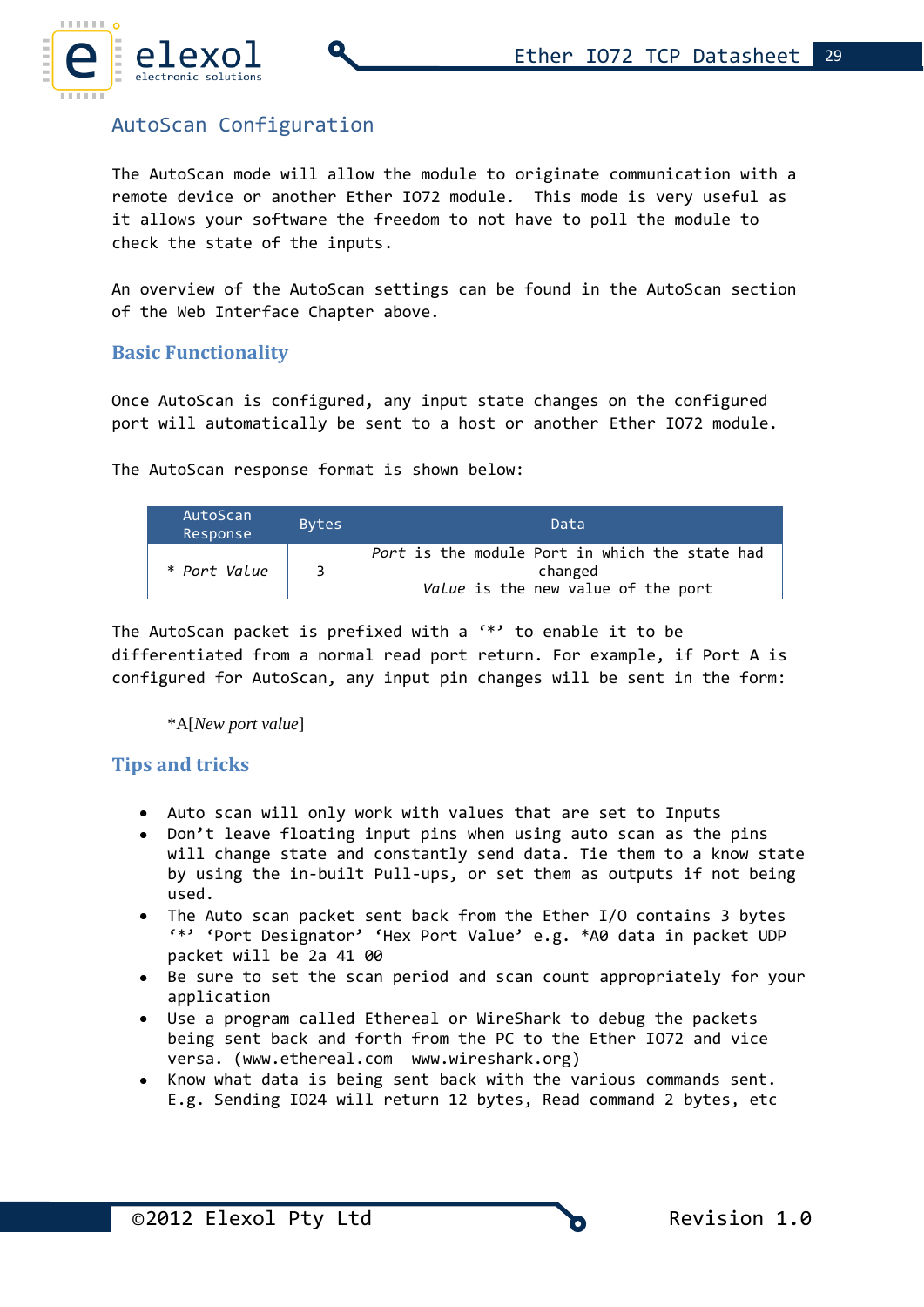

# AutoScan Configuration

The AutoScan mode will allow the module to originate communication with a remote device or another Ether IO72 module. This mode is very useful as it allows your software the freedom to not have to poll the module to check the state of the inputs.

An overview of the AutoScan settings can be found in the AutoScan section of the Web Interface Chapter above.

### **Basic Functionality**

Once AutoScan is configured, any input state changes on the configured port will automatically be sent to a host or another Ether IO72 module.

The AutoScan response format is shown below:

| AutoScan<br>Response | <b>Bytes</b> | Data                                                                                            |
|----------------------|--------------|-------------------------------------------------------------------------------------------------|
| * Port Value         | ર            | Port is the module Port in which the state had<br>changed<br>Value is the new value of the port |

The AutoScan packet is prefixed with a '\*' to enable it to be differentiated from a normal read port return. For example, if Port A is configured for AutoScan, any input pin changes will be sent in the form:

\*A[*New port value*]

# **Tips and tricks**

- Auto scan will only work with values that are set to Inputs
- Don't leave floating input pins when using auto scan as the pins will change state and constantly send data. Tie them to a know state by using the in-built Pull-ups, or set them as outputs if not being used.
- The Auto scan packet sent back from the Ether I/O contains 3 bytes '\*' 'Port Designator' 'Hex Port Value' e.g. \*A0 data in packet UDP packet will be 2a 41 00
- Be sure to set the scan period and scan count appropriately for your application
- Use a program called Ethereal or WireShark to debug the packets being sent back and forth from the PC to the Ether IO72 and vice versa. [\(www.ethereal.com](http://www.ethereal.com/) [www.wireshark.org\)](http://www.wireshark.org/)
- Know what data is being sent back with the various commands sent. E.g. Sending IO24 will return 12 bytes, Read command 2 bytes, etc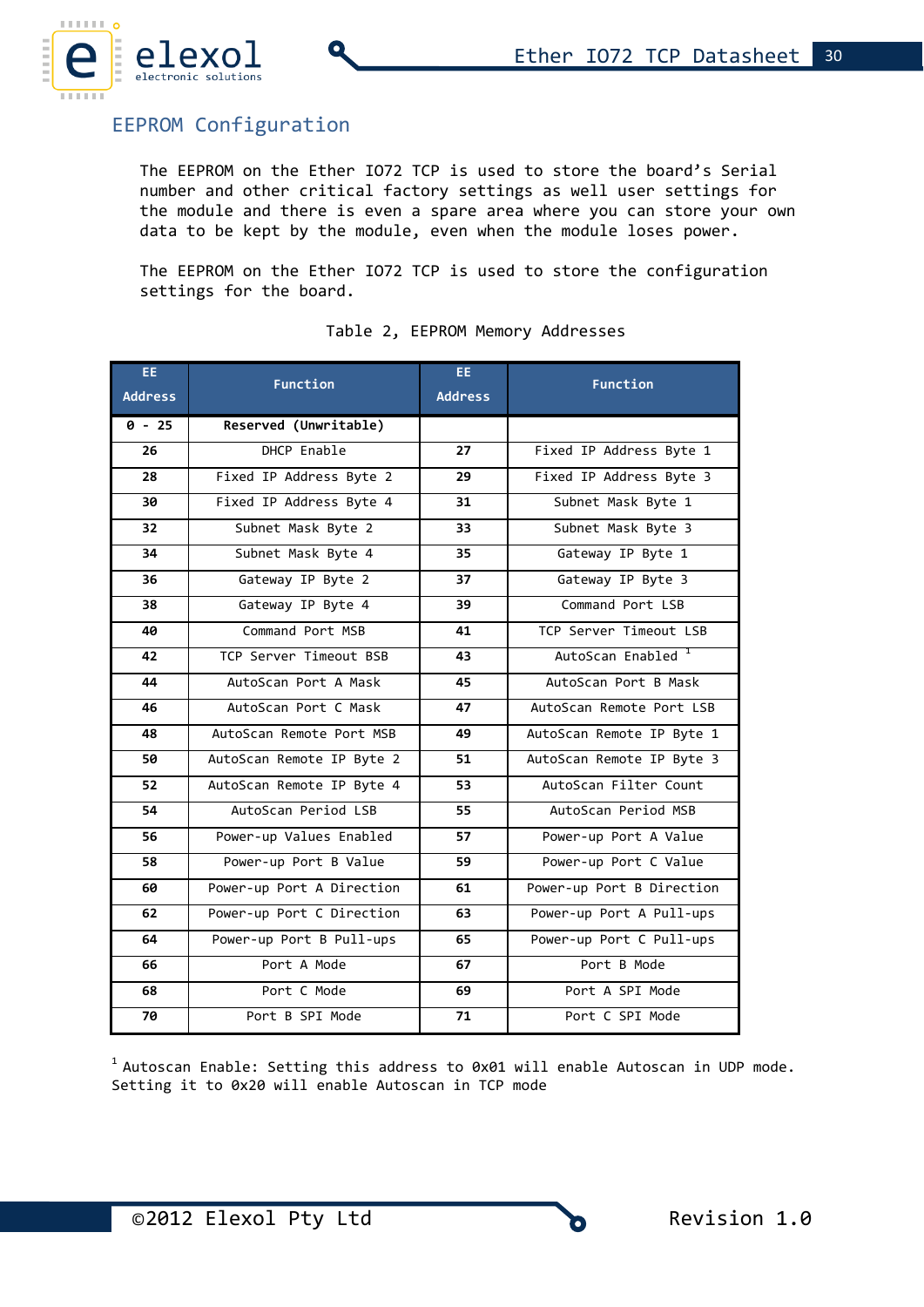

# EEPROM Configuration

The EEPROM on the Ether IO72 TCP is used to store the board's Serial number and other critical factory settings as well user settings for the module and there is even a spare area where you can store your own data to be kept by the module, even when the module loses power.

The EEPROM on the Ether IO72 TCP is used to store the configuration settings for the board.

| EE.<br><b>Address</b> | <b>Function</b>           | EE.<br><b>Address</b> | Function                      |
|-----------------------|---------------------------|-----------------------|-------------------------------|
| $0 - 25$              | Reserved (Unwritable)     |                       |                               |
| 26                    | DHCP Enable               | 27                    | Fixed IP Address Byte 1       |
| 28                    | Fixed IP Address Byte 2   | 29                    | Fixed IP Address Byte 3       |
| 30                    | Fixed IP Address Byte 4   | 31                    | Subnet Mask Byte 1            |
| 32                    | Subnet Mask Byte 2        | 33                    | Subnet Mask Byte 3            |
| 34                    | Subnet Mask Byte 4        | 35                    | Gateway IP Byte 1             |
| 36                    | Gateway IP Byte 2         | 37                    | Gateway IP Byte 3             |
| 38                    | Gateway IP Byte 4         | 39                    | Command Port LSB              |
| 40                    | Command Port MSB          | 41                    | TCP Server Timeout LSB        |
| 42                    | TCP Server Timeout BSB    | 43                    | AutoScan Enabled <sup>1</sup> |
| 44                    | AutoScan Port A Mask      | 45                    | AutoScan Port B Mask          |
| 46                    | AutoScan Port C Mask      | 47                    | AutoScan Remote Port LSB      |
| 48                    | AutoScan Remote Port MSB  | 49                    | AutoScan Remote IP Byte 1     |
| 50                    | AutoScan Remote IP Byte 2 | 51                    | AutoScan Remote IP Byte 3     |
| 52                    | AutoScan Remote IP Byte 4 | 53                    | AutoScan Filter Count         |
| 54                    | AutoScan Period LSB       | 55                    | AutoScan Period MSB           |
| 56                    | Power-up Values Enabled   | 57                    | Power-up Port A Value         |
| 58                    | Power-up Port B Value     | 59                    | Power-up Port C Value         |
| 60                    | Power-up Port A Direction | 61                    | Power-up Port B Direction     |
| 62                    | Power-up Port C Direction | 63                    | Power-up Port A Pull-ups      |
| 64                    | Power-up Port B Pull-ups  | 65                    | Power-up Port C Pull-ups      |
| 66                    | Port A Mode               | 67                    | Port B Mode                   |
| 68                    | Port C Mode               | 69                    | Port A SPI Mode               |
| 70                    | Port B SPI Mode           | 71                    | Port C SPI Mode               |

#### Table 2, EEPROM Memory Addresses

 $1$  Autoscan Enable: Setting this address to 0x01 will enable Autoscan in UDP mode. Setting it to 0x20 will enable Autoscan in TCP mode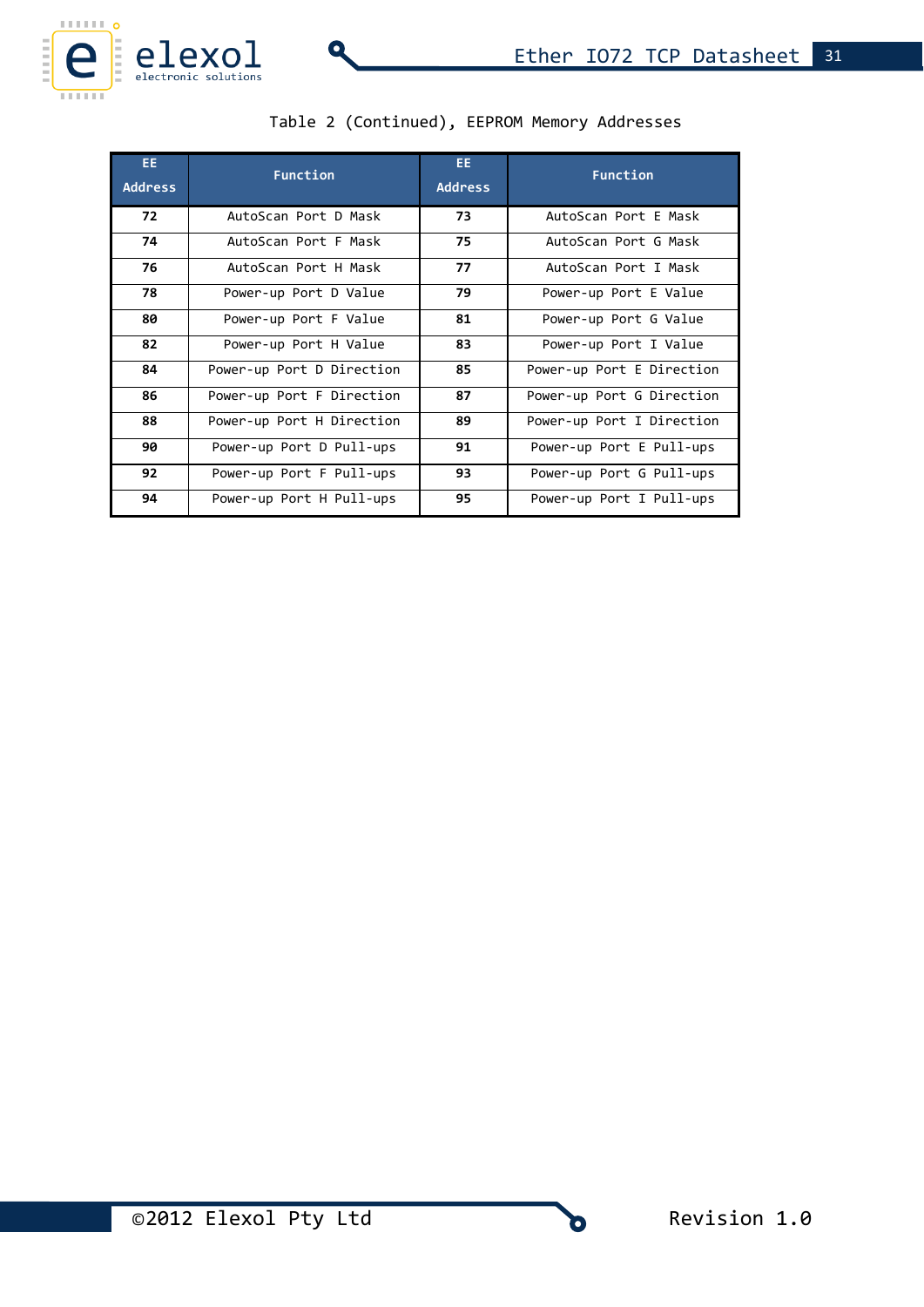

| EE.<br><b>Address</b> | <b>Function</b>           | EE.<br><b>Address</b> | Function                  |  |
|-----------------------|---------------------------|-----------------------|---------------------------|--|
| 72                    | AutoScan Port D Mask      | 73                    | AutoScan Port E Mask      |  |
| 74                    | AutoScan Port F Mask      | 75                    | AutoScan Port G Mask      |  |
| 76                    | AutoScan Port H Mask      | 77                    | AutoScan Port I Mask      |  |
| 78                    | Power-up Port D Value     | 79                    | Power-up Port E Value     |  |
| 80                    | Power-up Port F Value     | 81                    | Power-up Port G Value     |  |
| 82                    | Power-up Port H Value     | 83                    | Power-up Port I Value     |  |
| 84                    | Power-up Port D Direction | 85                    | Power-up Port E Direction |  |
| 86                    | Power-up Port F Direction | 87                    | Power-up Port G Direction |  |
| 88                    | Power-up Port H Direction | 89                    | Power-up Port I Direction |  |
| 90                    | Power-up Port D Pull-ups  | 91                    | Power-up Port E Pull-ups  |  |
| 92                    | Power-up Port F Pull-ups  | 93                    | Power-up Port G Pull-ups  |  |
| 94                    | Power-up Port H Pull-ups  | 95                    | Power-up Port I Pull-ups  |  |

Q

|  | Table 2 (Continued), EEPROM Memory Addresses |  |  |  |
|--|----------------------------------------------|--|--|--|
|--|----------------------------------------------|--|--|--|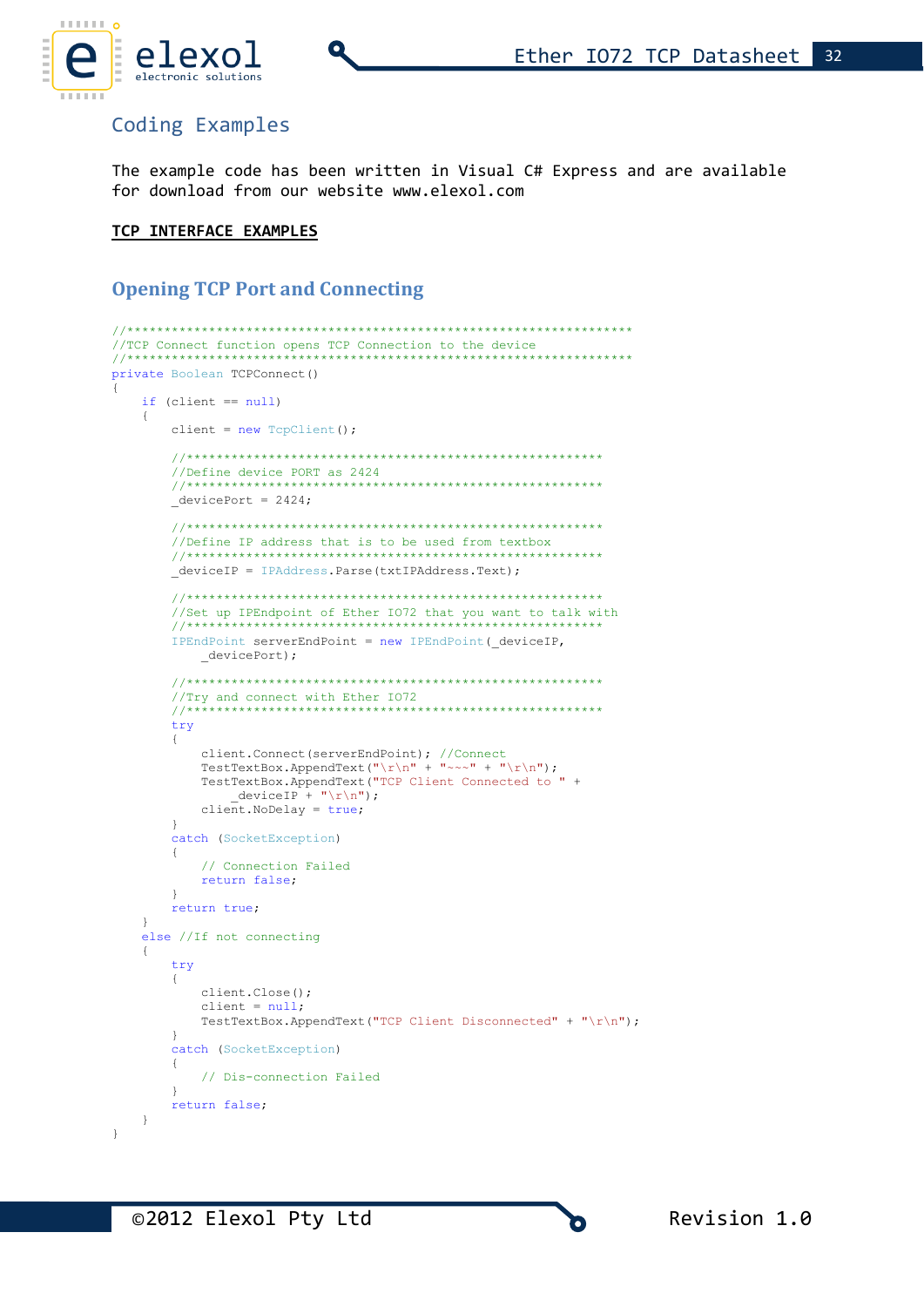

# Coding Examples

The example code has been written in Visual C# Express and are available for download from our website www.elexol.com

### TCP INTERFACE EXAMPLES

# **Opening TCP Port and Connecting**

```
//TCP Connect function opens TCP Connection to the device
                                                **************
1+xprivate Boolean TCPConnect ()
   if (client == null)
   \{client = new TcpClient();
      //Define device PORT as 2424
      11+11+11+11+11+11devicePort = 2424;//Define IP address that is to be used from textbox
      deviceIP = IPAddress.Parse(txtIPAddress.Text);
      //Set up IPEndpoint of Ether IO72 that you want to talk with
       11************************************
                                        ********
      IPEndPoint serverEndPoint = new IPEndPoint (_deviceIP,
          \rule{1em}{0em} devicePort);
      //Try and connect with Ether 1072
                                //****************************
      try
      \{client.Connect(serverEndPoint); //Connect<br>TestTextBox.AppendText("\r\n" + "~~~" + "\r\n");
          TestTextBox.AppendText("TCP Client Connected to " +
              deviceIP + "\rceil r \n\rceil;
          client. NoDelay = true;\mathbf{I}catch (SocketException)
      \left\{ \right.// Connection Failed
          return false;
      \rightarrowreturn true;
   \overline{\phantom{a}}else //If not connecting
   \left\{ \right.try
      \left\{ \right.client.Close();
          client = null;TestTextBox.AppendText("TCP Client Disconnected" + "\r\n");
      \mathbf{I}catch (SocketException)
      \left\{ \right.// Dis-connection Failed
      \mathcal{E}return false;
   \}\overline{\phantom{a}}
```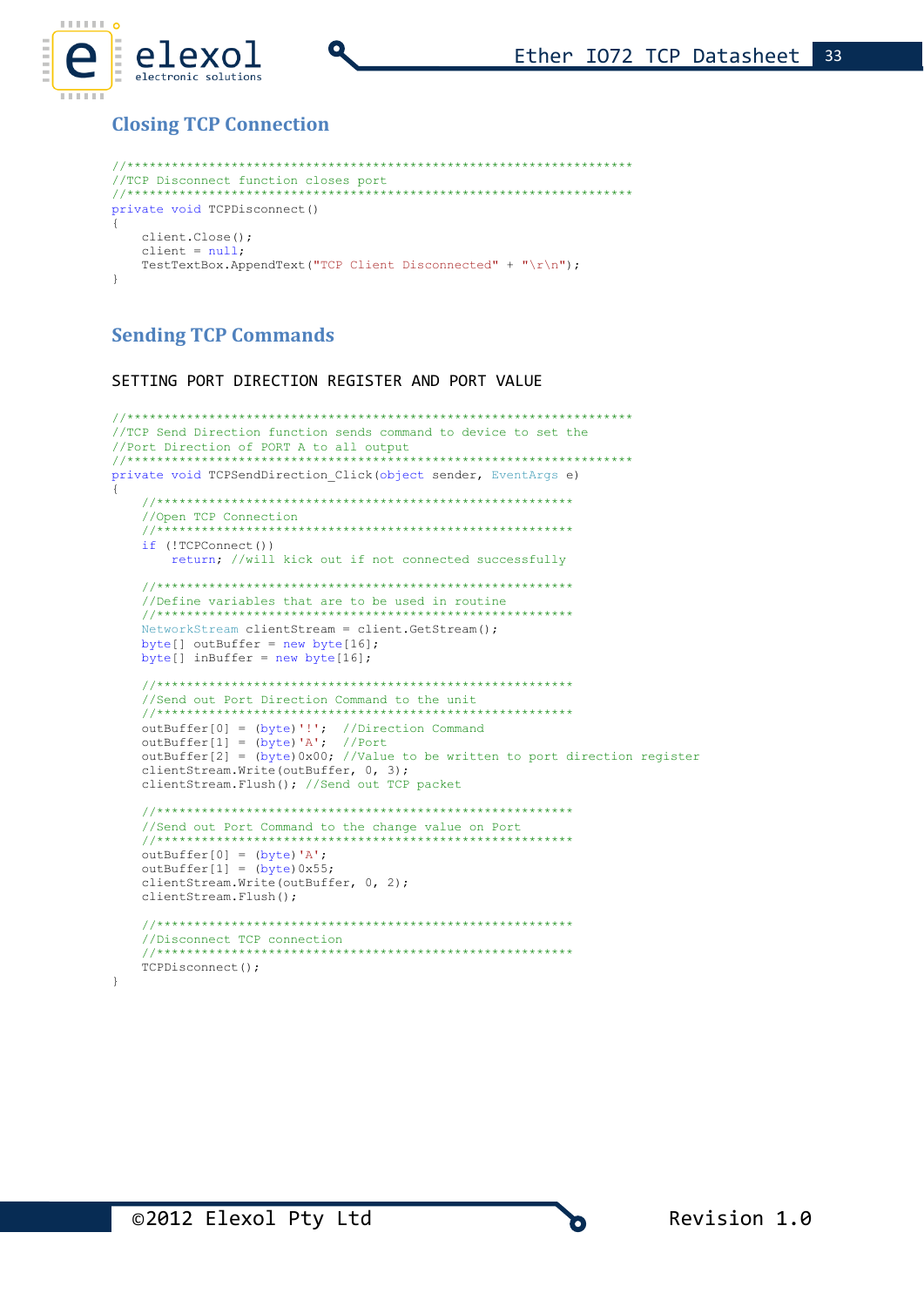

# **Closing TCP Connection**

```
//TCP Disconnect function closes port
private void TCPDisconnect ()
\left\{ \right.client.Close()client = null:TestTextBox.AppendText("TCP Client Disconnected" + "\r\n");
\rightarrow
```
# **Sending TCP Commands**

SETTING PORT DIRECTION REGISTER AND PORT VALUE

```
//TCP Send Direction function sends command to device to set the
private void TCPSendDirection Click(object sender, EventArgs e)
\left\{ \right.//Open TCP Connection
  //********************************************************
  if (!TCPConnect())
     return; //will kick out if not connected successfully
  //Define variables that are to be used in routine
  . . . . . . . . . .
  NetworkStream clientStream = client GetStream():
  byte[] outBuffer = new byte[16];
  byte[] inBuffer = new byte[16];
  //Send out Port Direction Command to the unit
            ****************************
                                 outBuffer[0] = (byte)'!'; //Direction Command
  outBuffer[1] = (byte) 'A'; //Port<br>outBuffer[1] = (byte) 'A'; //Port<br>outBuffer[2] = (byte) 0x00; //Value to be written to port direction register
  clientStream. Write (outBuffer, 0, 3);
  clientStream. Flush(); //Send out TCP packet
  //Send out Port Command to the change value on Port
  outBuffer[0] = (byte)'A';outBuffer[1] = (byte) 0x55;clientStream. Write (outBuffer, 0, 2);
  clientStream. Flush () ;
  //Disconnect TCP connection
  TCPDisconnect();
```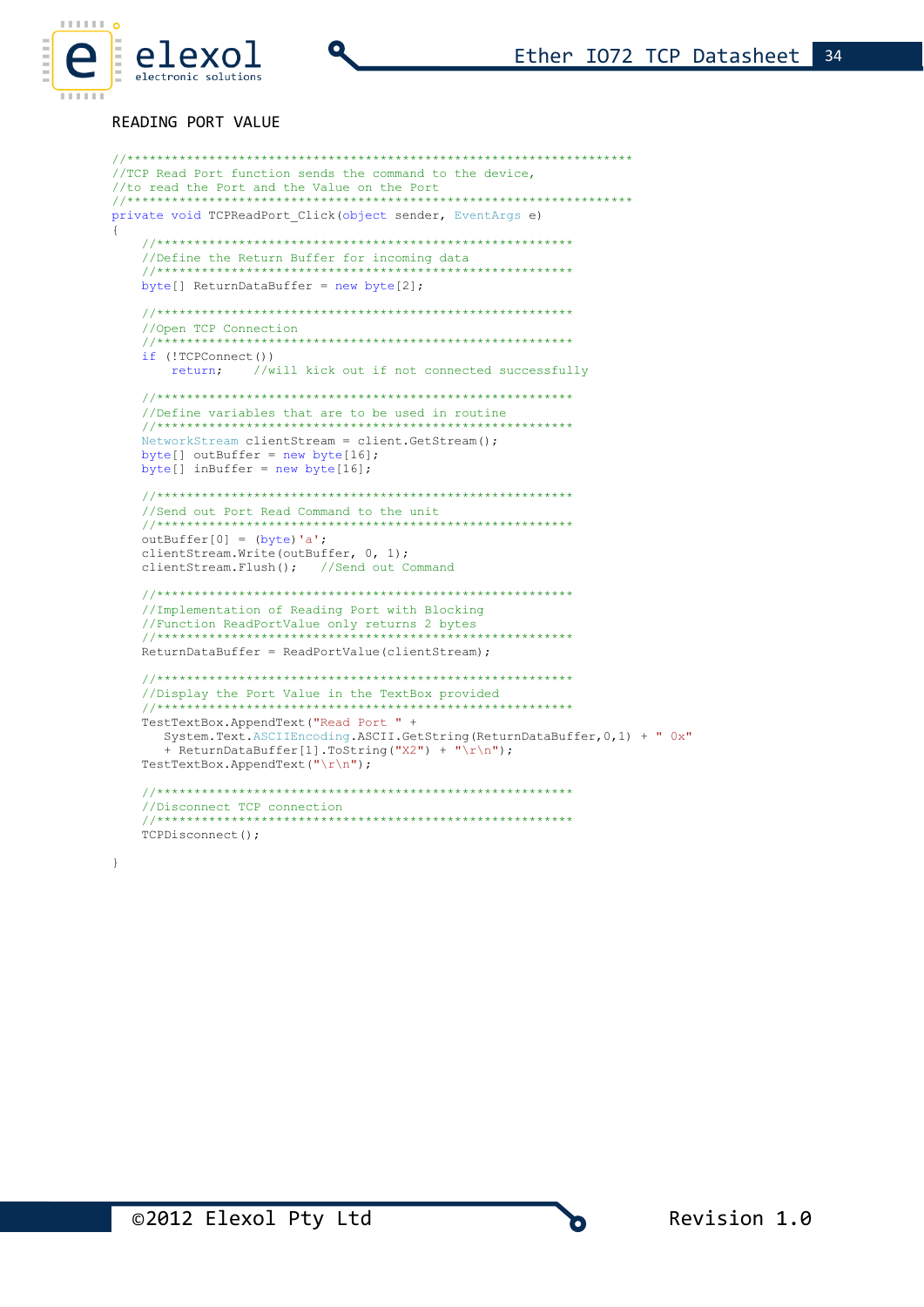

 $\{$ 

#### READING PORT VALUE

```
//TCP Read Port function sends the command to the device,
//to read the Port and the Value on the Port
private void TCPReadPort Click (object sender, EventArgs e)
  //Define the Return Buffer for incoming data
                                ****************
  11**byte[] ReturnDataBuffer = new byte[2];
  //Open TCP Connection
                 **************************************
  11*if (!TCPConnect())
     return; //will kick out if not connected successfully
  //Define variables that are to be used in routine
  فأربط الطرابط الطرابط الطرابط الطرابط
  NetworkStream clientStream = client.GetStream();
  byte[] outBuffer = new byte[16];
  byte[] inBuffer = new byte[16];
  //Send out Port Read Command to the unit
                 **************************************
  11***outBuffer[0] = (byte)'a';clientStream. Write (outBuffer, 0, 1);
  clientStream.Flush(); //Send out Command
  //Implementation of Reading Port with Blocking
  //Function ReadPortValue only returns 2 bytes
  ReturnDataBuffer = ReadPortValue(clientStream);
  //Display the Port Value in the TextBox provided
                               . . . . . . . . . . . . . . . . . . .
  11***TestTextBox.AppendText("Read Port " +
    System.Text.ASCIIEncoding.ASCII.GetString(ReturnDataBuffer, 0, 1) + " 0x"
    + ReturnDataBuffer[1].ToString("X2") + "\r\n");
  TestTextBox.AppendText("\r\n");
  //Disconnect TCP connection
  11********************************************
  TCPDisconnect();
```
 $\overline{\phantom{a}}$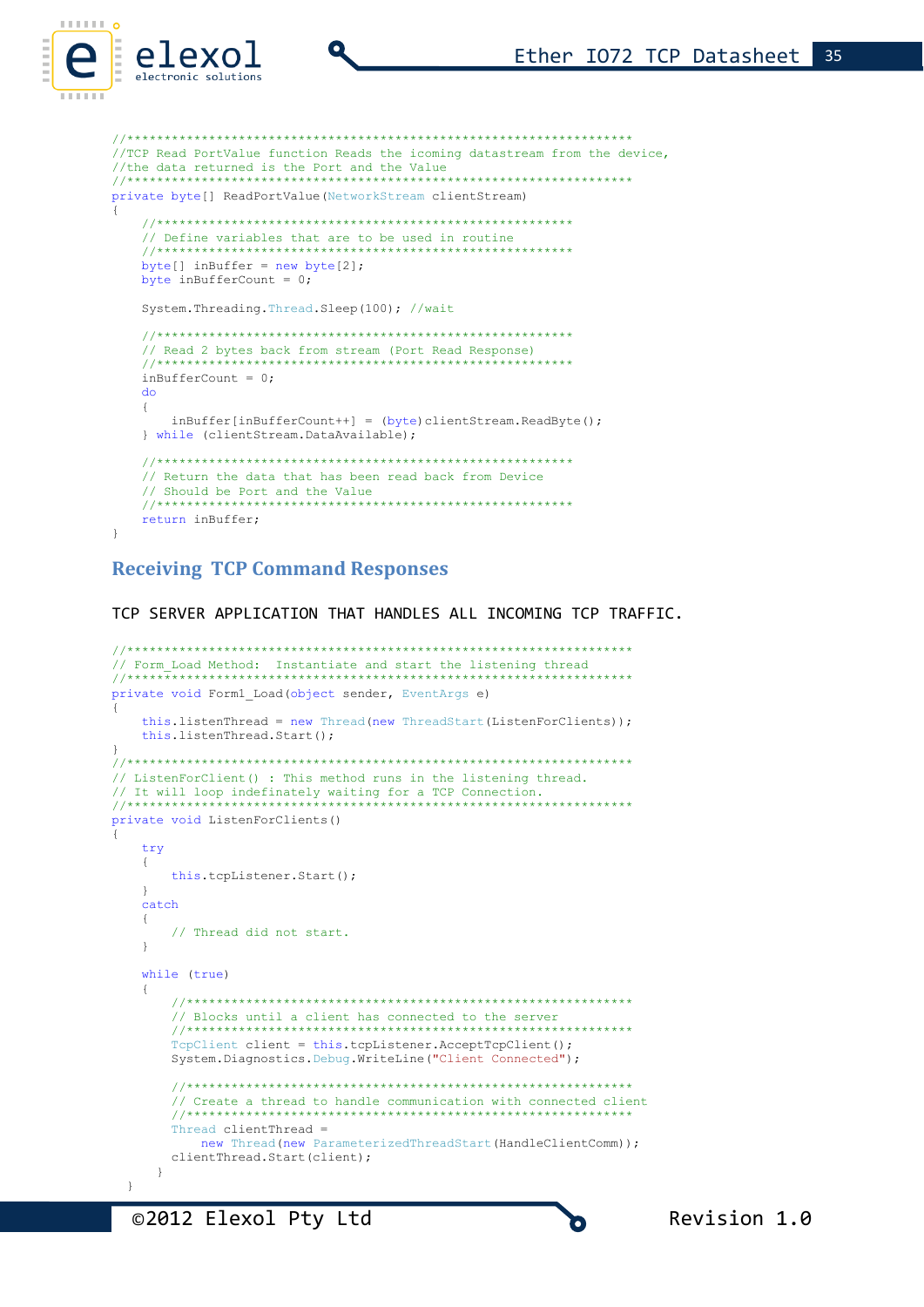```
//TCP Read PortValue function Reads the icoming datastream from the device,
//the data returned is the Port and the Value
                 ************************
                                  ************************
private byte[] ReadPortValue(NetworkStream clientStream)
\left\{ \right.// Define variables that are to be used in routine
   //****************************
  byte[] inBuffer = new byte[2];
  byte inBufferCount = 0;
  System. Threading. Thread. Sleep (100) ; //wait
   // Read 2 bytes back from stream (Port Read Response)
   77****************
  inBufferCount = 0do
   \left\{ \right.inBuffer[inBufferCount++] = (byte) clientStream.readByte();} while (clientStream.DataAvailable);
   // Return the data that has been read back from Device
   // Should be Port and the Value
   return inBuffer;
\overline{\phantom{a}}
```
### **Receiving TCP Command Responses**

TCP SERVER APPLICATION THAT HANDLES ALL INCOMING TCP TRAFFIC.

```
// Form_Load Method: Instantiate and start the listening thread
      private void Form1 Load(object sender, EventArgs e)
\left\{ \right.this.listenThread = new Thread(new ThreadStart(ListenForClients));
   this.listenThread.Start();
// ListenForClient() : This method runs in the listening thread.
// It will loop indefinately waiting for a TCP Connection.
//*************************
           *********
private void ListenForClients()
\{try
   \{this.tcpListener.Start();
   \rightarrowcatch\overline{f}// Thread did not start.
   \rightarrowwhile (true)
      // Blocks until a client has connected to the server
      11**TcpClient client = this.tcpListener.AcceptTcpClient();
      System. Diagnostics. Debug. WriteLine ("Client Connected");
      // Create a thread to handle communication with connected client
      Thread clientThread =
         new Thread(new ParameterizedThreadStart(HandleClientComm));
      clientThread.Start(client);
    \overline{\phantom{a}}\overline{\phantom{a}}
```
n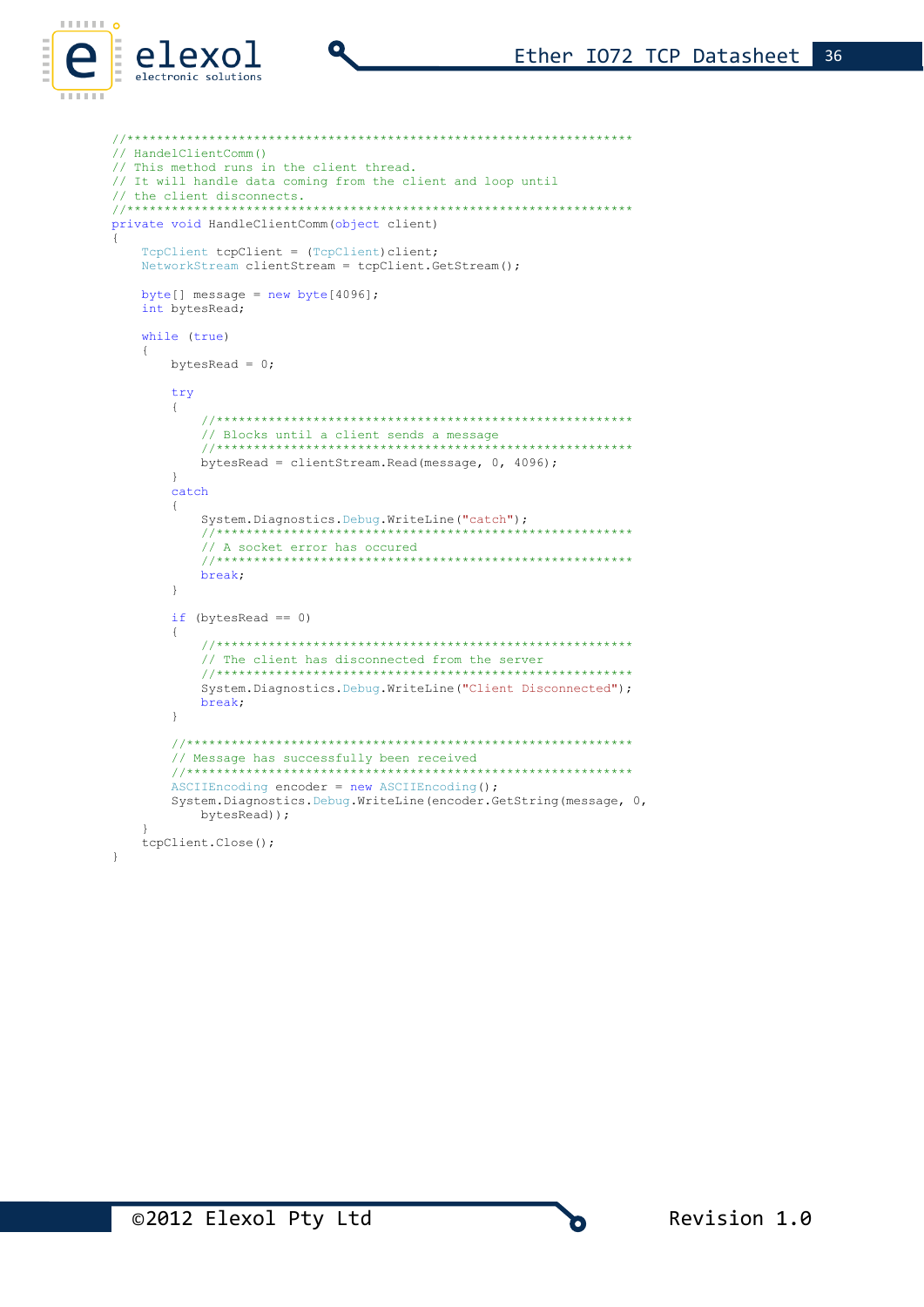```
// HandelClientComm()
// This method runs in the client thread.
// It will handle data coming from the client and loop until
// the client disconnects.
private void HandleClientComm (object client)
   TcpClient tcpClient = (TcpClient) client;
  NetworkStream clientStream = tcpClient.GetStream();
  byte[] message = new byte[4096];
   int bytesRead;
   while (true)
   \left\{ \right.bytesRead = 0;
      try
      \left\{ \right.// Blocks until a client sends a message
                                         *****************
         11**bytesRead = clientStream. Read (message, 0, 4096);
      \overline{\phantom{a}}catch
      \left\{ \right.System. Diagnostics. Debug. WriteLine ("catch");
                                           . . . . . . . . . . . . . .
         // A socket error has occured
                                 *************************
         11**break;
      \}if (bytesRead == 0)
      \left\{ \right.// The client has disconnected from the server
         System. Diagnostics. Debug. WriteLine ("Client Disconnected");
         break:
      \}// Message has successfully been received
      ASCIIEncoding encoder = new ASCIIEncoding();
      System. Diagnostics. Debug. WriteLine (encoder. GetString (message, 0,
        bytesRead));
   tcpClient.Close();
\}
```
electronic solutions

O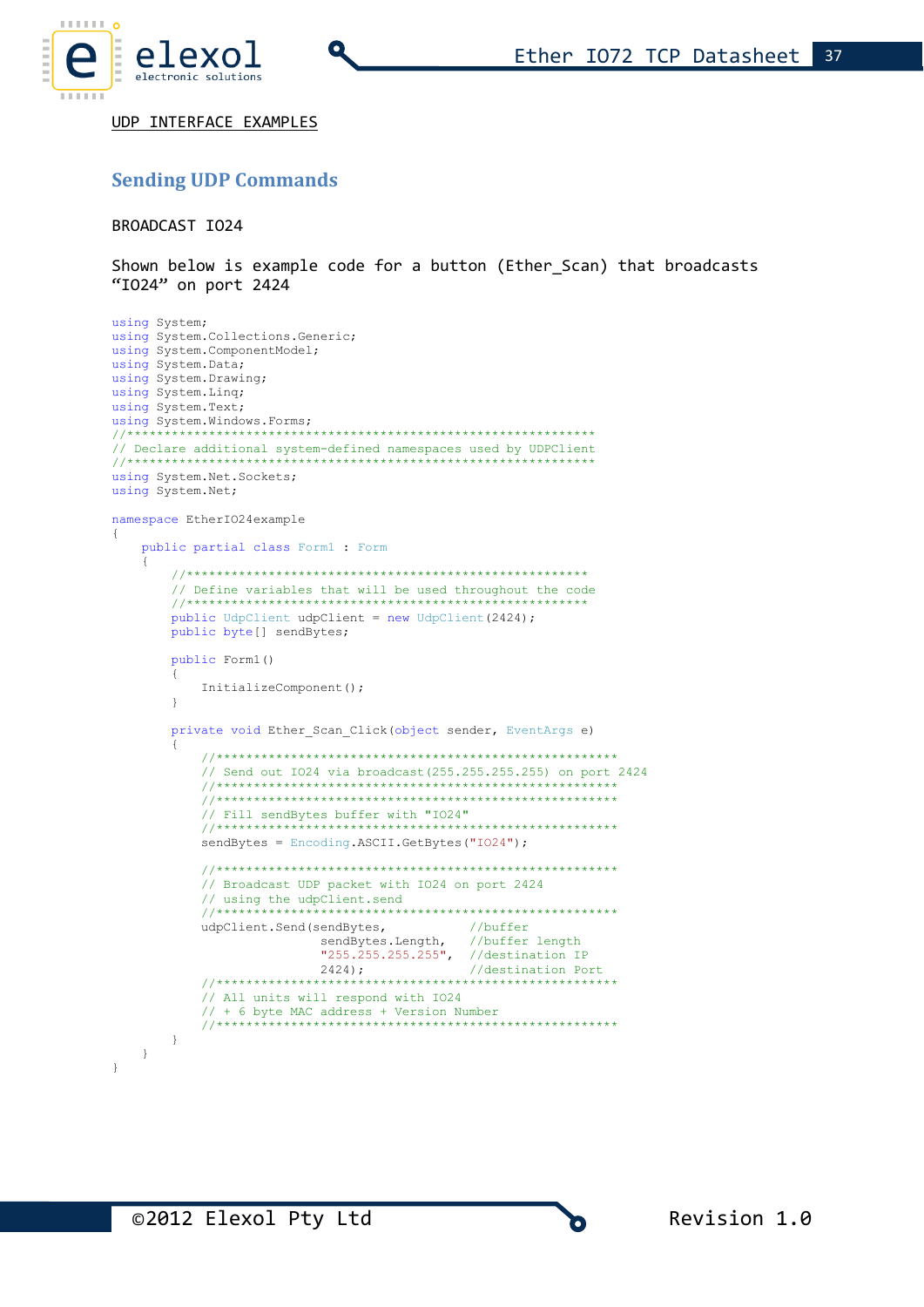

UDP INTERFACE EXAMPLES

# **Sending UDP Commands**

BROADCAST IO24

Shown below is example code for a button (Ether Scan) that broadcasts "I024" on port 2424

```
using System;
using System. Collections. Generic;
using System. ComponentModel;
using System. Data;
using System. Drawing;
using System. Ling;
using System. Text;
using System. Windows. Forms;
11*****************************************
// Declare additional system-defined namespaces used by UDPClient
//*********************************
using System. Net. Sockets;
using System. Net;
namespace EtherIO24example
\left\{ \right.public partial class Form1 : Form
   \left\{ \right.// Define variables that will be used throughout the code
      11**public UdpClient udpClient = new UdpClient (2424);
      public byte[] sendBytes;
      public Form1()
         InitializeComponent();
      \overline{\phantom{a}}private void Ether_Scan_Click(object sender, EventArgs e)
         // Send out 1024 via broadcast (255.255.255.255) on port 2424
         // Fill sendBytes buffer with "IO24"
         sendBytes = Encoding. ASCII. GetBytes ("IO24");
         // Broadcast UDP packet with IO24 on port 2424
         // using the udpClient.send
         77******udpClient.Send(sendBytes,
                                      //buffer
                      sendBytes. Length,
                                      //buffer length
                      "255.255.255.255", //destination IP
                      2424;//destination Port
         ************
         // All units will respond with IO24
         1/ + 6 byte MAC address + Version Number
         11********************
      \rightarrow\}\overline{\phantom{a}}
```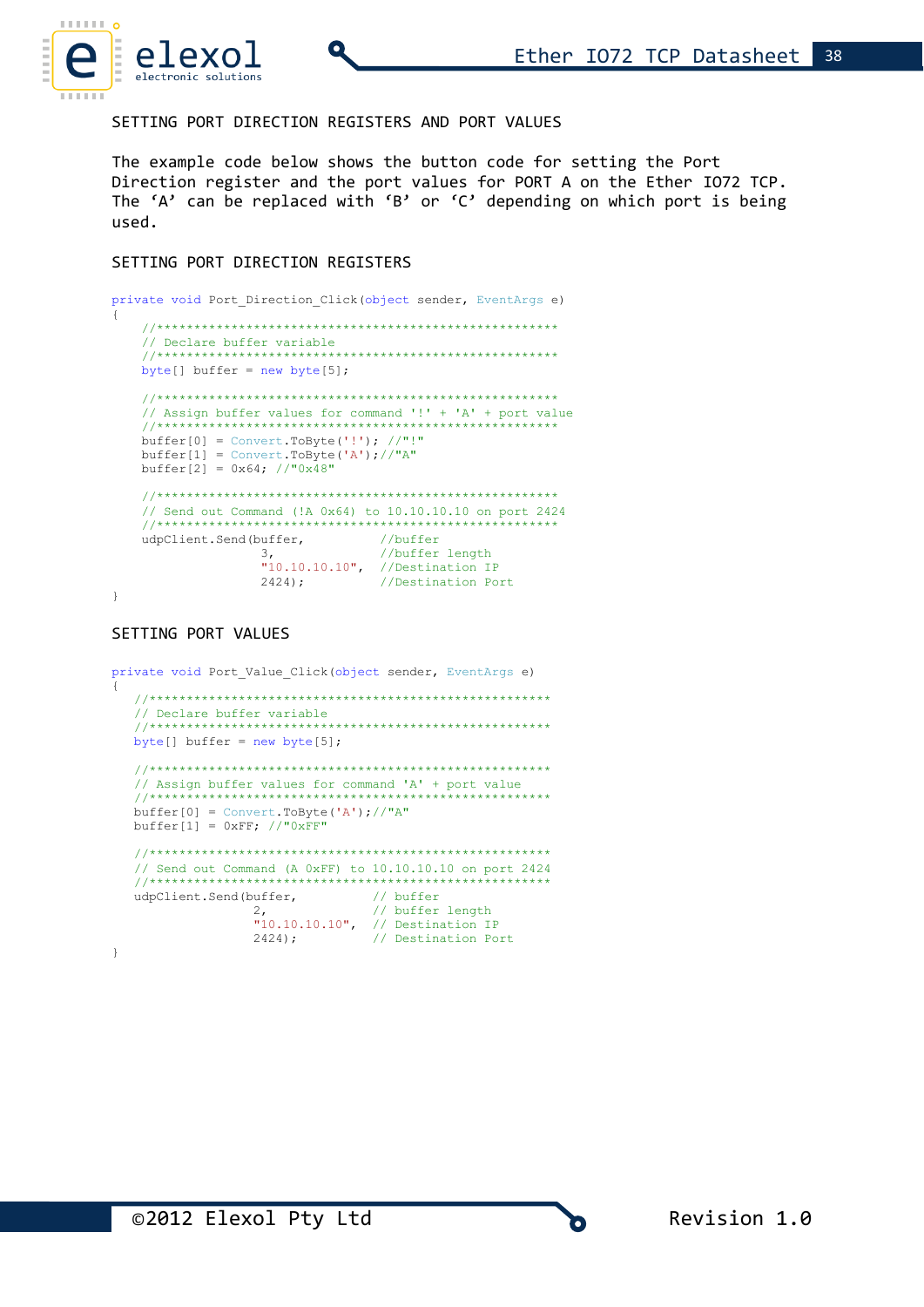

SETTING PORT DIRECTION REGISTERS AND PORT VALUES

The example code below shows the button code for setting the Port Direction register and the port values for PORT A on the Ether IO72 TCP. The 'A' can be replaced with 'B' or 'C' depending on which port is being used.

#### SETTING PORT DIRECTION REGISTERS

```
private void Port Direction Click (object sender, EventArgs e)
\left\{ \right.// Declare buffer variable
                        ****************************
   //***************************
  byte[] buffer = new byte[5];
   // Assign buffer values for command '!' + 'A' + port value
   buffer[0] = Convert.ToByte('!!'); //"!buffer[1] = Convert.ToByte('A');//"A"
  buffer[2] = 0x64; // "0x48"// Send out Command (!A 0x64) to 10.10.10.10 on port 2424
   udpClient.Send(buffer, //buffer
              3,<br>3, //buffer length<br>"10.10.10.10", //Destination IP<br>2424); //Destination Port
              3<sub>1</sub>
```
 $\}$ 

#### SETTING PORT VALUES

```
private void Port Value Click (object sender, EventArgs e)
  // Declare buffer variable
  11+1********************************
  byte[] buffer = new byte[5];
  // Assign buffer values for command 'A' + port value
  11***buffer[0] = Convert.ToByte('A'); // "A"buffer[1] = 0 \times FF; //"0 \times FF"
  // Send out Command (A 0xFF) to 10.10.10.10 on port 2424
  77*******************************
  udpClient.Send(buffer,
                           // buffer
               2,<br>
2,<br>
2,<br>
10.10.10.10", // Destination IP<br>
2424);<br>
// Destination Port
\}
```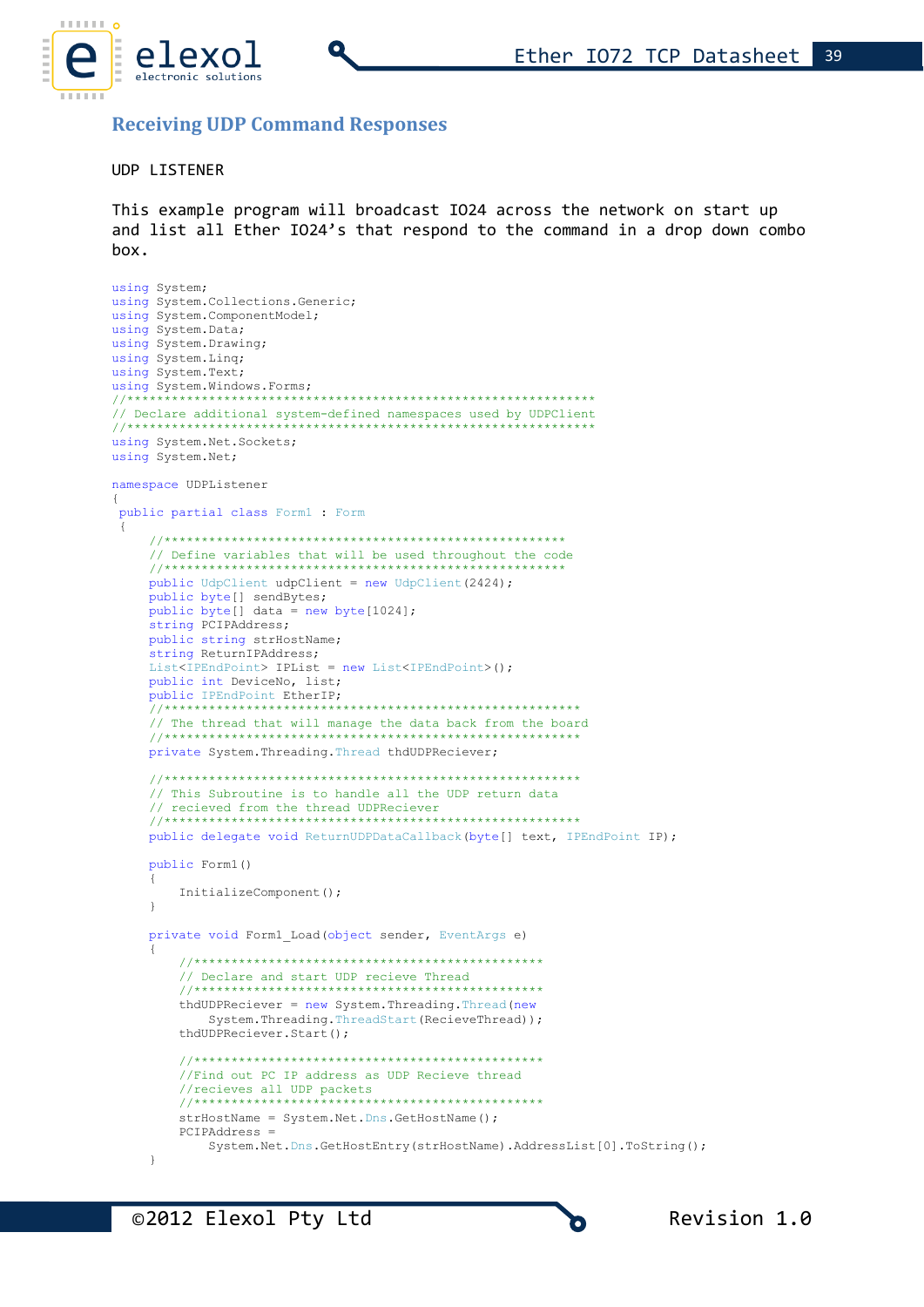

### **Receiving UDP Command Responses**

#### **UDP LISTENER**

This example program will broadcast IO24 across the network on start up and list all Ether IO24's that respond to the command in a drop down combo  $h$ ox.

```
using System;
using System. Collections. Generic;
using System. ComponentModel;
using System. Data;
using System. Drawing;
using System. Linq;
using System. Text;
using System. Windows. Forms;
11***// Declare additional system-defined namespaces used by UDPClient
//**********************************
using System. Net. Sockets;
using System. Net;
namespace UDPListener
\{public partial class Form1 : Form
 \left\{ \right.// Define variables that will be used throughout the code
    11*public UdpClient udpClient = new UdpClient (2424);
    public byte[] sendBytes;
    public byte[] data = new byte[1024];
    string PCIPAddress;
    public string strHostName;
    string ReturnIPAddress;
    List<IPEndPoint> IPList = new List<IPEndPoint>();
    public int DeviceNo, list;
    public IPEndPoint EtherIP;
    11********************************
    // The thread that will manage the data back from the board
    private System. Threading. Thread thdUDPReciever;
    // This Subroutine is to handle all the UDP return data
    // recieved from the thread UDPReciever
    11************************************
    public delegate void ReturnUDPDataCallback(byte[] text, IPEndPoint IP);
    public Form1()
    \{InitializeComponent();
    \rightarrowprivate void Form1 Load(object sender, EventArgs e)
        // Declare and start UDP recieve Thread
        11*************
                 **********
        thdUDPReciever = new System. Threading. Thread (new
           System. Threading. ThreadStart (RecieveThread));
        thdUDPReciever.Start();
        //Find out PC IP address as UDP Recieve thread
        //recieves all UDP packets
        11+1*****************************
        strHostName = System.Net.Dns.GetHostName();
        PCIPAddress =
           System.Net.Dns.GetHostEntry(strHostName).AddressList[0].ToString();
    \overline{\mathbf{r}}
```
O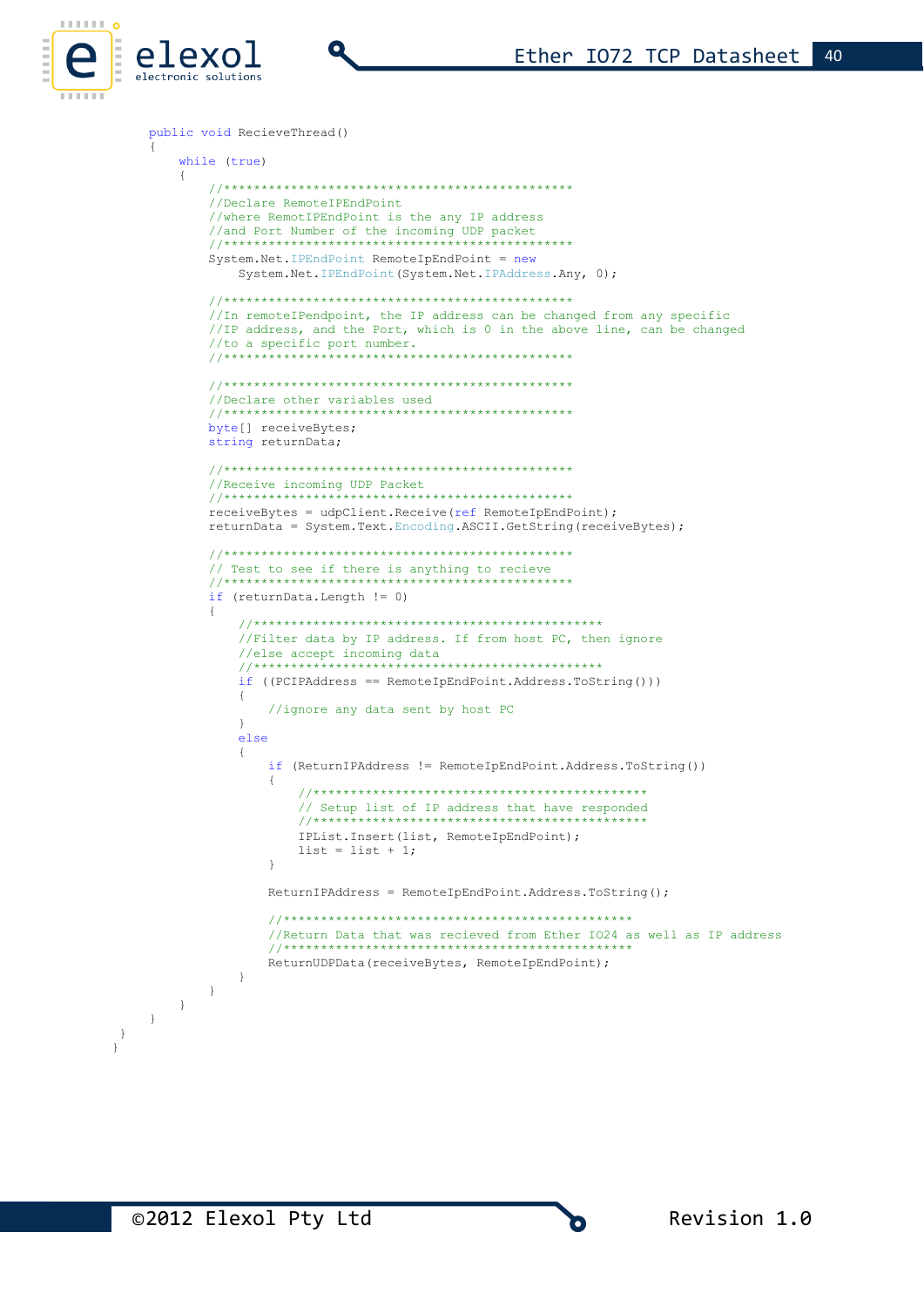

```
public void RecieveThread()
    while (true)
    \left\{ \right.//Declare RemoteIPEndPoint
       //where RemotIPEndPoint is the any IP address
       //and Port Number of the incoming UDP packet
       //*******************************
       System.Net.IPEndPoint RemoteIpEndPoint = new
          System.Net.IPEndPoint(System.Net.IPAddress.Any, 0);
       //In remoteIPendpoint, the IP address can be changed from any specific
       //IP address, and the Port, which is 0 in the above line, can be changed
       //to a specific port number.
                    ********************************
              ******//Declare other variables used
                              ********************
       11***byte[] receiveBytes;
       string returnData;
       //Receive incoming UDP Packet
                              -<br>*********************
       //***************************
       receiveBytes = udpClient. Receive (ref RemoteIpEndPoint);
       returnData = System.Text.Encoding.ASCII.GetString(receiveBytes);
       // Test to see if there is anything to recieve
       *****
       if (returnData.length != 0)\left\{ \right.//Filter data by IP address. If from host PC, then ignore
          //else accept incoming data
          11*********if ((PCIPAddress == RemoteIpEndPoint.Address.ToString()) )\left\{ \right.//ignore any data sent by host PC
          \overline{\phantom{a}}else
          \{if (ReturnIPAddress != RemoteIpEndPoint.Address.ToString())
                 // Setup list of IP address that have responded
                 11IPList. Insert (list, RemoteIpEndPoint);
                list = list + 1;
             \rightarrowReturnIPAddress = RemoteIpEndPoint.Address.ToString();
             //Return Data that was recieved from Ether IO24 as well as IP address
             ReturnUDPData (receiveBytes, RemoteIpEndPoint);
          \cdot }
      \longrightarrow\qquad \}\}
```
 $\,$  }  $\overline{\mathcal{X}}$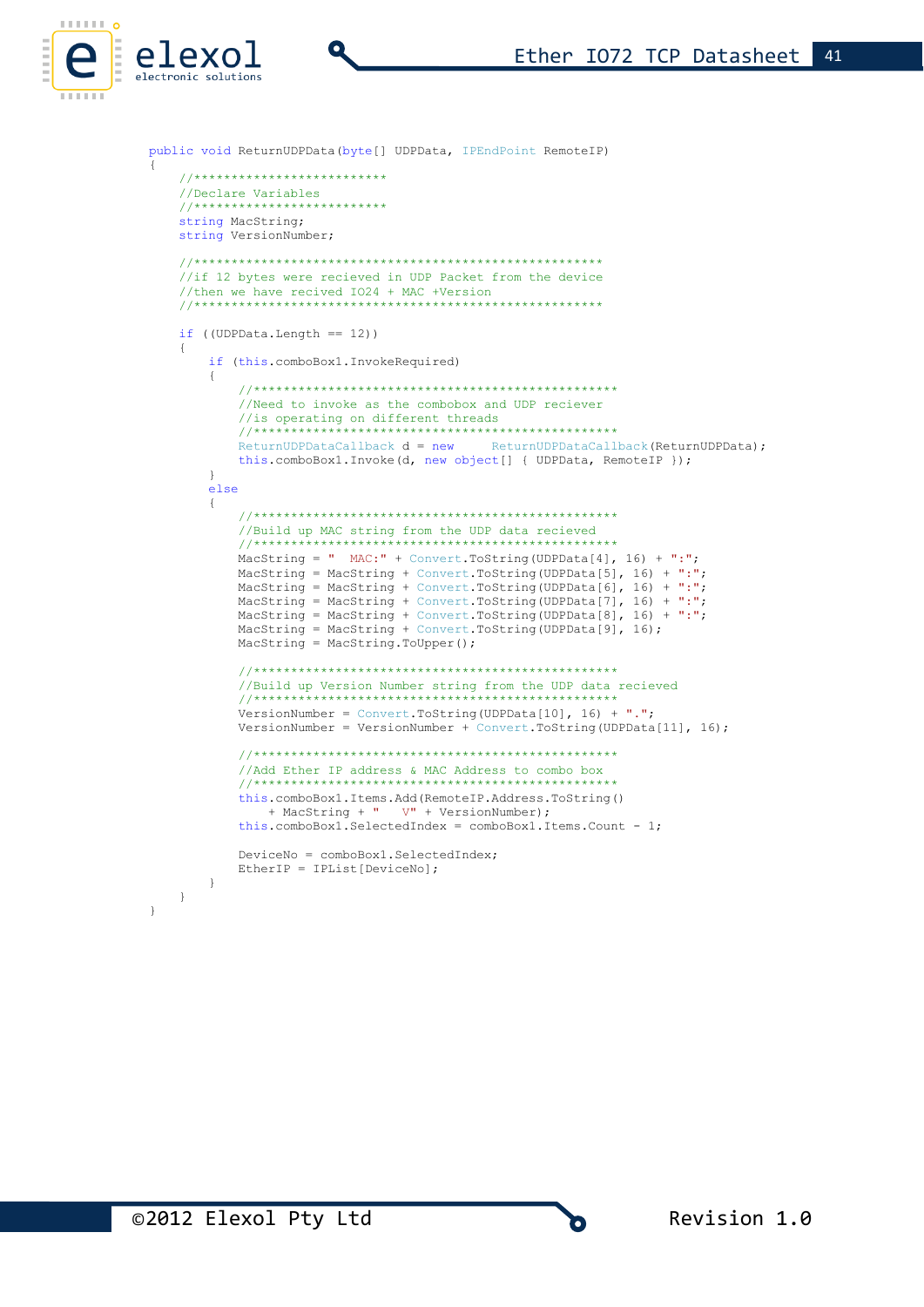

```
public void ReturnUDPData (byte[] UDPData, IPEndPoint RemoteIP)
\left\{ \right.//**************************
    //Declare Variables
                        ++++++++
    11*************
    string MacString;
    string VersionNumber;
    //if 12 bytes were recieved in UDP Packet from the device
    //then we have recived IO24 + MAC +Version
                                             . . . . . . . . . . . . . . . . .
    if ( (UDPData. Length == 12))
    \left\{ \right.if (this.comboBox1.InvokeRequired)
        \left\{ \right.//Need to invoke as the combobox and UDP reciever
            //is operating on different threads
            11****************************************
            ReturnUDPDataCallback d = newReturnUDPDataCallback (ReturnUDPData) ;
            this.comboBox1.Invoke(d, new object[] { UDPData, RemoteIP });
        \rightarrowelse
        \left\{ \right.//Build up MAC string from the UDP data recieved
            11***.<br>San sa sa sa sa sa sa sa sa sa sa sa
                                  is an an an an an an an an an
            MacString = " MAC:" + Convert. ToString (UDPData[4], 16) + ":";
            MacString = MacString + Convert. ToString (UDPData[5], 16) + ":";
            MacString = MacString + Convert. ToString (UDPData [6], 16) + ":",
           MacString = MacString + Convert.ToString (UDPData[7], 16) + ":";<br>MacString = MacString + Convert.ToString (UDPData[7], 16) + ":";<br>MacString = MacString + Convert.ToString (UDPData[8], 16) + ":";
            MacString = MacString + Convert. ToString (UDPData [9], 16);
            MacString = MacString.TOUpper();
            //Build up Version Number string from the UDP data recieved
            11***VersionNumber = Convert. ToString (UDPData [10], 16) + ".";
            VersionNumber = VersionNumber + Convert. ToString (UDPData[11], 16);
            //Add Ether IP address & MAC Address to combo box
            this.comboBox1.Items.Add(RemoteIP.Address.ToString()
                + MacString + " V" + VersionNumber);
            this.comboBox1.SelectedIndex = comboBox1.Items.Count - 1;DeviceNo = comboBox1.SelectedIndex;
            EtherIP = IPList[DeviceNo];
       \rightarrow\overline{\phantom{a}}
```
©2012 Elexol Pty Ltd

 $\overline{\mathcal{A}}$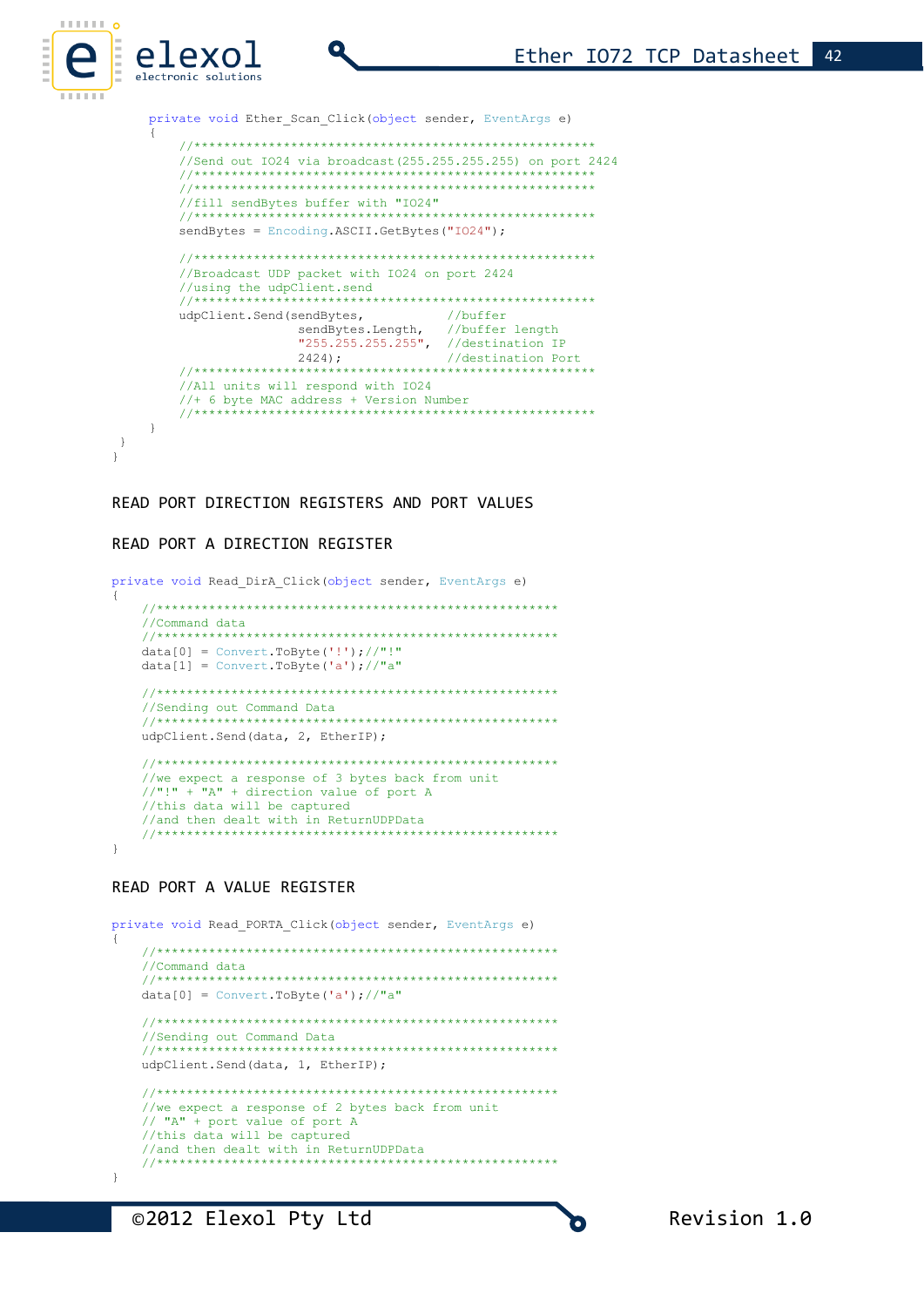private void Ether Scan Click (object sender, EventArgs e)

```
//Send out I024 via broadcast (255.255.255.255) on port 2424
  //fill send<br/>Bytes buffer with "IO24"
  sendBytes = Encoding.ASCII.GetBytes("IO24");
  //Broadcast UDP packet with IO24 on port 2424
  //using the udpClient.send
  11***************//buffer
  udpClient.Send(sendBytes,
            sendBytes.Length, //buffer length<br>"255.255.255.255", //destination IP<br>2424):
            sendBytes.Length,
            2424;//destination Port
                 ***************
  11+11+11//All units will respond with IO24
  11*********************
\rightarrow
```
READ PORT DIRECTION REGISTERS AND PORT VALUES

#### READ PORT A DIRECTION REGISTER

elexol

electronic solutions

 $\,$  }  $\overline{1}$ 

```
private void Read_DirA_Click(object sender, EventArgs e)
\left\{ \right.//Command data
  data[0] = Convert.ToByte('!!'); //"!!data[1] = Convert.FoByte('a'); // "a"//Sending out Command Data
  udpClient.Send(data, 2, EtherIP);
  //we expect a response of 3 bytes back from unit
  // "!" + "A" + direction value of port A//this data will be captured
  //and then dealt with in ReturnUDPData
                           ****************
  11***\rightarrow
```
#### READ PORT A VALUE REGISTER

```
private void Read_PORTA_Click(object sender, EventArgs e)
  //Command data
  data[0] = Convert.Tobyte('a'); // "a"//Sending out Command Data
  udpClient.Send(data, 1, EtherIP);
  //we expect a response of 2 bytes back from unit
  // "A" + port value of port A//this data will be captured
  //and then dealt with in ReturnUDPData
  11********************
\overline{\phantom{a}}
```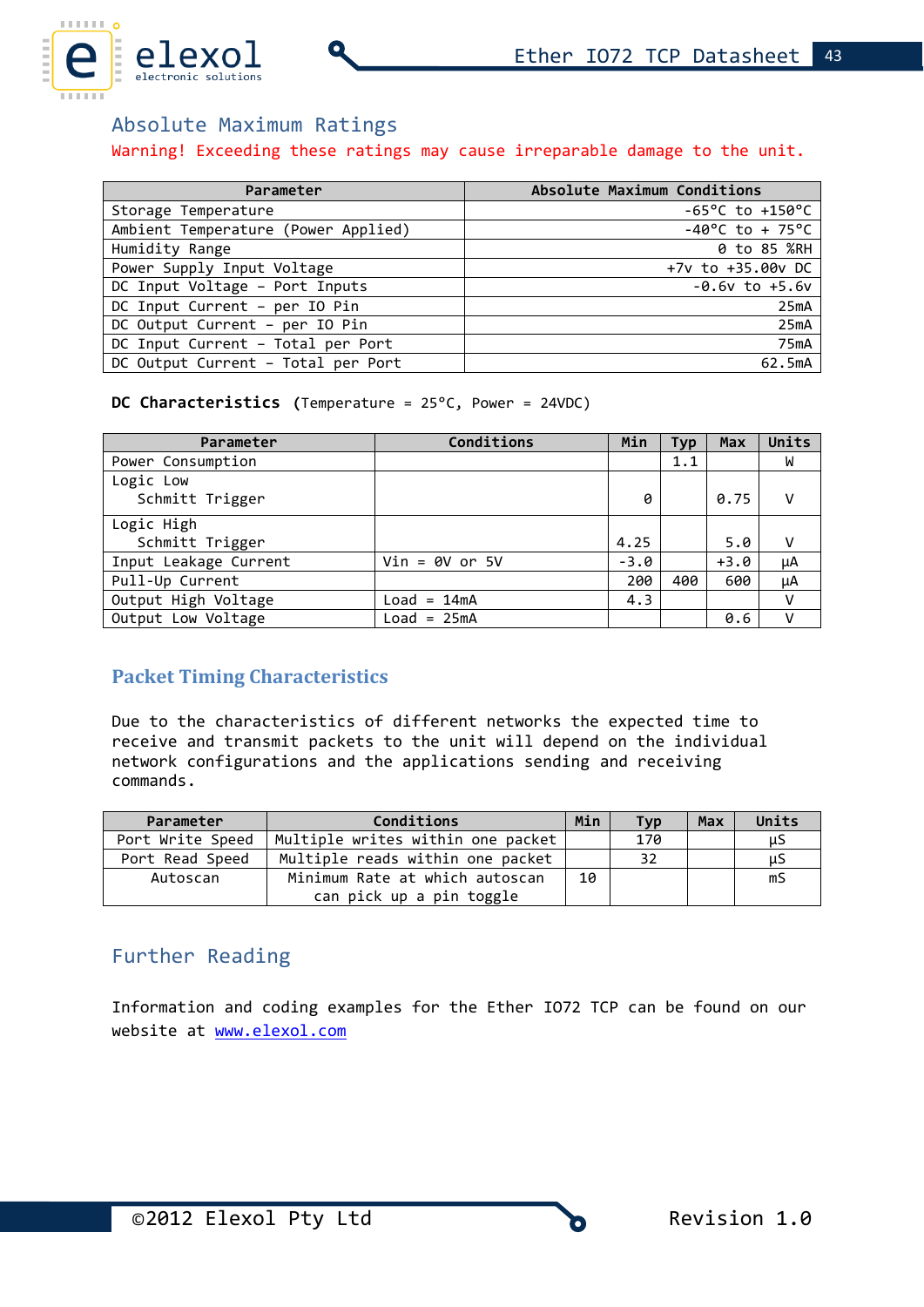

# Absolute Maximum Ratings

### Warning! Exceeding these ratings may cause irreparable damage to the unit.

| Parameter                           | Absolute Maximum Conditions         |
|-------------------------------------|-------------------------------------|
| Storage Temperature                 | $-65^{\circ}$ C to $+150^{\circ}$ C |
| Ambient Temperature (Power Applied) | $-40^{\circ}$ C to + 75°C           |
| Humidity Range                      | 0 to 85 %RH                         |
| Power Supply Input Voltage          | +7v to +35.00v DC                   |
| DC Input Voltage - Port Inputs      | $-0.6v$ to $+5.6v$                  |
| DC Input Current - per IO Pin       | 25mA                                |
| DC Output Current - per IO Pin      | 25mA                                |
| DC Input Current - Total per Port   | 75mA                                |
| DC Output Current - Total per Port  | 62.5mA                              |

### **DC Characteristics (**Temperature = 25°C, Power = 24VDC)

| Parameter                    | Conditions       | Min    | Typ | Max    | Units |
|------------------------------|------------------|--------|-----|--------|-------|
| Power Consumption            |                  |        | 1.1 |        | W     |
| Logic Low<br>Schmitt Trigger |                  | 0      |     | 0.75   |       |
| Logic High                   |                  |        |     |        |       |
| Schmitt Trigger              |                  | 4.25   |     | 5.0    | v     |
| Input Leakage Current        | $Vin = 0V$ or 5V | $-3.0$ |     | $+3.0$ | μA    |
| Pull-Up Current              |                  | 200    | 400 | 600    | μA    |
| Output High Voltage          | $Load = 14mA$    | 4.3    |     |        |       |
| Output Low Voltage           | $Load = 25mA$    |        |     | 0.6    |       |

# **Packet Timing Characteristics**

Due to the characteristics of different networks the expected time to receive and transmit packets to the unit will depend on the individual network configurations and the applications sending and receiving commands.

| Parameter        | Conditions                        | Min | <b>Tvp</b> | <b>Max</b> | Units |
|------------------|-----------------------------------|-----|------------|------------|-------|
| Port Write Speed | Multiple writes within one packet |     | 170        |            | μS    |
| Port Read Speed  | Multiple reads within one packet  |     | 32         |            | μS    |
| Autoscan         | Minimum Rate at which autoscan    | 10  |            |            | mS    |
|                  | can pick up a pin toggle          |     |            |            |       |

# Further Reading

Information and coding examples for the Ether IO72 TCP can be found on our website at [www.elexol.com](http://www.elexol.com/)